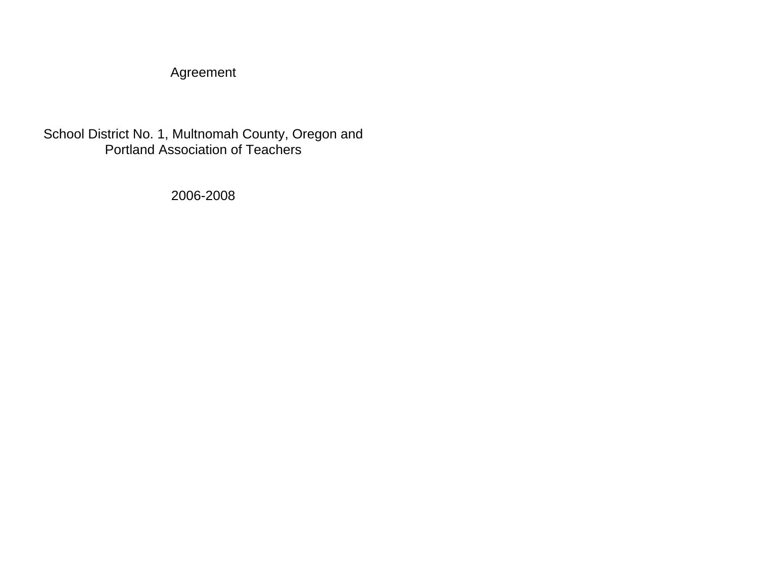Agreement

School District No. 1, Multnomah County, Oregon and Portland Association of Teachers

2006-2008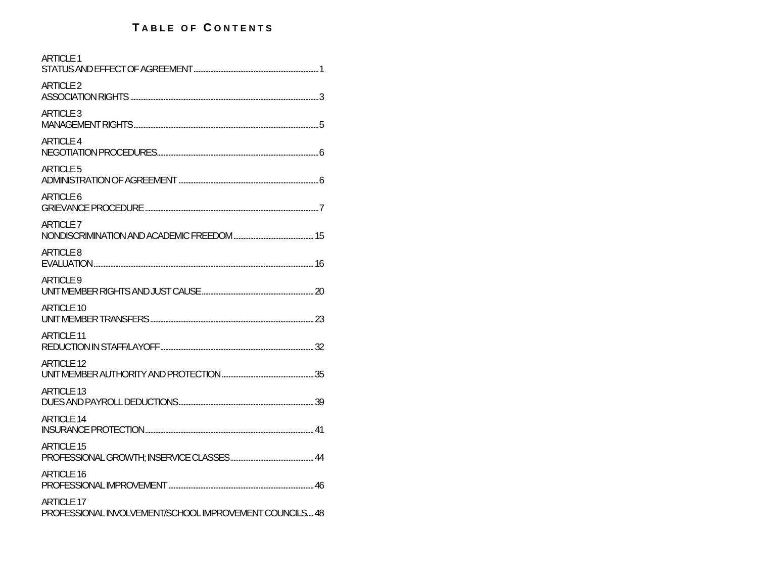# **T ABLE OF C ONTENTS**

| <b>ARTICLE 1</b>                                                             |  |
|------------------------------------------------------------------------------|--|
| ARTICLE <sub>2</sub>                                                         |  |
| ARTICLE <sub>3</sub>                                                         |  |
| <b>ARTICLE 4</b>                                                             |  |
| ARTICLE <sub>5</sub>                                                         |  |
| ARTICLE 6                                                                    |  |
| <b>ARTICLE 7</b>                                                             |  |
| ARTICLE 8                                                                    |  |
| ARTICLE 9                                                                    |  |
| <b>ARTICLE 10</b>                                                            |  |
| ARTICLE 11                                                                   |  |
| <b>ARTICLE 12</b>                                                            |  |
| ARTICLE 13                                                                   |  |
| ARTICLE 14                                                                   |  |
| <b>ARTICLE 15</b>                                                            |  |
| <b>ARTICLE 16</b>                                                            |  |
| <b>ARTICLE 17</b><br>PROFESSIONAL INVOLVEMENT/SCHOOL IMPROVEMENT COUNCILS 48 |  |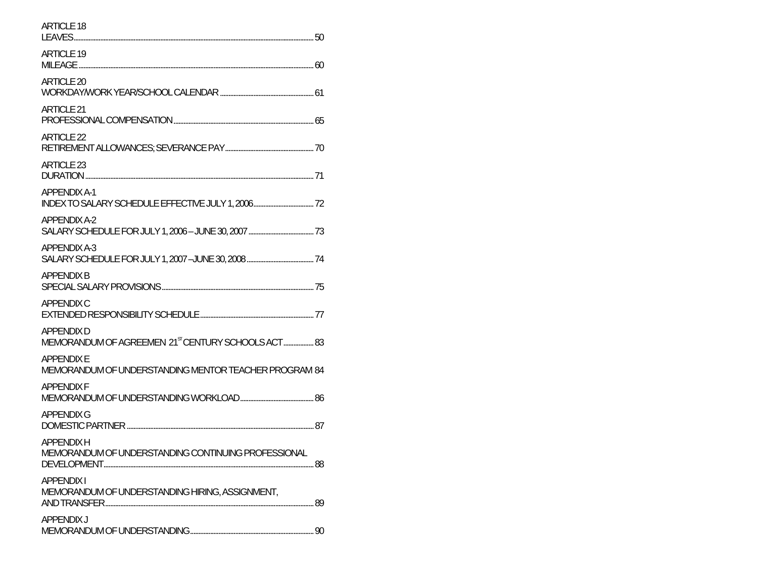| <b>ARTICLE 18</b>                                                                   |  |
|-------------------------------------------------------------------------------------|--|
| <b>ARTICLE 19</b>                                                                   |  |
| ARTICLE 20                                                                          |  |
| ARTICLE 21                                                                          |  |
| <b>ARTICLE 22</b>                                                                   |  |
| ARTICLE 23                                                                          |  |
| <b>APPENDIX A-1</b>                                                                 |  |
| <b>APPENDIX A-2</b>                                                                 |  |
| <b>APPENDIX A-3</b>                                                                 |  |
| <b>APPFNDIX B</b>                                                                   |  |
| <b>APPENDIX C</b>                                                                   |  |
| <b>APPENDIX D</b><br>MEMORANDUM OF AGREEMEN 21 <sup>ST</sup> CENTURY SCHOOLS ACT 83 |  |
| <b>APPENDIXE</b><br>MEMORANDUM OF UNDERSTANDING MENTOR TEACHER PROGRAM 84           |  |
| <b>APPENDIXF</b>                                                                    |  |
| <b>APPENDIX G</b>                                                                   |  |
| <b>APPENDIXH</b><br>MEMORANDUM OF UNDERSTANDING CONTINUING PROFESSIONAL             |  |
| <b>APPENDIXI</b><br>MEMORANDUM OF UNDERSTANDING HIRING, ASSIGNMENT,                 |  |
| <b>APPENDIXJ</b>                                                                    |  |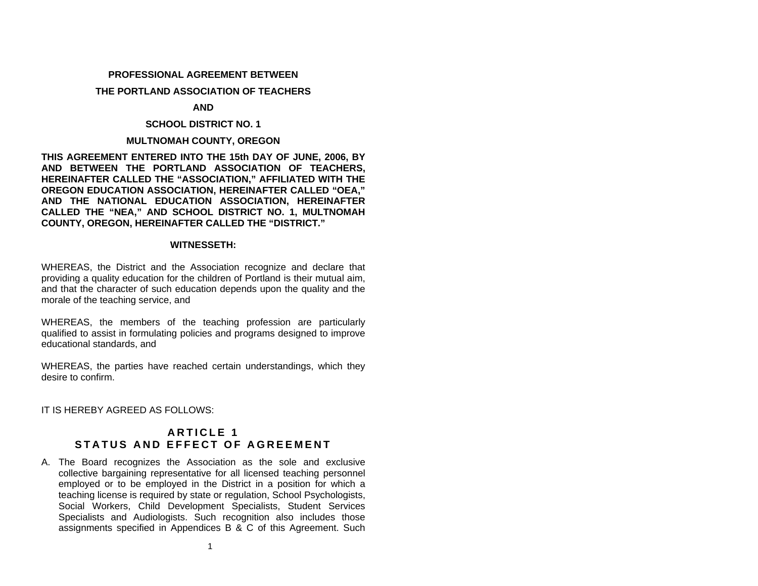# <span id="page-3-0"></span>**PROFESSIONAL AGREEMENT BETWEEN**

#### **THE PORTLAND ASSOCIATION OF TEACHERS**

### **AND**

# **SCHOOL DISTRICT NO. 1**

# **MULTNOMAH COUNTY, OREGON**

**THIS AGREEMENT ENTERED INTO THE 15th DAY OF JUNE, 2006, BY AND BETWEEN THE PORTLAND ASSOCIATION OF TEACHERS, HEREINAFTER CALLED THE "ASSOCIATION," AFFILIATED WITH THE OREGON EDUCATION ASSOCIATION, HEREINAFTER CALLED "OEA," AND THE NATIONAL EDUCATION ASSOCIATION, HEREINAFTER CALLED THE "NEA," AND SCHOOL DISTRICT NO. 1, MULTNOMAH COUNTY, OREGON, HEREINAFTER CALLED THE "DISTRICT."** 

# **WITNESSETH:**

WHEREAS, the District and the Association recognize and declare that providing a quality education for the children of Portland is their mutual aim, and that the character of such education depends upon the quality and the morale of the teaching service, and

WHEREAS, the members of the teaching profession are particularly qualified to assist in formulating policies and programs designed to improve educational standards, and

WHEREAS, the parties have reached certain understandings, which they desire to confirm.

IT IS HEREBY AGREED AS FOLLOWS:

# **A R T I C L E 1 S T A T U S AN D EF F E CT OF A G R E E M E N T**

A. The Board recognizes the Association as the sole and exclusive collective bargaining representative for all licensed teaching personnel employed or to be employed in the District in a position for which a teaching license is required by state or regulation, School Psychologists, Social Workers, Child Development Specialists, Student Services Specialists and Audiologists. Such recognition also includes those assignments specified in Appendices B & C of this Agreement. Such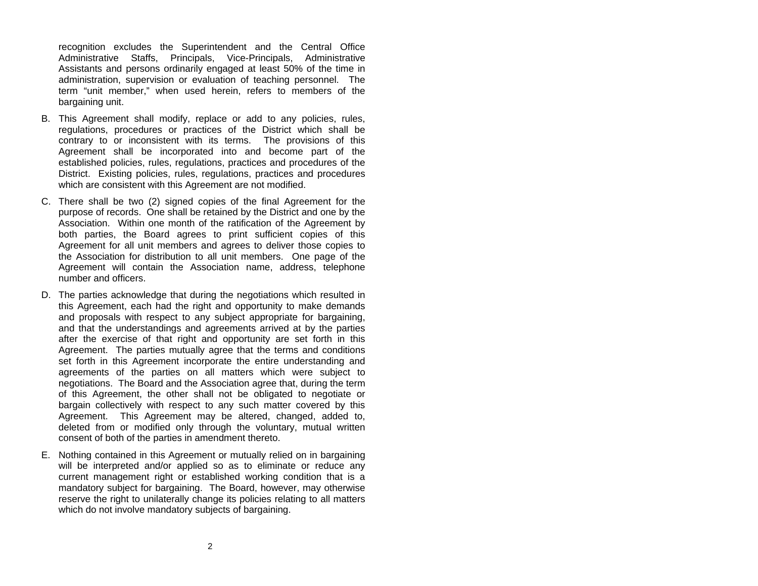recognition excludes the Superintendent and the Central Office Administrative Staffs, Principals, Vice-Principals, Administrative Assistants and persons ordinarily engaged at least 50% of the time in administration, supervision or evaluation of teaching personnel. The term "unit member," when used herein, refers to members of the bargaining unit.

- B. This Agreement shall modify, replace or add to any policies, rules, regulations, procedures or practices of the District which shall be contrary to or inconsistent with its terms. The provisions of this Agreement shall be incorporated into and become part of the established policies, rules, regulations, practices and procedures of the District. Existing policies, rules, regulations, practices and procedures which are consistent with this Agreement are not modified.
- C. There shall be two (2) signed copies of the final Agreement for the purpose of records. One shall be retained by the District and one by the Association. Within one month of the ratification of the Agreement by both parties, the Board agrees to print sufficient copies of this Agreement for all unit members and agrees to deliver those copies to the Association for distribution to all unit members. One page of the Agreement will contain the Association name, address, telephone number and officers.
- D. The parties acknowledge that during the negotiations which resulted in this Agreement, each had the right and opportunity to make demands and proposals with respect to any subject appropriate for bargaining, and that the understandings and agreements arrived at by the parties after the exercise of that right and opportunity are set forth in this Agreement. The parties mutually agree that the terms and conditions set forth in this Agreement incorporate the entire understanding and agreements of the parties on all matters which were subject to negotiations. The Board and the Association agree that, during the term of this Agreement, the other shall not be obligated to negotiate or bargain collectively with respect to any such matter covered by this Agreement. This Agreement may be altered, changed, added to, deleted from or modified only through the voluntary, mutual written consent of both of the parties in amendment thereto.
- E. Nothing contained in this Agreement or mutually relied on in bargaining will be interpreted and/or applied so as to eliminate or reduce any current management right or established working condition that is a mandatory subject for bargaining. The Board, however, may otherwise reserve the right to unilaterally change its policies relating to all matters which do not involve mandatory subjects of bargaining.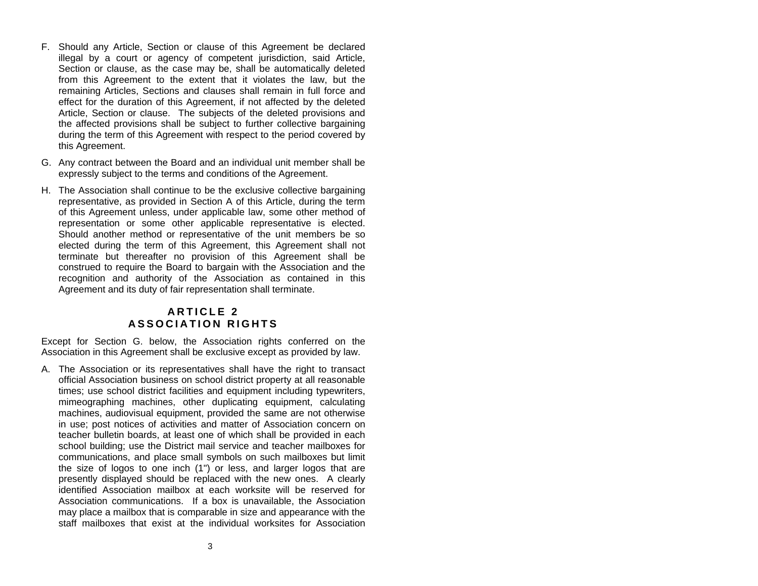- <span id="page-5-0"></span>F. Should any Article, Section or clause of this Agreement be declared illegal by a court or agency of competent jurisdiction, said Article, Section or clause, as the case may be, shall be automatically deleted from this Agreement to the extent that it violates the law, but the remaining Articles, Sections and clauses shall remain in full force and effect for the duration of this Agreement, if not affected by the deleted Article, Section or clause. The subjects of the deleted provisions and the affected provisions shall be subject to further collective bargaining during the term of this Agreement with respect to the period covered by this Agreement.
- G. Any contract between the Board and an individual unit member shall be expressly subject to the terms and conditions of the Agreement.
- H. The Association shall continue to be the exclusive collective bargaining representative, as provided in Section A of this Article, during the term of this Agreement unless, under applicable law, some other method of representation or some other applicable representative is elected. Should another method or representative of the unit members be so elected during the term of this Agreement, this Agreement shall not terminate but thereafter no provision of this Agreement shall be construed to require the Board to bargain with the Association and the recognition and authority of the Association as contained in this Agreement and its duty of fair representation shall terminate.

# **A R T I C L E 2 A S S O C I ATI O N R I GHT S**

Except for Section G. below, the Association rights conferred on the Association in this Agreement shall be exclusive except as provided by law.

A. The Association or its representatives shall have the right to transact official Association business on school district property at all reasonable times; use school district facilities and equipment including typewriters, mimeographing machines, other duplicating equipment, calculating machines, audiovisual equipment, provided the same are not otherwise in use; post notices of activities and matter of Association concern on teacher bulletin boards, at least one of which shall be provided in each school building; use the District mail service and teacher mailboxes for communications, and place small symbols on such mailboxes but limit the size of logos to one inch (1") or less, and larger logos that are presently displayed should be replaced with the new ones. A clearly identified Association mailbox at each worksite will be reserved for Association communications. If a box is unavailable, the Association may place a mailbox that is comparable in size and appearance with the staff mailboxes that exist at the individual worksites for Association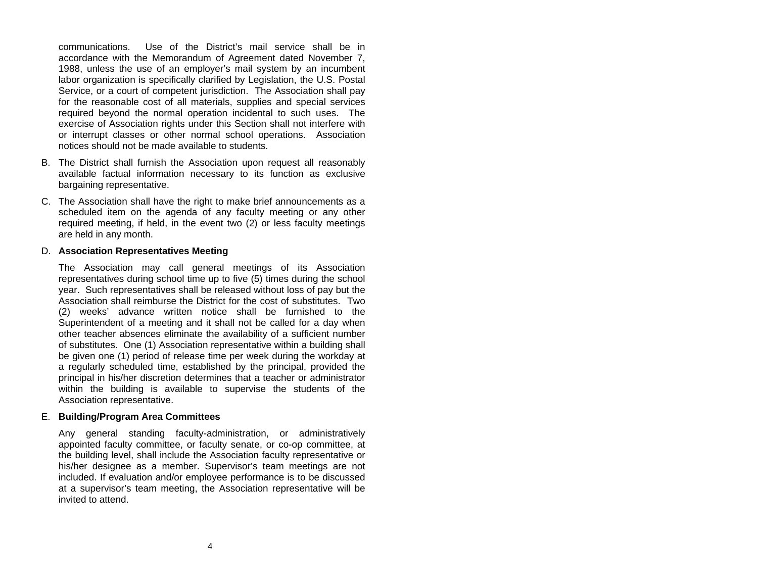communications. Use of the District's mail service shall be inaccordance with the Memorandum of Agreement dated November 7, 1988, unless the use of an employer's mail system by an incumbent labor organization is specifically clarified by Legislation, the U.S. Postal Service, or a court of competent jurisdiction. The Association shall pay for the reasonable cost of all materials, supplies and special services required beyond the normal operation incidental to such uses. The exercise of Association rights under this Section shall not interfere with or interrupt classes or other normal school operations. Association notices should not be made available to students.

- B. The District shall furnish the Association upon request all reasonably available factual information necessary to its function as exclusive bargaining representative.
- C. The Association shall have the right to make brief announcements as a scheduled item on the agenda of any faculty meeting or any other required meeting, if held, in the event two (2) or less faculty meetings are held in any month.

# D. **Association Representatives Meeting**

The Association may call general meetings of its Association representatives during school time up to five (5) times during the school year. Such representatives shall be released without loss of pay but the Association shall reimburse the District for the cost of substitutes. Two(2) weeks' advance written notice shall be furnished to the Superintendent of a meeting and it shall not be called for a day when other teacher absences eliminate the availability of a sufficient number of substitutes. One (1) Association representative within a building shall be given one (1) period of release time per week during the workday at a regularly scheduled time, established by the principal, provided the principal in his/her discretion determines that a teacher or administrator within the building is available to supervise the students of the Association representative.

# E. **Building/Program Area Committees**

Any general standing faculty-administration, or administratively appointed faculty committee, or faculty senate, or co-op committee, at the building level, shall include the Association faculty representative or his/her designee as a member. Supervisor's team meetings are not included. If evaluation and/or employee performance is to be discussed at a supervisor's team meeting, the Association representative will be invited to attend.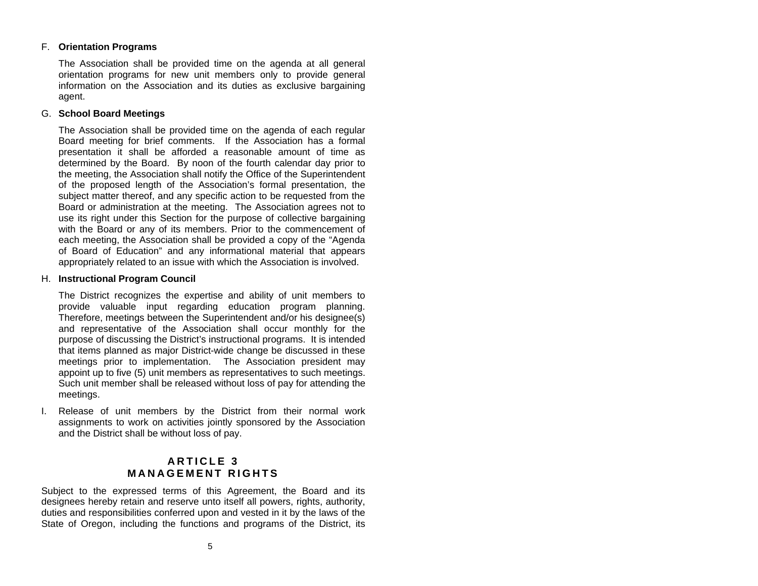# <span id="page-7-0"></span>F. **Orientation Programs**

The Association shall be provided time on the agenda at all general orientation programs for new unit members only to provide general information on the Association and its duties as exclusive bargaining agent.

# G. **School Board Meetings**

The Association shall be provided time on the agenda of each regular Board meeting for brief comments. If the Association has a formal presentation it shall be afforded a reasonable amount of time as determined by the Board. By noon of the fourth calendar day prior to the meeting, the Association shall notify the Office of the Superintendent of the proposed length of the Association's formal presentation, the subject matter thereof, and any specific action to be requested from the Board or administration at the meeting. The Association agrees not to use its right under this Section for the purpose of collective bargaining with the Board or any of its members. Prior to the commencement of each meeting, the Association shall be provided a copy of the "Agenda of Board of Education" and any informational material that appears appropriately related to an issue with which the Association is involved.

# H. **Instructional Program Council**

The District recognizes the expertise and ability of unit members to provide valuable input regarding education program planning. Therefore, meetings between the Superintendent and/or his designee(s) and representative of the Association shall occur monthly for the purpose of discussing the District's instructional programs. It is intended that items planned as major District-wide change be discussed in these meetings prior to implementation. The Association president may appoint up to five (5) unit members as representatives to such meetings. Such unit member shall be released without loss of pay for attending the meetings.

I. Release of unit members by the District from their normal work assignments to work on activities jointly sponsored by the Association and the District shall be without loss of pay.

# **A R T I C L E 3 M A NAGEMENT R I G H T S**

Subject to the expressed terms of this Agreement, the Board and its designees hereby retain and reserve unto itself all powers, rights, authority, duties and responsibilities conferred upon and vested in it by the laws of the State of Oregon, including the functions and programs of the District, its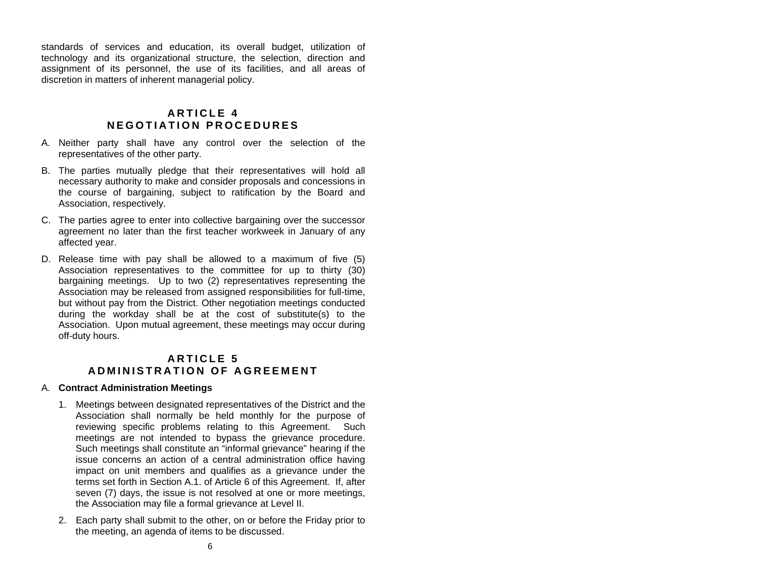<span id="page-8-0"></span>standards of services and education, its overall budget, utilization of technology and its organizational structure, the selection, direction and assignment of its personnel, the use of its facilities, and all areas of discretion in matters of inherent managerial policy.

# **A R T I C L E 4 N E GOTIA TION PRO C E D U R E S**

- A. Neither party shall have any control over the selection of the representatives of the other party.
- B. The parties mutually pledge that their representatives will hold all necessary authority to make and consider proposals and concessions in the course of bargaining, subject to ratification by the Board and Association, respectively.
- C. The parties agree to enter into collective bargaining over the successor agreement no later than the first teacher workweek in January of any affected year.
- D. Release time with pay shall be allowed to a maximum of five (5) Association representatives to the committee for up to thirty (30) bargaining meetings. Up to two (2) representatives representing the Association may be released from assigned responsibilities for full-time, but without pay from the District. Other negotiation meetings conducted during the workday shall be at the cost of substitute(s) to the Association. Upon mutual agreement, these meetings may occur during off-duty hours.

# **A R T I C L E 5 A D MINISTRA TION O F AGR EEMENT**

# A. **Contract Administration Meetings**

- 1. Meetings between designated representatives of the District and the Association shall normally be held monthly for the purpose of reviewing specific problems relating to this Agreement. Such meetings are not intended to bypass the grievance procedure. Such meetings shall constitute an "informal grievance" hearing if the issue concerns an action of a central administration office having impact on unit members and qualifies as a grievance under the terms set forth in Section A.1. of Article 6 of this Agreement. If, after seven (7) days, the issue is not resolved at one or more meetings, the Association may file a formal grievance at Level II.
- 2. Each party shall submit to the other, on or before the Friday prior to the meeting, an agenda of items to be discussed.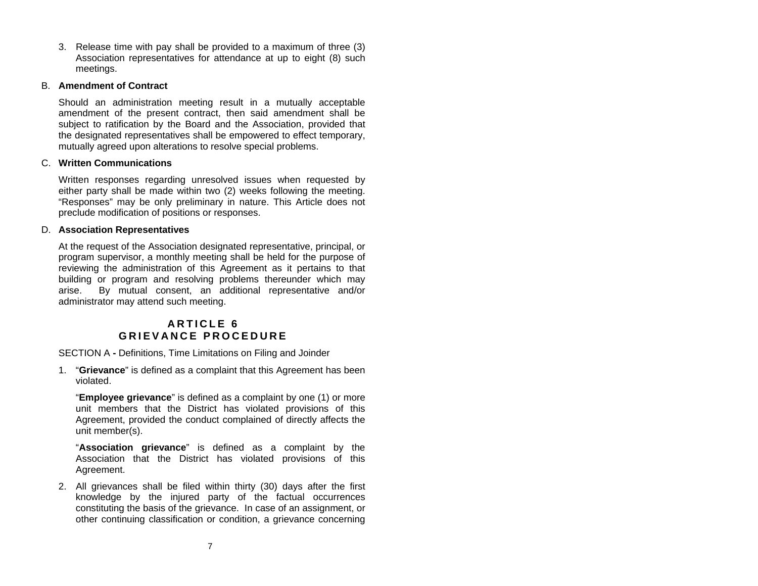<span id="page-9-0"></span>3. Release time with pay shall be provided to a maximum of three (3) Association representatives for attendance at up to eight (8) such meetings.

# B. **Amendment of Contract**

Should an administration meeting result in a mutually acceptable amendment of the present contract, then said amendment shall be subject to ratification by the Board and the Association, provided that the designated representatives shall be empowered to effect temporary, mutually agreed upon alterations to resolve special problems.

# C. **Written Communications**

Written responses regarding unresolved issues when requested by either party shall be made within two (2) weeks following the meeting. "Responses" may be only preliminary in nature. This Article does not preclude modification of positions or responses.

# D. **Association Representatives**

At the request of the Association designated representative, principal, or program supervisor, a monthly meeting shall be held for the purpose of reviewing the administration of this Agreement as it pertains to that building or program and resolving problems thereunder which may arise. By mutual consent, an additional representative and/or administrator may attend such meeting.

# **A R T I C L E 6 G R I E VAN C E PROC EDU R E**

SECTION A **-** Definitions, Time Limitations on Filing and Joinder

1. "**Grievance**" is defined as a complaint that this Agreement has been violated.

"**Employee grievance**" is defined as a complaint by one (1) or more unit members that the District has violated provisions of this Agreement, provided the conduct complained of directly affects the unit member(s).

"**Association grievance**" is defined as a complaint by the Association that the District has violated provisions of this Agreement.

2. All grievances shall be filed within thirty (30) days after the first knowledge by the injured party of the factual occurrences constituting the basis of the grievance. In case of an assignment, or other continuing classification or condition, a grievance concerning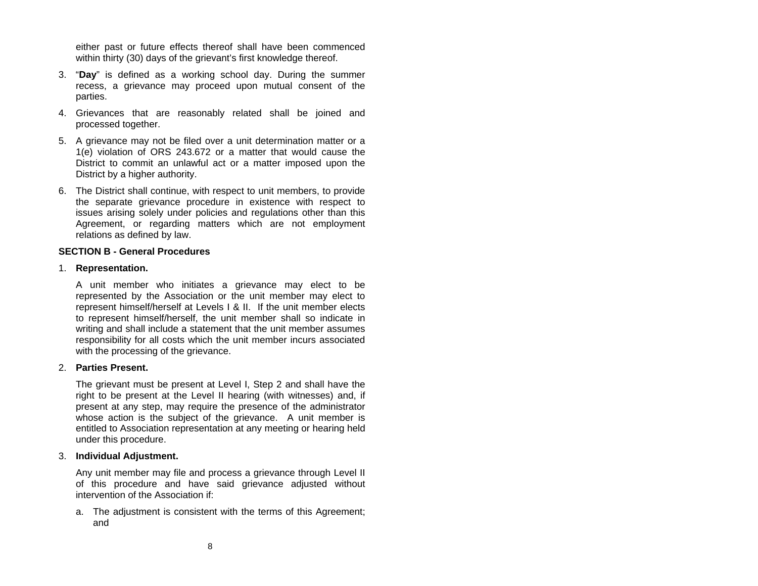either past or future effects thereof shall have been commenced within thirty (30) days of the grievant's first knowledge thereof.

- 3. "**Day**" is defined as a working school day. During the summer recess, a grievance may proceed upon mutual consent of the parties.
- 4. Grievances that are reasonably related shall be joined and processed together.
- 5. A grievance may not be filed over a unit determination matter or a 1(e) violation of ORS 243.672 or a matter that would cause the District to commit an unlawful act or a matter imposed upon the District by a higher authority.
- 6. The District shall continue, with respect to unit members, to provide the separate grievance procedure in existence with respect to issues arising solely under policies and regulations other than this Agreement, or regarding matters which are not employment relations as defined by law.

#### **SECTION B - General Procedures**

#### 1. **Representation.**

A unit member who initiates a grievance may elect to be represented by the Association or the unit member may elect to represent himself/herself at Levels I & II. If the unit member elects to represent himself/herself, the unit member shall so indicate in writing and shall include a statement that the unit member assumes responsibility for all costs which the unit member incurs associated with the processing of the grievance.

# 2. **Parties Present.**

The grievant must be present at Level I, Step 2 and shall have the right to be present at the Level II hearing (with witnesses) and, if present at any step, may require the presence of the administrator whose action is the subject of the grievance. A unit member is entitled to Association representation at any meeting or hearing held under this procedure.

#### 3. **Individual Adjustment.**

Any unit member may file and process a grievance through Level II of this procedure and have said grievance adjusted without intervention of the Association if:

a. The adjustment is consistent with the terms of this Agreement; and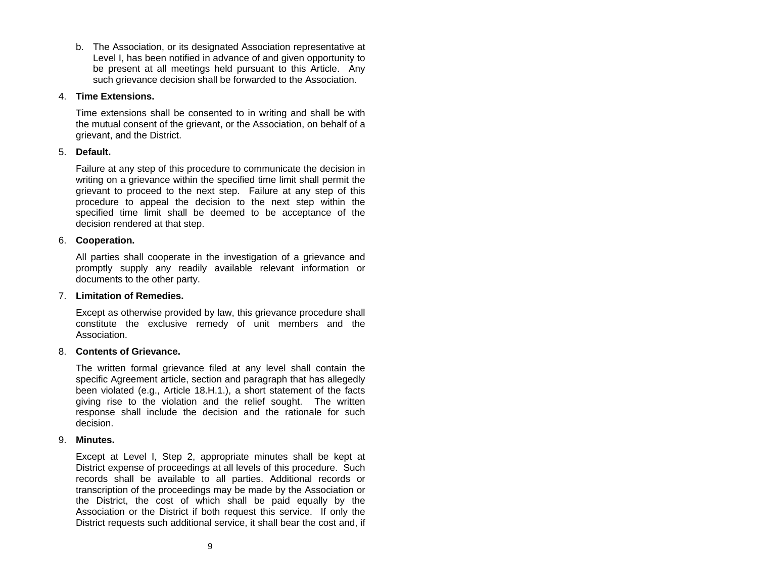b. The Association, or its designated Association representative at Level I, has been notified in advance of and given opportunity to be present at all meetings held pursuant to this Article. Any such grievance decision shall be forwarded to the Association.

#### 4. **Time Extensions.**

Time extensions shall be consented to in writing and shall be with the mutual consent of the grievant, or the Association, on behalf of a grievant, and the District.

# 5. **Default.**

Failure at any step of this procedure to communicate the decision in writing on a grievance within the specified time limit shall permit the grievant to proceed to the next step. Failure at any step of this procedure to appeal the decision to the next step within the specified time limit shall be deemed to be acceptance of the decision rendered at that step.

# 6. **Cooperation.**

All parties shall cooperate in the investigation of a grievance and promptly supply any readily available relevant information or documents to the other party.

# 7. **Limitation of Remedies.**

Except as otherwise provided by law, this grievance procedure shall constitute the exclusive remedy of unit members and the Association.

# 8. **Contents of Grievance.**

The written formal grievance filed at any level shall contain the specific Agreement article, section and paragraph that has allegedly been violated (e.g., Article 18.H.1.), a short statement of the facts giving rise to the violation and the relief sought. The written response shall include the decision and the rationale for such decision.

#### 9. **Minutes.**

Except at Level I, Step 2, appropriate minutes shall be kept at District expense of proceedings at all levels of this procedure. Such records shall be available to all parties. Additional records or transcription of the proceedings may be made by the Association or the District, the cost of which shall be paid equally by the Association or the District if both request this service. If only the District requests such additional service, it shall bear the cost and, if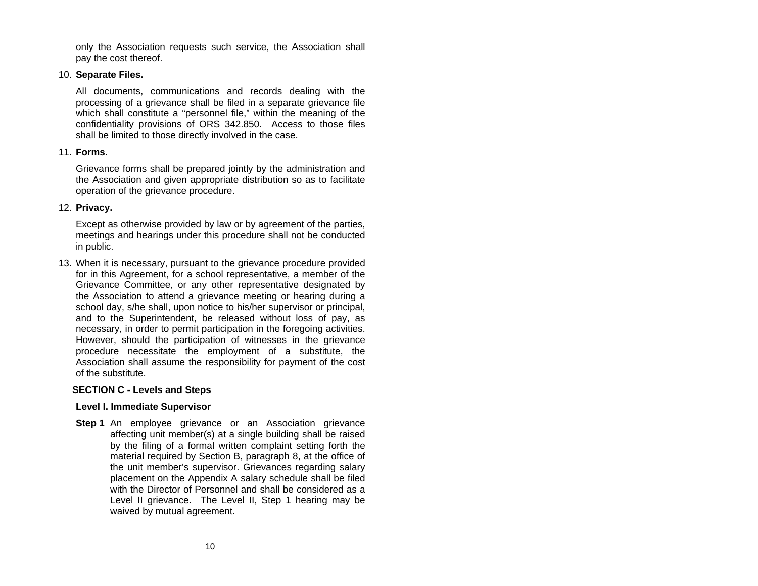only the Association requests such service, the Association shall pay the cost thereof.

# 10. **Separate Files.**

All documents, communications and records dealing with the processing of a grievance shall be filed in a separate grievance file which shall constitute a "personnel file," within the meaning of the confidentiality provisions of ORS 342.850. Access to those files shall be limited to those directly involved in the case.

#### 11. **Forms.**

Grievance forms shall be prepared jointly by the administration and the Association and given appropriate distribution so as to facilitate operation of the grievance procedure.

# 12. **Privacy.**

Except as otherwise provided by law or by agreement of the parties, meetings and hearings under this procedure shall not be conducted in public.

13. When it is necessary, pursuant to the grievance procedure provided for in this Agreement, for a school representative, a member of the Grievance Committee, or any other representative designated by the Association to attend a grievance meeting or hearing during a school day, s/he shall, upon notice to his/her supervisor or principal, and to the Superintendent, be released without loss of pay, as necessary, in order to permit participation in the foregoing activities. However, should the participation of witnesses in the grievance procedure necessitate the employment of a substitute, the Association shall assume the responsibility for payment of the cost of the substitute.

# **SECTION C - Levels and Steps**

# **Level I. Immediate Supervisor**

**Step 1** An employee grievance or an Association grievance affecting unit member(s) at a single building shall be raised by the filing of a formal written complaint setting forth the material required by Section B, paragraph 8, at the office of the unit member's supervisor. Grievances regarding salary placement on the Appendix A salary schedule shall be filed with the Director of Personnel and shall be considered as aLevel II grievance. The Level II, Step 1 hearing may be waived by mutual agreement.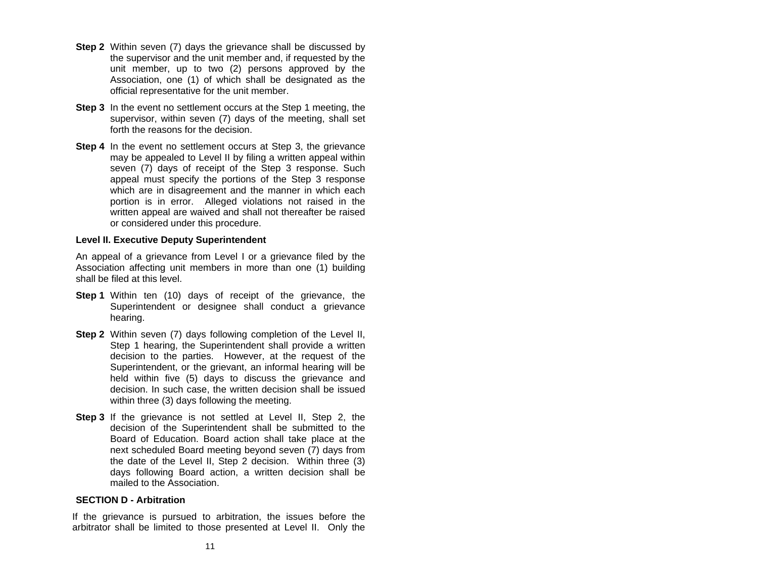- **Step 2** Within seven (7) days the grievance shall be discussed by the supervisor and the unit member and, if requested by the unit member, up to two (2) persons approved by the Association, one (1) of which shall be designated as the official representative for the unit member.
- **Step 3** In the event no settlement occurs at the Step 1 meeting, the supervisor, within seven (7) days of the meeting, shall set forth the reasons for the decision.
- **Step 4** In the event no settlement occurs at Step 3, the grievance may be appealed to Level II by filing a written appeal within seven (7) days of receipt of the Step 3 response. Such appeal must specify the portions of the Step 3 response which are in disagreement and the manner in which each portion is in error. Alleged violations not raised in the written appeal are waived and shall not thereafter be raised or considered under this procedure.

#### **Level II. Executive Deputy Superintendent**

An appeal of a grievance from Level I or a grievance filed by the Association affecting unit members in more than one (1) building shall be filed at this level.

- **Step 1** Within ten (10) days of receipt of the grievance, the Superintendent or designee shall conduct a grievance hearing.
- **Step 2** Within seven (7) days following completion of the Level II, Step 1 hearing, the Superintendent shall provide a written decision to the parties. However, at the request of the Superintendent, or the grievant, an informal hearing will be held within five (5) days to discuss the grievance and decision. In such case, the written decision shall be issued within three (3) days following the meeting.
- **Step 3** If the grievance is not settled at Level II, Step 2, the decision of the Superintendent shall be submitted to the Board of Education. Board action shall take place at the next scheduled Board meeting beyond seven (7) days from the date of the Level II, Step 2 decision. Within three (3) days following Board action, a written decision shall be mailed to the Association.

#### **SECTION D - Arbitration**

If the grievance is pursued to arbitration, the issues before the arbitrator shall be limited to those presented at Level II. Only the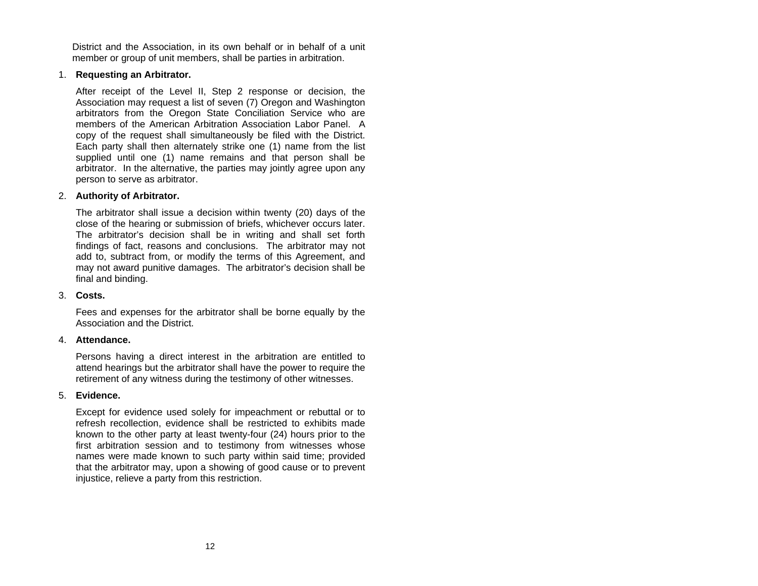District and the Association, in its own behalf or in behalf of a unit member or group of unit members, shall be parties in arbitration.

# 1. **Requesting an Arbitrator.**

After receipt of the Level II, Step 2 response or decision, the Association may request a list of seven (7) Oregon and Washington arbitrators from the Oregon State Conciliation Service who are members of the American Arbitration Association Labor Panel. Acopy of the request shall simultaneously be filed with the District. Each party shall then alternately strike one (1) name from the list supplied until one (1) name remains and that person shall be arbitrator. In the alternative, the parties may jointly agree upon any person to serve as arbitrator.

# 2. **Authority of Arbitrator.**

The arbitrator shall issue a decision within twenty (20) days of the close of the hearing or submission of briefs, whichever occurs later. The arbitrator's decision shall be in writing and shall set forth findings of fact, reasons and conclusions. The arbitrator may not add to, subtract from, or modify the terms of this Agreement, and may not award punitive damages. The arbitrator's decision shall be final and binding.

#### 3. **Costs.**

Fees and expenses for the arbitrator shall be borne equally by the Association and the District.

#### 4. **Attendance.**

Persons having a direct interest in the arbitration are entitled to attend hearings but the arbitrator shall have the power to require the retirement of any witness during the testimony of other witnesses.

#### 5. **Evidence.**

Except for evidence used solely for impeachment or rebuttal or to refresh recollection, evidence shall be restricted to exhibits made known to the other party at least twenty-four (24) hours prior to the first arbitration session and to testimony from witnesses whose names were made known to such party within said time; provided that the arbitrator may, upon a showing of good cause or to prevent injustice, relieve a party from this restriction.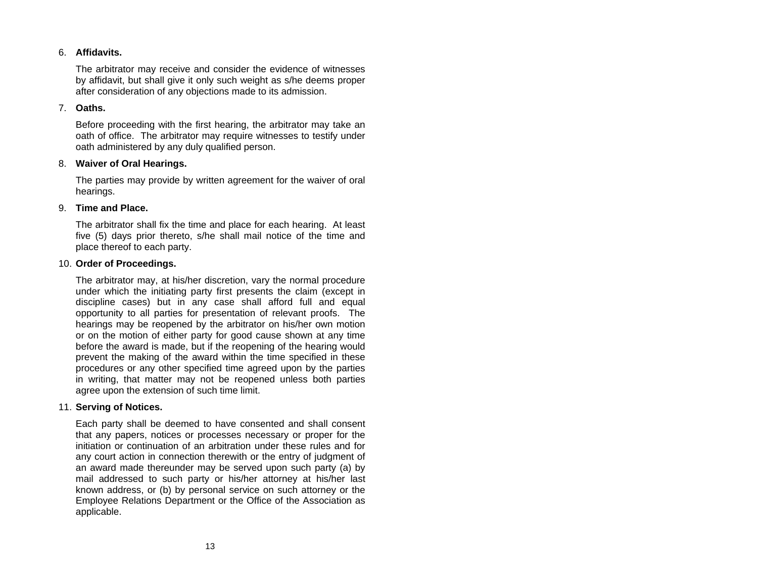## 6. **Affidavits.**

The arbitrator may receive and consider the evidence of witnesses by affidavit, but shall give it only such weight as s/he deems proper after consideration of any objections made to its admission.

## 7. **Oaths.**

Before proceeding with the first hearing, the arbitrator may take an oath of office. The arbitrator may require witnesses to testify under oath administered by any duly qualified person.

#### 8. **Waiver of Oral Hearings.**

The parties may provide by written agreement for the waiver of oral hearings.

#### 9. **Time and Place.**

The arbitrator shall fix the time and place for each hearing. At least five (5) days prior thereto, s/he shall mail notice of the time and place thereof to each party.

#### 10. **Order of Proceedings.**

The arbitrator may, at his/her discretion, vary the normal procedure under which the initiating party first presents the claim (except in discipline cases) but in any case shall afford full and equal opportunity to all parties for presentation of relevant proofs. The hearings may be reopened by the arbitrator on his/her own motion or on the motion of either party for good cause shown at any time before the award is made, but if the reopening of the hearing would prevent the making of the award within the time specified in these procedures or any other specified time agreed upon by the parties in writing, that matter may not be reopened unless both parties agree upon the extension of such time limit.

#### 11. **Serving of Notices.**

Each party shall be deemed to have consented and shall consent that any papers, notices or processes necessary or proper for the initiation or continuation of an arbitration under these rules and for any court action in connection therewith or the entry of judgment of an award made thereunder may be served upon such party (a) by mail addressed to such party or his/her attorney at his/her last known address, or (b) by personal service on such attorney or the Employee Relations Department or the Office of the Association as applicable.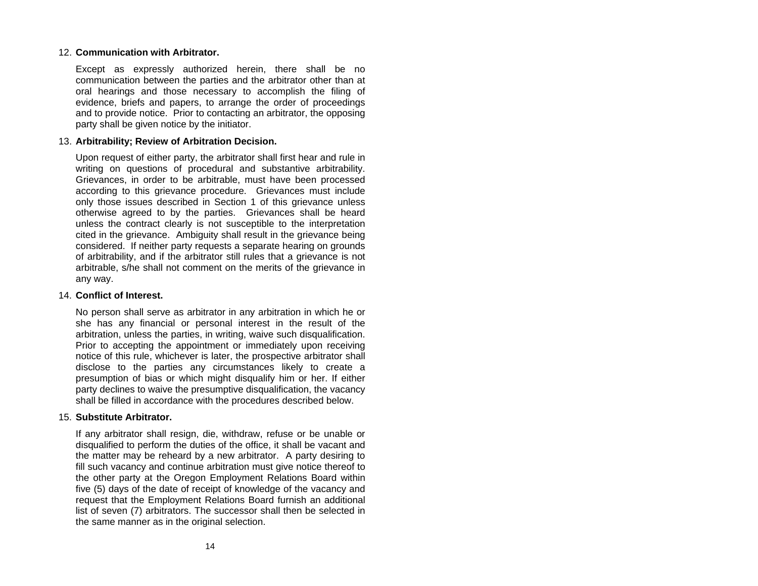# 12. **Communication with Arbitrator.**

Except as expressly authorized herein, there shall be no communication between the parties and the arbitrator other than at oral hearings and those necessary to accomplish the filing of evidence, briefs and papers, to arrange the order of proceedings and to provide notice. Prior to contacting an arbitrator, the opposing party shall be given notice by the initiator.

# 13. **Arbitrability; Review of Arbitration Decision.**

Upon request of either party, the arbitrator shall first hear and rule in writing on questions of procedural and substantive arbitrability. Grievances, in order to be arbitrable, must have been processed according to this grievance procedure. Grievances must include only those issues described in Section 1 of this grievance unless otherwise agreed to by the parties. Grievances shall be heard unless the contract clearly is not susceptible to the interpretation cited in the grievance. Ambiguity shall result in the grievance being considered. If neither party requests a separate hearing on grounds of arbitrability, and if the arbitrator still rules that a grievance is not arbitrable, s/he shall not comment on the merits of the grievance in any way.

### 14. **Conflict of Interest.**

No person shall serve as arbitrator in any arbitration in which he or she has any financial or personal interest in the result of the arbitration, unless the parties, in writing, waive such disqualification. Prior to accepting the appointment or immediately upon receiving notice of this rule, whichever is later, the prospective arbitrator shall disclose to the parties any circumstances likely to create <sup>a</sup> presumption of bias or which might disqualify him or her. If either party declines to waive the presumptive disqualification, the vacancy shall be filled in accordance with the procedures described below.

#### 15. **Substitute Arbitrator.**

If any arbitrator shall resign, die, withdraw, refuse or be unable or disqualified to perform the duties of the office, it shall be vacant and the matter may be reheard by a new arbitrator. A party desiring to fill such vacancy and continue arbitration must give notice thereof to the other party at the Oregon Employment Relations Board within five (5) days of the date of receipt of knowledge of the vacancy and request that the Employment Relations Board furnish an additional list of seven (7) arbitrators. The successor shall then be selected in the same manner as in the original selection.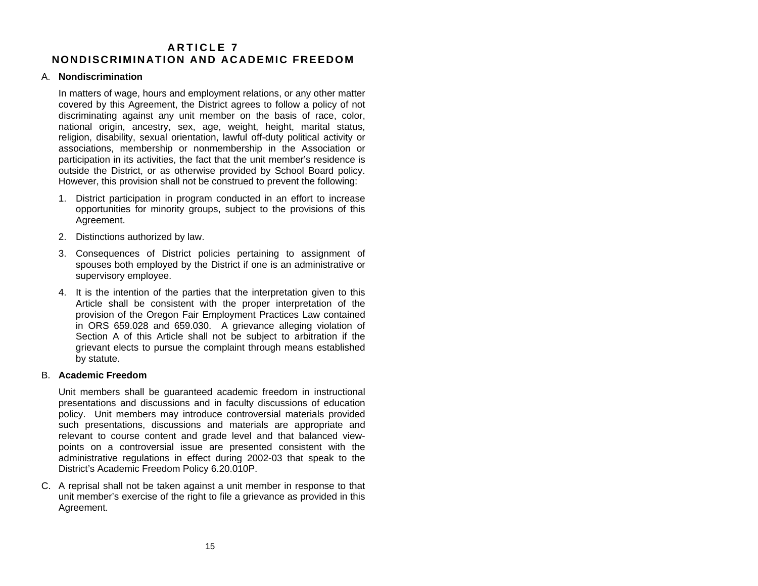# <span id="page-17-0"></span>**A R T I C L E 7 NONDISCRIMINATION AND ACADEMIC FREEDOM**

### A. **Nondiscrimination**

In matters of wage, hours and employment relations, or any other matter covered by this Agreement, the District agrees to follow a policy of not discriminating against any unit member on the basis of race, color, national origin, ancestry, sex, age, weight, height, marital status, religion, disability, sexual orientation, lawful off-duty political activity or associations, membership or nonmembership in the Association or participation in its activities, the fact that the unit member's residence is outside the District, or as otherwise provided by School Board policy. However, this provision shall not be construed to prevent the following:

- 1. District participation in program conducted in an effort to increase opportunities for minority groups, subject to the provisions of this Agreement.
- 2. Distinctions authorized by law.
- 3. Consequences of District policies pertaining to assignment of spouses both employed by the District if one is an administrative or supervisory employee.
- 4. It is the intention of the parties that the interpretation given to this Article shall be consistent with the proper interpretation of the provision of the Oregon Fair Employment Practices Law contained in ORS 659.028 and 659.030. A grievance alleging violation of Section A of this Article shall not be subject to arbitration if the grievant elects to pursue the complaint through means established by statute.

#### B. **Academic Freedom**

Unit members shall be guaranteed academic freedom in instructional presentations and discussions and in faculty discussions of education policy. Unit members may introduce controversial materials provided such presentations, discussions and materials are appropriate and relevant to course content and grade level and that balanced viewpoints on a controversial issue are presented consistent with the administrative regulations in effect during 2002-03 that speak to the District's Academic Freedom Policy 6.20.010P.

C. A reprisal shall not be taken against a unit member in response to that unit member's exercise of the right to file a grievance as provided in this Agreement.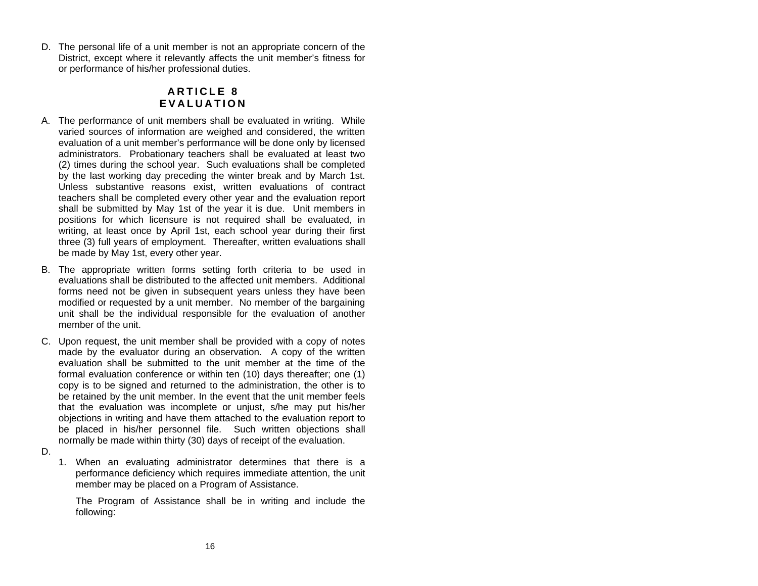<span id="page-18-0"></span>D. The personal life of a unit member is not an appropriate concern of the District, except where it relevantly affects the unit member's fitness for or performance of his/her professional duties.

# **A R T I C L E 8 E V A L U A T I O N**

- A. The performance of unit members shall be evaluated in writing. While varied sources of information are weighed and considered, the written evaluation of a unit member's performance will be done only by licensed administrators. Probationary teachers shall be evaluated at least two (2) times during the school year. Such evaluations shall be completed by the last working day preceding the winter break and by March 1st. Unless substantive reasons exist, written evaluations of contract teachers shall be completed every other year and the evaluation report shall be submitted by May 1st of the year it is due. Unit members in positions for which licensure is not required shall be evaluated, in writing, at least once by April 1st, each school year during their first three (3) full years of employment. Thereafter, written evaluations shall be made by May 1st, every other year.
- B. The appropriate written forms setting forth criteria to be used in evaluations shall be distributed to the affected unit members. Additional forms need not be given in subsequent years unless they have been modified or requested by a unit member. No member of the bargaining unit shall be the individual responsible for the evaluation of another member of the unit.
- C. Upon request, the unit member shall be provided with a copy of notes made by the evaluator during an observation. A copy of the written evaluation shall be submitted to the unit member at the time of the formal evaluation conference or within ten (10) days thereafter; one (1) copy is to be signed and returned to the administration, the other is to be retained by the unit member. In the event that the unit member feels that the evaluation was incomplete or unjust, s/he may put his/her objections in writing and have them attached to the evaluation report to be placed in his/her personnel file. Such written objections shall normally be made within thirty (30) days of receipt of the evaluation.
- D.
- 1. When an evaluating administrator determines that there is <sup>a</sup> performance deficiency which requires immediate attention, the unit member may be placed on a Program of Assistance.

The Program of Assistance shall be in writing and include the following: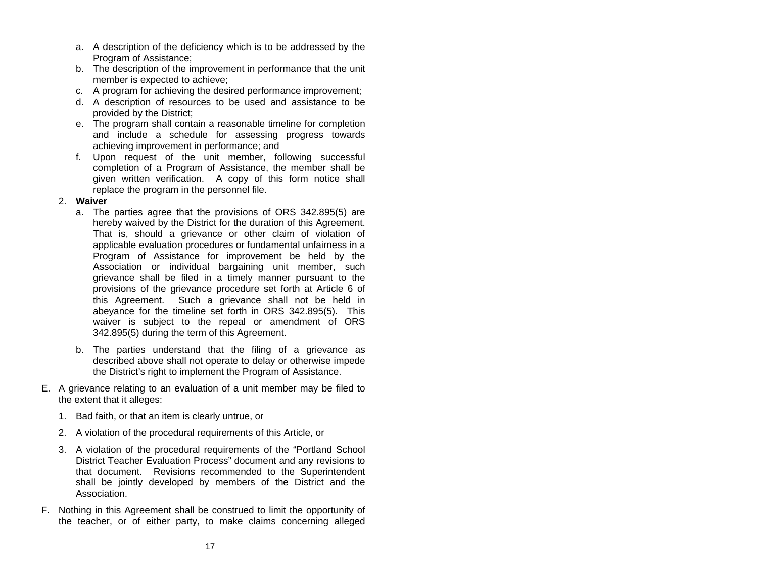- a. A description of the deficiency which is to be addressed by the Program of Assistance;
- b. The description of the improvement in performance that the unit member is expected to achieve;
- c. A program for achieving the desired performance improvement;
- d. A description of resources to be used and assistance to be provided by the District;
- e. The program shall contain a reasonable timeline for completion and include a schedule for assessing progress towards achieving improvement in performance; and
- f. Upon request of the unit member, following successful completion of a Program of Assistance, the member shall be given written verification. A copy of this form notice shall replace the program in the personnel file.

# 2. **Waiver**

- a. The parties agree that the provisions of ORS 342.895(5) are hereby waived by the District for the duration of this Agreement. That is, should a grievance or other claim of violation of applicable evaluation procedures or fundamental unfairness in a Program of Assistance for improvement be held by the Association or individual bargaining unit member, such grievance shall be filed in a timely manner pursuant to the provisions of the grievance procedure set forth at Article 6 of this Agreement. Such a grievance shall not be held in abeyance for the timeline set forth in ORS 342.895(5). This waiver is subject to the repeal or amendment of ORS 342.895(5) during the term of this Agreement.
- b. The parties understand that the filing of a grievance as described above shall not operate to delay or otherwise impede the District's right to implement the Program of Assistance.
- E. A grievance relating to an evaluation of a unit member may be filed to the extent that it alleges:
	- 1. Bad faith, or that an item is clearly untrue, or
	- 2. A violation of the procedural requirements of this Article, or
	- 3. A violation of the procedural requirements of the "Portland School District Teacher Evaluation Process" document and any revisions to that document. Revisions recommended to the Superintendent shall be jointly developed by members of the District and the Association.
- F. Nothing in this Agreement shall be construed to limit the opportunity of the teacher, or of either party, to make claims concerning alleged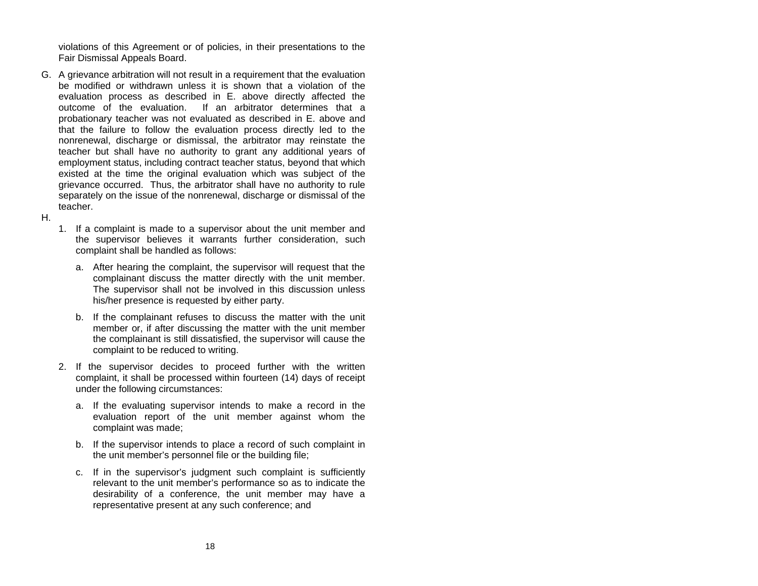violations of this Agreement or of policies, in their presentations to the Fair Dismissal Appeals Board.

- G. A grievance arbitration will not result in a requirement that the evaluation be modified or withdrawn unless it is shown that a violation of the evaluation process as described in E. above directly affected the outcome of the evaluation. If an arbitrator determines that aprobationary teacher was not evaluated as described in E. above and that the failure to follow the evaluation process directly led to the nonrenewal, discharge or dismissal, the arbitrator may reinstate the teacher but shall have no authority to grant any additional years of employment status, including contract teacher status, beyond that which existed at the time the original evaluation which was subject of the grievance occurred. Thus, the arbitrator shall have no authority to rule separately on the issue of the nonrenewal, discharge or dismissal of the teacher.
- H.
- 1. If a complaint is made to a supervisor about the unit member and the supervisor believes it warrants further consideration, such complaint shall be handled as follows:
	- a. After hearing the complaint, the supervisor will request that the complainant discuss the matter directly with the unit member. The supervisor shall not be involved in this discussion unless his/her presence is requested by either party.
	- b. If the complainant refuses to discuss the matter with the unit member or, if after discussing the matter with the unit member the complainant is still dissatisfied, the supervisor will cause the complaint to be reduced to writing.
- 2. If the supervisor decides to proceed further with the written complaint, it shall be processed within fourteen (14) days of receipt under the following circumstances:
	- a. If the evaluating supervisor intends to make a record in the evaluation report of the unit member against whom the complaint was made;
	- b. If the supervisor intends to place a record of such complaint in the unit member's personnel file or the building file;
	- c. If in the supervisor's judgment such complaint is sufficiently relevant to the unit member's performance so as to indicate the desirability of a conference, the unit member may have a representative present at any such conference; and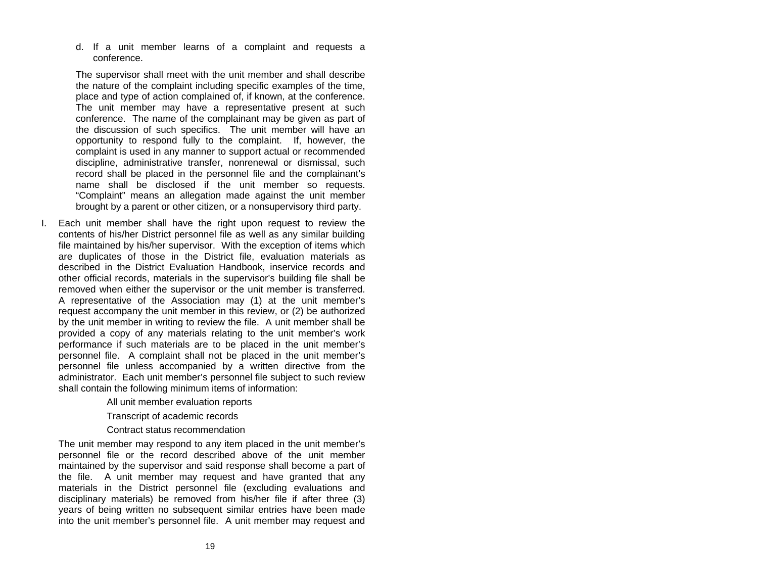d. If a unit member learns of a complaint and requests a conference.

The supervisor shall meet with the unit member and shall describe the nature of the complaint including specific examples of the time, place and type of action complained of, if known, at the conference. The unit member may have a representative present at such conference. The name of the complainant may be given as part of the discussion of such specifics. The unit member will have an opportunity to respond fully to the complaint. If, however, the complaint is used in any manner to support actual or recommended discipline, administrative transfer, nonrenewal or dismissal, such record shall be placed in the personnel file and the complainant's name shall be disclosed if the unit member so requests. "Complaint" means an allegation made against the unit member brought by a parent or other citizen, or a nonsupervisory third party.

I. Each unit member shall have the right upon request to review the contents of his/her District personnel file as well as any similar building file maintained by his/her supervisor. With the exception of items which are duplicates of those in the District file, evaluation materials as described in the District Evaluation Handbook, inservice records and other official records, materials in the supervisor's building file shall be removed when either the supervisor or the unit member is transferred. A representative of the Association may (1) at the unit member's request accompany the unit member in this review, or (2) be authorized by the unit member in writing to review the file. A unit member shall be provided a copy of any materials relating to the unit member's work performance if such materials are to be placed in the unit member's personnel file. A complaint shall not be placed in the unit member's personnel file unless accompanied by a written directive from the administrator. Each unit member's personnel file subject to such review shall contain the following minimum items of information:

All unit member evaluation reports

Transcript of academic records

Contract status recommendation

The unit member may respond to any item placed in the unit member's personnel file or the record described above of the unit member maintained by the supervisor and said response shall become a part of the file. A unit member may request and have granted that any materials in the District personnel file (excluding evaluations and disciplinary materials) be removed from his/her file if after three (3) years of being written no subsequent similar entries have been made into the unit member's personnel file. A unit member may request and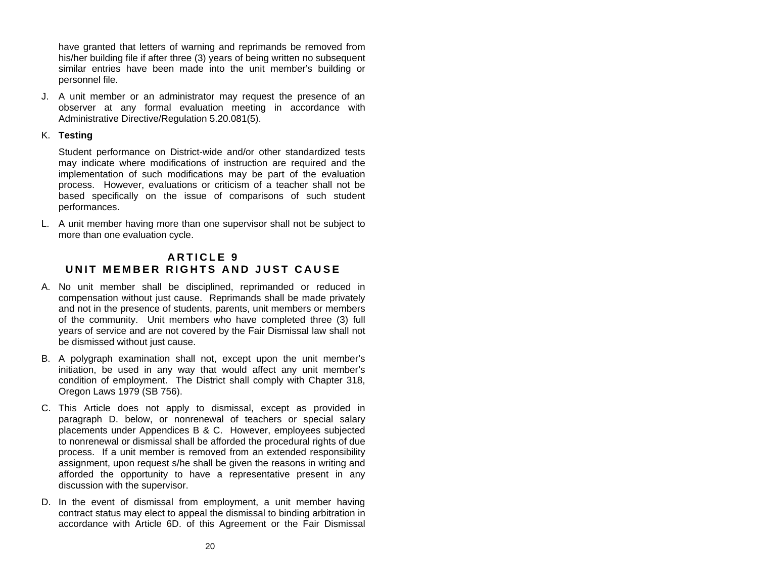<span id="page-22-0"></span>have granted that letters of warning and reprimands be removed from his/her building file if after three (3) years of being written no subsequent similar entries have been made into the unit member's building or personnel file.

J. A unit member or an administrator may request the presence of an observer at any formal evaluation meeting in accordance with Administrative Directive/Regulation 5.20.081(5).

# K. **Testing**

Student performance on District-wide and/or other standardized tests may indicate where modifications of instruction are required and the implementation of such modifications may be part of the evaluation process. However, evaluations or criticism of a teacher shall not be based specifically on the issue of comparisons of such student performances.

L. A unit member having more than one supervisor shall not be subject to more than one evaluation cycle.

# **A R T I C L E 9 U N IT MEMB E R R I G H TS AN D J U ST C A USE**

- A. No unit member shall be disciplined, reprimanded or reduced in compensation without just cause. Reprimands shall be made privately and not in the presence of students, parents, unit members or members of the community. Unit members who have completed three (3) full years of service and are not covered by the Fair Dismissal law shall not be dismissed without just cause.
- B. A polygraph examination shall not, except upon the unit member's initiation, be used in any way that would affect any unit member's condition of employment. The District shall comply with Chapter 318, Oregon Laws 1979 (SB 756).
- C. This Article does not apply to dismissal, except as provided in paragraph D. below, or nonrenewal of teachers or special salary placements under Appendices B & C. However, employees subjected to nonrenewal or dismissal shall be afforded the procedural rights of due process. If a unit member is removed from an extended responsibility assignment, upon request s/he shall be given the reasons in writing and afforded the opportunity to have a representative present in any discussion with the supervisor.
- D. In the event of dismissal from employment, a unit member having contract status may elect to appeal the dismissal to binding arbitration in accordance with Article 6D. of this Agreement or the Fair Dismissal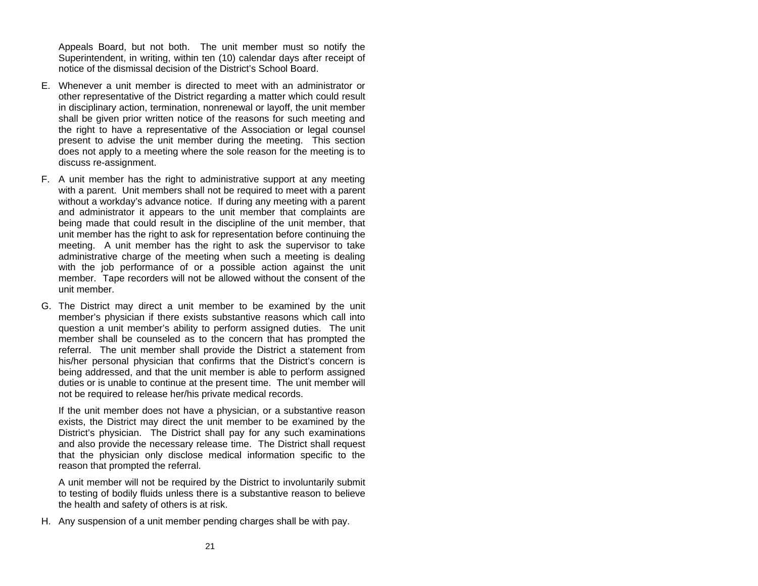Appeals Board, but not both. The unit member must so notify the Superintendent, in writing, within ten (10) calendar days after receipt of notice of the dismissal decision of the District's School Board.

- E. Whenever a unit member is directed to meet with an administrator orother representative of the District regarding a matter which could result in disciplinary action, termination, nonrenewal or layoff, the unit member shall be given prior written notice of the reasons for such meeting and the right to have a representative of the Association or legal counsel present to advise the unit member during the meeting. This section does not apply to a meeting where the sole reason for the meeting is to discuss re-assignment.
- F. A unit member has the right to administrative support at any meeting with a parent. Unit members shall not be required to meet with a parent without a workday's advance notice. If during any meeting with a parent and administrator it appears to the unit member that complaints are being made that could result in the discipline of the unit member, that unit member has the right to ask for representation before continuing the meeting. A unit member has the right to ask the supervisor to take administrative charge of the meeting when such a meeting is dealing with the job performance of or a possible action against the unit member. Tape recorders will not be allowed without the consent of the unit member.
- G. The District may direct a unit member to be examined by the unit member's physician if there exists substantive reasons which call into question a unit member's ability to perform assigned duties. The unit member shall be counseled as to the concern that has prompted the referral. The unit member shall provide the District a statement from his/her personal physician that confirms that the District's concern is being addressed, and that the unit member is able to perform assigned duties or is unable to continue at the present time. The unit member will not be required to release her/his private medical records.

If the unit member does not have a physician, or a substantive reason exists, the District may direct the unit member to be examined by the District's physician. The District shall pay for any such examinations and also provide the necessary release time. The District shall request that the physician only disclose medical information specific to the reason that prompted the referral.

A unit member will not be required by the District to involuntarily submit to testing of bodily fluids unless there is a substantive reason to believe the health and safety of others is at risk.

H. Any suspension of a unit member pending charges shall be with pay.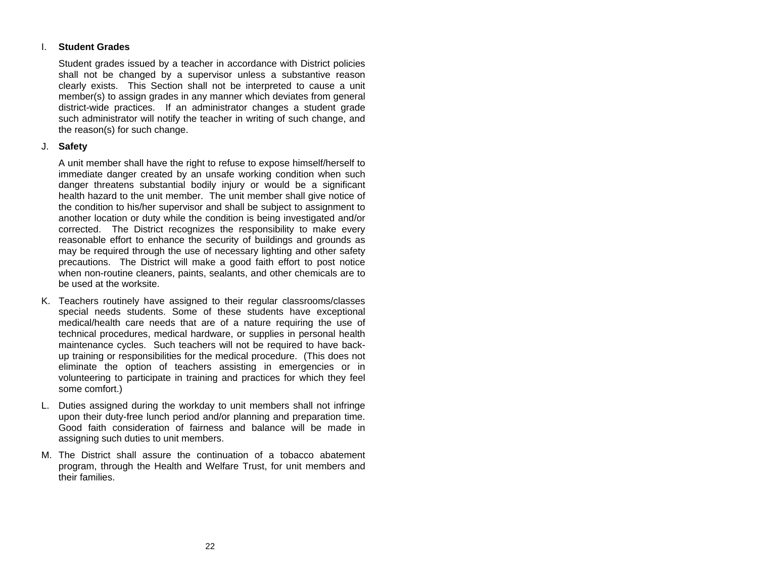#### I.**Student Grades**

Student grades issued by a teacher in accordance with District policies shall not be changed by a supervisor unless a substantive reason clearly exists. This Section shall not be interpreted to cause a unit member(s) to assign grades in any manner which deviates from general district-wide practices. If an administrator changes a student grade such administrator will notify the teacher in writing of such change, and the reason(s) for such change.

# J. **Safety**

A unit member shall have the right to refuse to expose himself/herself to immediate danger created by an unsafe working condition when such danger threatens substantial bodily injury or would be a significant health hazard to the unit member. The unit member shall give notice of the condition to his/her supervisor and shall be subject to assignment to another location or duty while the condition is being investigated and/or corrected. The District recognizes the responsibility to make every reasonable effort to enhance the security of buildings and grounds as may be required through the use of necessary lighting and other safety precautions. The District will make a good faith effort to post notice when non-routine cleaners, paints, sealants, and other chemicals are to be used at the worksite.

- K. Teachers routinely have assigned to their regular classrooms/classes special needs students. Some of these students have exceptional medical/health care needs that are of a nature requiring the use of technical procedures, medical hardware, or supplies in personal health maintenance cycles. Such teachers will not be required to have backup training or responsibilities for the medical procedure. (This does not eliminate the option of teachers assisting in emergencies or in volunteering to participate in training and practices for which they feel some comfort.)
- L. Duties assigned during the workday to unit members shall not infringe upon their duty-free lunch period and/or planning and preparation time. Good faith consideration of fairness and balance will be made in assigning such duties to unit members.
- M. The District shall assure the continuation of a tobacco abatement program, through the Health and Welfare Trust, for unit members and their families.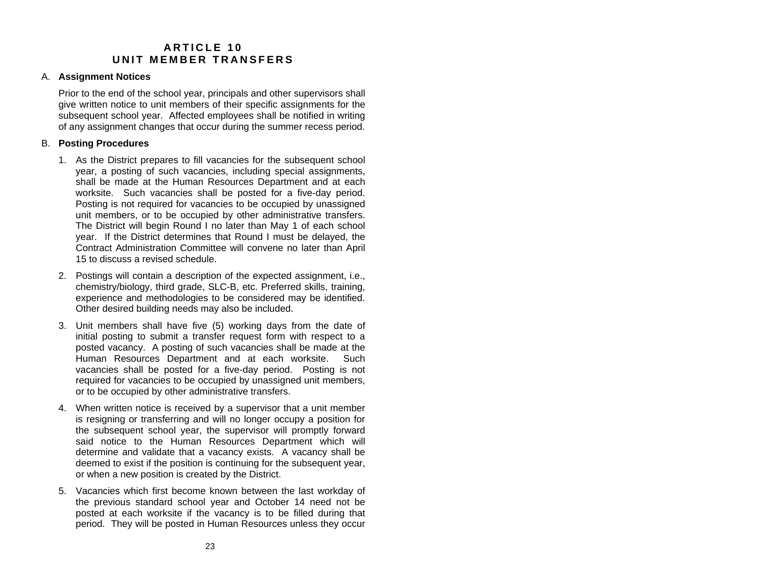# **A R T I C L E 10 UNIT MEMBER TRANSFERS**

# <span id="page-25-0"></span>A. **Assignment Notices**

Prior to the end of the school year, principals and other supervisors shall give written notice to unit members of their specific assignments for the subsequent school year. Affected employees shall be notified in writing of any assignment changes that occur during the summer recess period.

# B. **Posting Procedures**

- 1. As the District prepares to fill vacancies for the subsequent school year, a posting of such vacancies, including special assignments, shall be made at the Human Resources Department and at each worksite. Such vacancies shall be posted for a five-day period. Posting is not required for vacancies to be occupied by unassigned unit members, or to be occupied by other administrative transfers. The District will begin Round I no later than May 1 of each school year. If the District determines that Round I must be delayed, the Contract Administration Committee will convene no later than April 15 to discuss a revised schedule.
- 2. Postings will contain a description of the expected assignment, i.e., chemistry/biology, third grade, SLC-B, etc. Preferred skills, training, experience and methodologies to be considered may be identified. Other desired building needs may also be included.
- 3. Unit members shall have five (5) working days from the date of initial posting to submit a transfer request form with respect to a posted vacancy. A posting of such vacancies shall be made at the Human Resources Department and at each worksite. Such vacancies shall be posted for a five-day period. Posting is not required for vacancies to be occupied by unassigned unit members, or to be occupied by other administrative transfers.
- 4. When written notice is received by a supervisor that a unit member is resigning or transferring and will no longer occupy a position for the subsequent school year, the supervisor will promptly forward said notice to the Human Resources Department which will determine and validate that a vacancy exists. A vacancy shall be deemed to exist if the position is continuing for the subsequent year, or when a new position is created by the District.
- 5. Vacancies which first become known between the last workday of the previous standard school year and October 14 need not be posted at each worksite if the vacancy is to be filled during that period. They will be posted in Human Resources unless they occur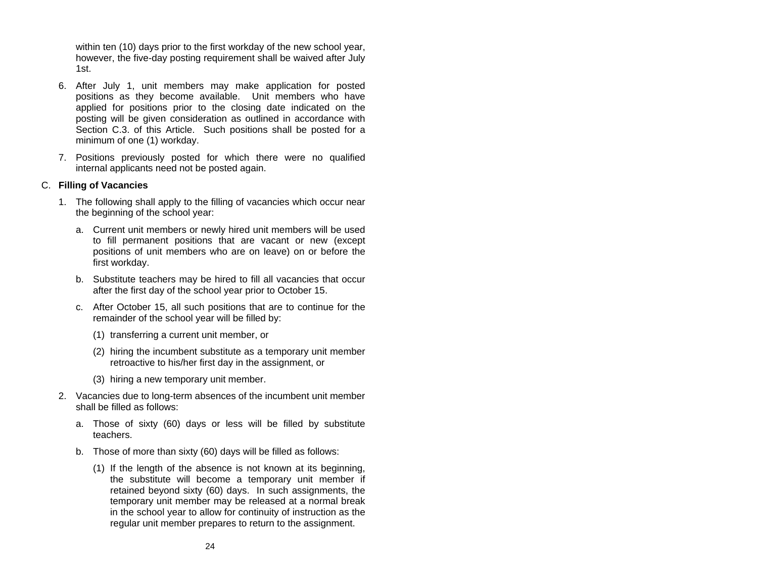within ten (10) days prior to the first workday of the new school year, however, the five-day posting requirement shall be waived after July 1st.

- 6. After July 1, unit members may make application for posted positions as they become available. Unit members who have applied for positions prior to the closing date indicated on the posting will be given consideration as outlined in accordance with Section C.3. of this Article. Such positions shall be posted for a minimum of one (1) workday.
- 7. Positions previously posted for which there were no qualified internal applicants need not be posted again.

# C. **Filling of Vacancies**

- 1. The following shall apply to the filling of vacancies which occur near the beginning of the school year:
	- a. Current unit members or newly hired unit members will be used to fill permanent positions that are vacant or new (except positions of unit members who are on leave) on or before the first workday.
	- b. Substitute teachers may be hired to fill all vacancies that occur after the first day of the school year prior to October 15.
	- c. After October 15, all such positions that are to continue for the remainder of the school year will be filled by:
		- (1) transferring a current unit member, or
		- (2) hiring the incumbent substitute as a temporary unit member retroactive to his/her first day in the assignment, or
		- (3) hiring a new temporary unit member.
- 2. Vacancies due to long-term absences of the incumbent unit member shall be filled as follows:
	- a. Those of sixty (60) days or less will be filled by substitute teachers.
	- b. Those of more than sixty (60) days will be filled as follows:
		- (1) If the length of the absence is not known at its beginning, the substitute will become a temporary unit member if retained beyond sixty (60) days. In such assignments, the temporary unit member may be released at a normal break in the school year to allow for continuity of instruction as the regular unit member prepares to return to the assignment.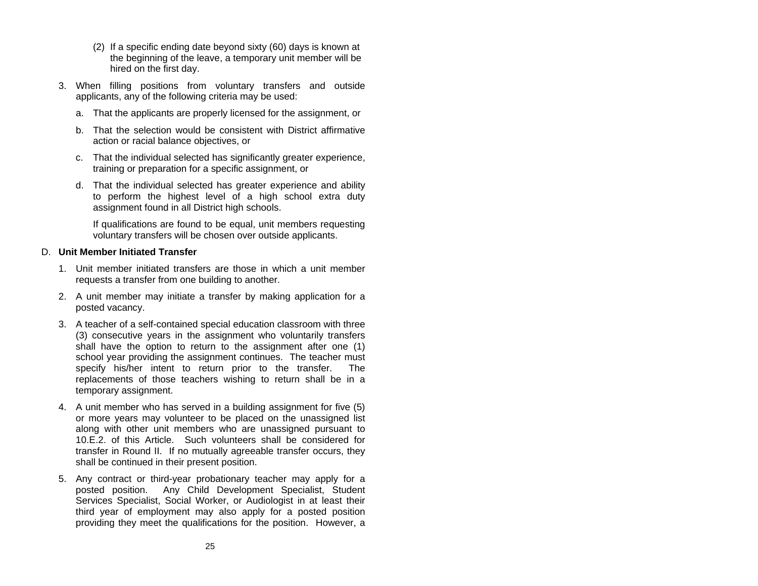- (2) If a specific ending date beyond sixty (60) days is known at the beginning of the leave, a temporary unit member will be hired on the first day.
- 3. When filling positions from voluntary transfers and outside applicants, any of the following criteria may be used:
	- a. That the applicants are properly licensed for the assignment, or
	- b. That the selection would be consistent with District affirmative action or racial balance objectives, or
	- c. That the individual selected has significantly greater experience, training or preparation for a specific assignment, or
	- d. That the individual selected has greater experience and ability to perform the highest level of a high school extra duty assignment found in all District high schools.

If qualifications are found to be equal, unit members requesting voluntary transfers will be chosen over outside applicants.

# D. **Unit Member Initiated Transfer**

- 1. Unit member initiated transfers are those in which a unit member requests a transfer from one building to another.
- 2. A unit member may initiate a transfer by making application for a posted vacancy.
- 3. A teacher of a self-contained special education classroom with three (3) consecutive years in the assignment who voluntarily transfers shall have the option to return to the assignment after one (1) school year providing the assignment continues. The teacher must specify his/her intent to return prior to the transfer. The replacements of those teachers wishing to return shall be in a temporary assignment.
- 4. A unit member who has served in a building assignment for five (5) or more years may volunteer to be placed on the unassigned list along with other unit members who are unassigned pursuant to 10.E.2. of this Article. Such volunteers shall be considered for transfer in Round II. If no mutually agreeable transfer occurs, they shall be continued in their present position.
- 5. Any contract or third-year probationary teacher may apply for a posted position. Any Child Development Specialist, Student Services Specialist, Social Worker, or Audiologist in at least their third year of employment may also apply for a posted position providing they meet the qualifications for the position. However, a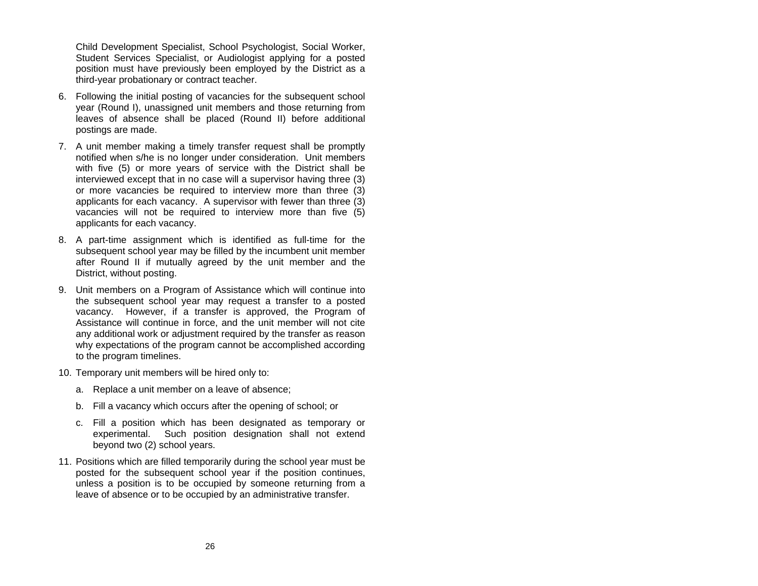Child Development Specialist, School Psychologist, Social Worker, Student Services Specialist, or Audiologist applying for a posted position must have previously been employed by the District as a third-year probationary or contract teacher.

- 6. Following the initial posting of vacancies for the subsequent school year (Round I), unassigned unit members and those returning from leaves of absence shall be placed (Round II) before additional postings are made.
- 7. A unit member making a timely transfer request shall be promptly notified when s/he is no longer under consideration. Unit members with five (5) or more years of service with the District shall be interviewed except that in no case will a supervisor having three (3) or more vacancies be required to interview more than three (3) applicants for each vacancy. A supervisor with fewer than three (3) vacancies will not be required to interview more than five (5) applicants for each vacancy.
- 8. A part-time assignment which is identified as full-time for the subsequent school year may be filled by the incumbent unit member after Round II if mutually agreed by the unit member and the District, without posting.
- 9. Unit members on a Program of Assistance which will continue into the subsequent school year may request a transfer to a posted vacancy. However, if a transfer is approved, the Program of Assistance will continue in force, and the unit member will not cite any additional work or adjustment required by the transfer as reason why expectations of the program cannot be accomplished according to the program timelines.
- 10. Temporary unit members will be hired only to:
	- a. Replace a unit member on a leave of absence;
	- b. Fill a vacancy which occurs after the opening of school; or
	- c. Fill a position which has been designated as temporary or experimental. Such position designation shall not extend beyond two (2) school years.
- 11. Positions which are filled temporarily during the school year must be posted for the subsequent school year if the position continues, unless a position is to be occupied by someone returning from <sup>a</sup> leave of absence or to be occupied by an administrative transfer.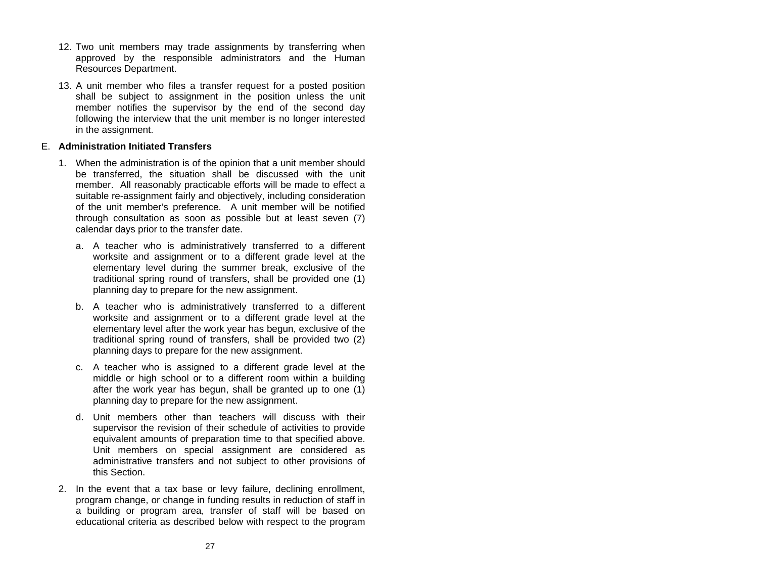- 12. Two unit members may trade assignments by transferring when approved by the responsible administrators and the Human Resources Department.
- 13. A unit member who files a transfer request for a posted position shall be subject to assignment in the position unless the unit member notifies the supervisor by the end of the second day following the interview that the unit member is no longer interested in the assignment.

# E. **Administration Initiated Transfers**

- 1. When the administration is of the opinion that a unit member should be transferred, the situation shall be discussed with the unit member. All reasonably practicable efforts will be made to effect a suitable re-assignment fairly and objectively, including consideration of the unit member's preference. A unit member will be notified through consultation as soon as possible but at least seven (7) calendar days prior to the transfer date.
	- a. A teacher who is administratively transferred to a different worksite and assignment or to a different grade level at the elementary level during the summer break, exclusive of the traditional spring round of transfers, shall be provided one (1) planning day to prepare for the new assignment.
	- b. A teacher who is administratively transferred to a different worksite and assignment or to a different grade level at the elementary level after the work year has begun, exclusive of the traditional spring round of transfers, shall be provided two (2) planning days to prepare for the new assignment.
	- c. A teacher who is assigned to a different grade level at the middle or high school or to a different room within a building after the work year has begun, shall be granted up to one (1) planning day to prepare for the new assignment.
	- d. Unit members other than teachers will discuss with their supervisor the revision of their schedule of activities to provide equivalent amounts of preparation time to that specified above. Unit members on special assignment are considered as administrative transfers and not subject to other provisions of this Section.
- 2. In the event that a tax base or levy failure, declining enrollment, program change, or change in funding results in reduction of staff in a building or program area, transfer of staff will be based on educational criteria as described below with respect to the program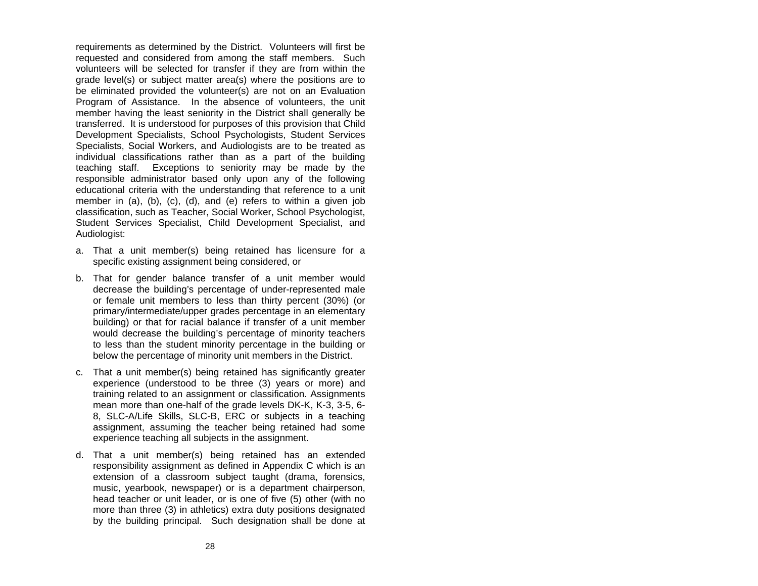requirements as determined by the District. Volunteers will first be requested and considered from among the staff members. Such volunteers will be selected for transfer if they are from within the grade level(s) or subject matter area(s) where the positions are to be eliminated provided the volunteer(s) are not on an Evaluation Program of Assistance. In the absence of volunteers, the unit member having the least seniority in the District shall generally be transferred. It is understood for purposes of this provision that Child Development Specialists, School Psychologists, Student Services Specialists, Social Workers, and Audiologists are to be treated as individual classifications rather than as a part of the building teaching staff. Exceptions to seniority may be made by the responsible administrator based only upon any of the following educational criteria with the understanding that reference to a unit member in (a), (b), (c), (d), and (e) refers to within a given job classification, such as Teacher, Social Worker, School Psychologist, Student Services Specialist, Child Development Specialist, and Audiologist:

- a. That a unit member(s) being retained has licensure for a specific existing assignment being considered, or
- b. That for gender balance transfer of a unit member would decrease the building's percentage of under-represented male or female unit members to less than thirty percent (30%) (or primary/intermediate/upper grades percentage in an elementary building) or that for racial balance if transfer of a unit member would decrease the building's percentage of minority teachers to less than the student minority percentage in the building or below the percentage of minority unit members in the District.
- c. That a unit member(s) being retained has significantly greater experience (understood to be three (3) years or more) and training related to an assignment or classification. Assignments mean more than one-half of the grade levels DK-K, K-3, 3-5, 6- 8, SLC-A/Life Skills, SLC-B, ERC or subjects in a teaching assignment, assuming the teacher being retained had some experience teaching all subjects in the assignment.
- d. That a unit member(s) being retained has an extended responsibility assignment as defined in Appendix C which is an extension of a classroom subject taught (drama, forensics, music, yearbook, newspaper) or is a department chairperson, head teacher or unit leader, or is one of five (5) other (with no more than three (3) in athletics) extra duty positions designated by the building principal. Such designation shall be done at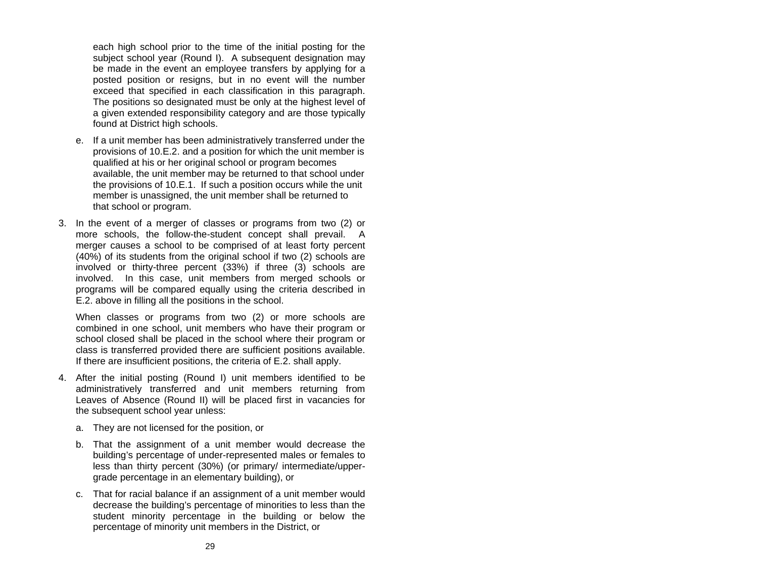each high school prior to the time of the initial posting for the subject school year (Round I). A subsequent designation may be made in the event an employee transfers by applying for a posted position or resigns, but in no event will the number exceed that specified in each classification in this paragraph. The positions so designated must be only at the highest level of a given extended responsibility category and are those typically found at District high schools.

- e. If a unit member has been administratively transferred under the provisions of 10.E.2. and a position for which the unit member is qualified at his or her original school or program becomes available, the unit member may be returned to that school under the provisions of 10.E.1. If such a position occurs while the unit member is unassigned, the unit member shall be returned to that school or program.
- 3. In the event of a merger of classes or programs from two (2) or more schools, the follow-the-student concept shall prevail. A merger causes a school to be comprised of at least forty percent (40%) of its students from the original school if two (2) schools are involved or thirty-three percent (33%) if three (3) schools are involved. In this case, unit members from merged schools or programs will be compared equally using the criteria described in E.2. above in filling all the positions in the school.

When classes or programs from two (2) or more schools are combined in one school, unit members who have their program or school closed shall be placed in the school where their program or class is transferred provided there are sufficient positions available. If there are insufficient positions, the criteria of E.2. shall apply.

- 4. After the initial posting (Round I) unit members identified to be administratively transferred and unit members returning from Leaves of Absence (Round II) will be placed first in vacancies for the subsequent school year unless:
	- a. They are not licensed for the position, or
	- b. That the assignment of a unit member would decrease the building's percentage of under-represented males or females to less than thirty percent (30%) (or primary/ intermediate/uppergrade percentage in an elementary building), or
	- c. That for racial balance if an assignment of a unit member would decrease the building's percentage of minorities to less than the student minority percentage in the building or below the percentage of minority unit members in the District, or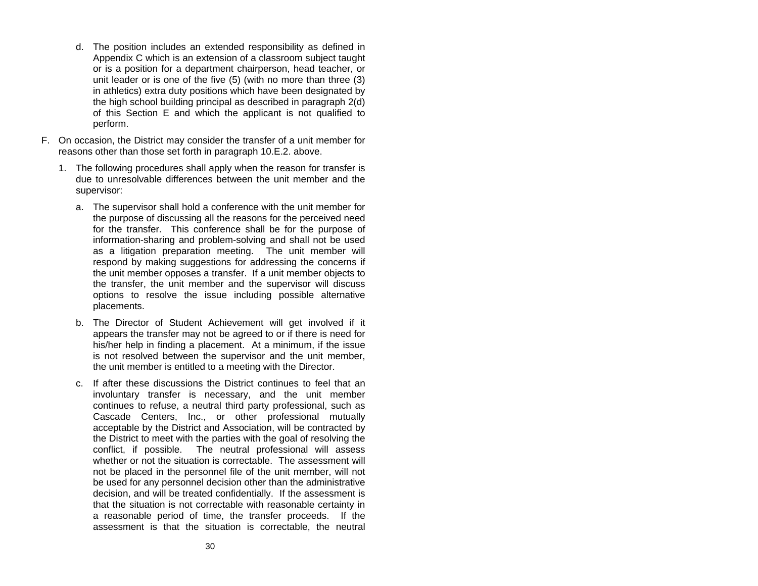- d. The position includes an extended responsibility as defined in Appendix C which is an extension of a classroom subject taught or is a position for a department chairperson, head teacher, or unit leader or is one of the five (5) (with no more than three (3) in athletics) extra duty positions which have been designated by the high school building principal as described in paragraph 2(d) of this Section E and which the applicant is not qualified to perform.
- F. On occasion, the District may consider the transfer of a unit member for reasons other than those set forth in paragraph 10.E.2. above.
	- 1. The following procedures shall apply when the reason for transfer is due to unresolvable differences between the unit member and the supervisor:
		- a. The supervisor shall hold a conference with the unit member for the purpose of discussing all the reasons for the perceived need for the transfer. This conference shall be for the purpose of information-sharing and problem-solving and shall not be used as a litigation preparation meeting. The unit member will respond by making suggestions for addressing the concerns if the unit member opposes a transfer. If a unit member objects to the transfer, the unit member and the supervisor will discuss options to resolve the issue including possible alternative placements.
		- b. The Director of Student Achievement will get involved if it appears the transfer may not be agreed to or if there is need for his/her help in finding a placement. At a minimum, if the issue is not resolved between the supervisor and the unit member, the unit member is entitled to a meeting with the Director.
		- c. If after these discussions the District continues to feel that aninvoluntary transfer is necessary, and the unit member continues to refuse, a neutral third party professional, such as Cascade Centers, Inc., or other professional mutually acceptable by the District and Association, will be contracted by the District to meet with the parties with the goal of resolving the conflict, if possible. The neutral professional will assess whether or not the situation is correctable. The assessment will not be placed in the personnel file of the unit member, will not be used for any personnel decision other than the administrative decision, and will be treated confidentially. If the assessment is that the situation is not correctable with reasonable certainty in a reasonable period of time, the transfer proceeds. If the assessment is that the situation is correctable, the neutral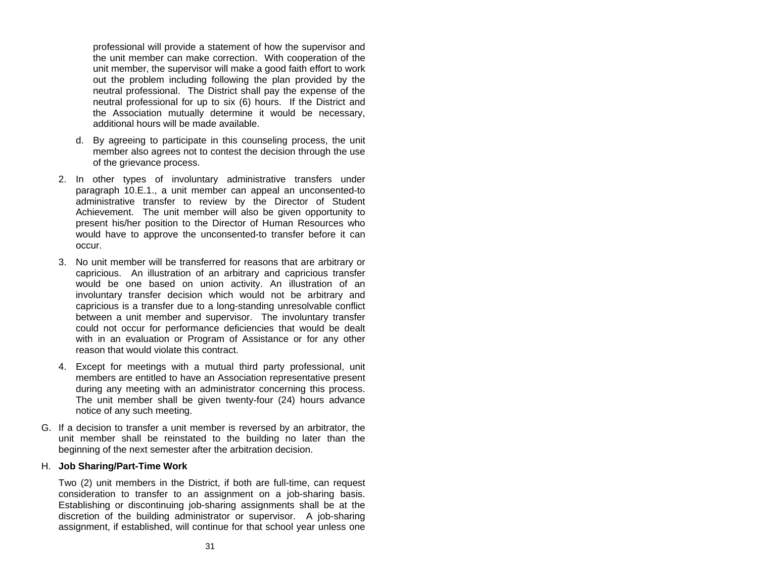professional will provide a statement of how the supervisor and the unit member can make correction. With cooperation of the unit member, the supervisor will make a good faith effort to work out the problem including following the plan provided by the neutral professional. The District shall pay the expense of the neutral professional for up to six (6) hours. If the District and the Association mutually determine it would be necessary, additional hours will be made available.

- d. By agreeing to participate in this counseling process, the unit member also agrees not to contest the decision through the use of the grievance process.
- 2. In other types of involuntary administrative transfers under paragraph 10.E.1., a unit member can appeal an unconsented-to administrative transfer to review by the Director of Student Achievement. The unit member will also be given opportunity to present his/her position to the Director of Human Resources who would have to approve the unconsented-to transfer before it can occur.
- 3. No unit member will be transferred for reasons that are arbitrary or capricious. An illustration of an arbitrary and capricious transfer would be one based on union activity. An illustration of an involuntary transfer decision which would not be arbitrary and capricious is a transfer due to a long-standing unresolvable conflict between a unit member and supervisor. The involuntary transfer could not occur for performance deficiencies that would be dealt with in an evaluation or Program of Assistance or for any other reason that would violate this contract.
- 4. Except for meetings with a mutual third party professional, unit members are entitled to have an Association representative present during any meeting with an administrator concerning this process. The unit member shall be given twenty-four (24) hours advance notice of any such meeting.
- G. If a decision to transfer a unit member is reversed by an arbitrator, the unit member shall be reinstated to the building no later than the beginning of the next semester after the arbitration decision.

#### H. **Job Sharing/Part-Time Work**

Two (2) unit members in the District, if both are full-time, can request consideration to transfer to an assignment on a job-sharing basis. Establishing or discontinuing job-sharing assignments shall be at the discretion of the building administrator or supervisor. A job-sharing assignment, if established, will continue for that school year unless one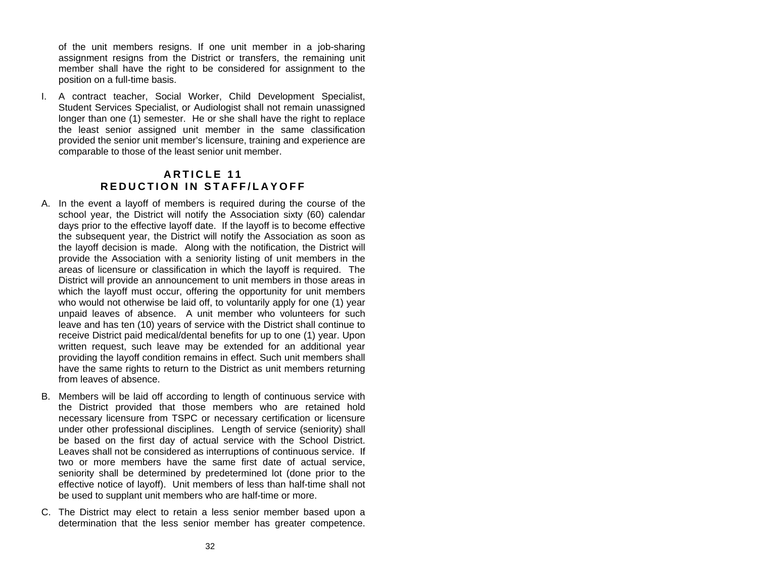<span id="page-34-0"></span>of the unit members resigns. If one unit member in a job-sharing assignment resigns from the District or transfers, the remaining unit member shall have the right to be considered for assignment to the position on a full-time basis.

I. A contract teacher, Social Worker, Child Development Specialist, Student Services Specialist, or Audiologist shall not remain unassigned longer than one (1) semester. He or she shall have the right to replace the least senior assigned unit member in the same classification provided the senior unit member's licensure, training and experience are comparable to those of the least senior unit member.

# **A R T I C L E 11 REDUCT I ON I N STAF F/L A YOFF**

- A. In the event a layoff of members is required during the course of the school year, the District will notify the Association sixty (60) calendar days prior to the effective layoff date. If the layoff is to become effective the subsequent year, the District will notify the Association as soon as the layoff decision is made. Along with the notification, the District will provide the Association with a seniority listing of unit members in the areas of licensure or classification in which the layoff is required. The District will provide an announcement to unit members in those areas in which the layoff must occur, offering the opportunity for unit members who would not otherwise be laid off, to voluntarily apply for one (1) year unpaid leaves of absence. A unit member who volunteers for such leave and has ten (10) years of service with the District shall continue to receive District paid medical/dental benefits for up to one (1) year. Upon written request, such leave may be extended for an additional year providing the layoff condition remains in effect. Such unit members shall have the same rights to return to the District as unit members returning from leaves of absence.
- B. Members will be laid off according to length of continuous service with the District provided that those members who are retained hold necessary licensure from TSPC or necessary certification or licensure under other professional disciplines. Length of service (seniority) shall be based on the first day of actual service with the School District. Leaves shall not be considered as interruptions of continuous service. If two or more members have the same first date of actual service, seniority shall be determined by predetermined lot (done prior to the effective notice of layoff). Unit members of less than half-time shall not be used to supplant unit members who are half-time or more.
- C. The District may elect to retain a less senior member based upon a determination that the less senior member has greater competence.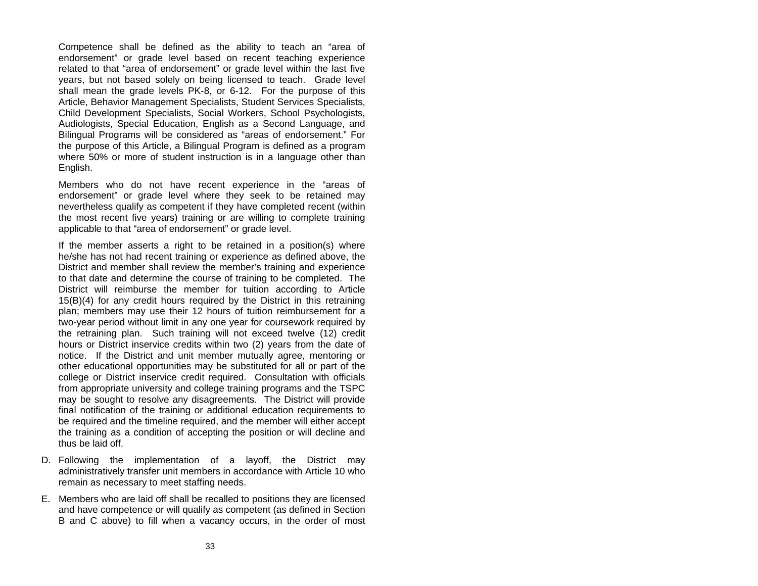Competence shall be d efined as the ability to teach an "area of endorsement" or grade l evel based on recent teaching exp erience related to that "area of endorsement" or grade level within the last five years, but not based solely on being licensed to teach. Grade level shall mean the grade lev els PK-8, or 6-12. For the purpose of this Article, Behavior Management Specialists, Student Services Specialists, Child Development Specialists, Social Workers, School Psychologists, Audiologists, Special Education, English as a Second Language, and Bilingual Pro grams will be consi dered as "areas of endorsement." For the purpose of this Article, a Bilingual Program is defined as a pro gram where 50% or more of student instruction is in a language other than English.

Members who do not have recent experience in the "areas of endorsement" or grade level where they seek to be retained may nevertheless qualify as competent if they have com pleted recent (within the most recent five years) training or are willing to complete training applicable to that "area of endorsement" or grade lev el.

If th e member ass erts a right to be retained in a p osition(s) where he/she h as n ot had recent training or e xperience as defined above, the District and member shall review the member's training and experience to that date and determine the course of training to be compl eted. TheDistrict will reimburse the member for tuition according to Article 15(B)(4) for any cre dit hours require d by the District in this retraining plan; mem bers may use their 1 2 hours of tuition reimbursement for atwo-year period without limit in any one year for coursework required b y the retraining plan. Such training will not exceed twelve (12) credit hours or District inservice credits within two (2) years from the d ate of notice. If the District and unit member mutually a gree, mentoring or other educational opportunities m ay be substituted f or all or part of the college or District inservice credit required. Consultation with officials from appropriate university and college training programs and the TSPC may be sought to resolve any disagreements. The District will provide final notification of the training or additional education requirem ents to be required and the timeline required, and the mem ber will either accept the training as a condition of accepting the position or will d ecline and thus be laid off.

- D. Following the implementation of a layoff, the District may administratively transfer unit members in accordance with Article 10 wh oremain as necessary to meet staffing needs.
- E. Members who are lai d off shall b e recalled to positions they are licensed and have competence or will qualify as competent (as defined in Section B and C above) to fill when a vacancy occurs, in the ord er of most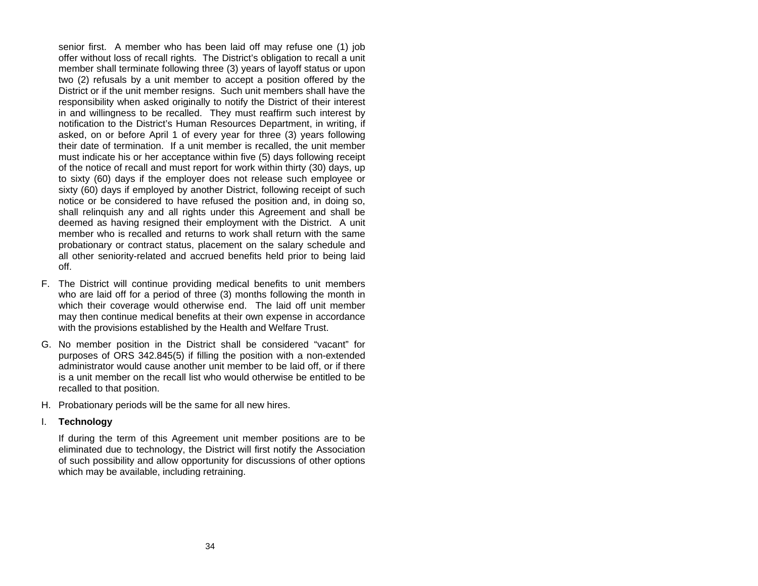senior first. A member who has been laid off may refuse one (1) job offer without loss of recall rights. The District's obligation to recall a unit member shall terminate following three (3) years of layoff status or upon two (2) refusals by a unit member to accept a position offered by the District or if the unit member resigns. Such unit members shall have the responsibility when asked originally to notify the District of their interest in and willingness to be recalled. They must reaffirm such interest by notification to the District's Human Resources Department, in writing, if asked, on or before April 1 of every year for three (3) years following their date of termination. If a unit member is recalled, the unit member must indicate his or her acceptance within five (5) days following receipt of the notice of recall and must report for work within thirty (30) days, up to sixty (60) days if the employer does not release such employee or sixty (60) days if employed by another District, following receipt of such notice or be considered to have refused the position and, in doing so, shall relinquish any and all rights under this Agreement and shall be deemed as having resigned their employment with the District. A unit member who is recalled and returns to work shall return with the same probationary or contract status, placement on the salary schedule and all other seniority-related and accrued benefits held prior to being laid off.

- F. The District will continue providing medical benefits to unit members who are laid off for a period of three (3) months following the month in which their coverage would otherwise end. The laid off unit member may then continue medical benefits at their own expense in accordance with the provisions established by the Health and Welfare Trust.
- G. No member position in the District shall be considered "vacant" for purposes of ORS 342.845(5) if filling the position with a non-extended administrator would cause another unit member to be laid off, or if there is a unit member on the recall list who would otherwise be entitled to berecalled to that position.
- H. Probationary periods will be the same for all new hires.

#### I. **Technology**

If during the term of this Agreement unit member positions are to be eliminated due to technology, the District will first notify the Association of such possibility and allow opportunity for discussions of other options which may be available, including retraining.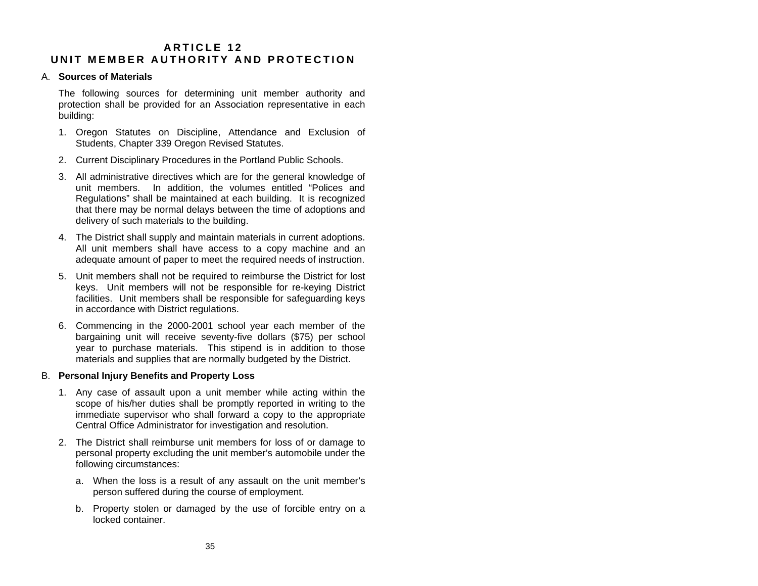# **A R T I C L E 12 U N IT MEMB E R AU THO R ITY AN D PROTECTIO N**

### A. **Sources of Materials**

The following sources for determining unit member authority and protection shall be provided for an Association representative in each building:

- 1. Oregon Statutes on Discipline, Attendance and Exclusion of Students, Chapter 339 Oregon Revised Statutes.
- 2. Current Disciplinary Procedures in the Portland Public Schools.
- 3. All administrative directives which are for the general knowledge of unit members. In addition, the volumes entitled "Polices and Regulations" shall be maintained at each building. It is recognized that there may be normal delays between the time of adoptions and delivery of such materials to the building.
- 4. The District shall supply and maintain materials in current adoptions. All unit members shall have access to a copy machine and an adequate amount of paper to meet the required needs of instruction.
- 5. Unit members shall not be required to reimburse the District for lost keys. Unit members will not be responsible for re-keying District facilities. Unit members shall be responsible for safeguarding keys in accordance with District regulations.
- 6. Commencing in the 2000-2001 school year each member of the bargaining unit will receive seventy-five dollars (\$75) per school year to purchase materials. This stipend is in addition to those materials and supplies that are normally budgeted by the District.

# B. **Personal Injury Benefits and Property Loss**

- 1. Any case of assault upon a unit member while acting within the scope of his/her duties shall be promptly reported in writing to the immediate supervisor who shall forward a copy to the appropriate Central Office Administrator for investigation and resolution.
- 2. The District shall reimburse unit members for loss of or damage to personal property excluding the unit member's automobile under the following circumstances:
	- a. When the loss is a result of any assault on the unit member's person suffered during the course of employment.
	- b. Property stolen or damaged by the use of forcible entry on a locked container.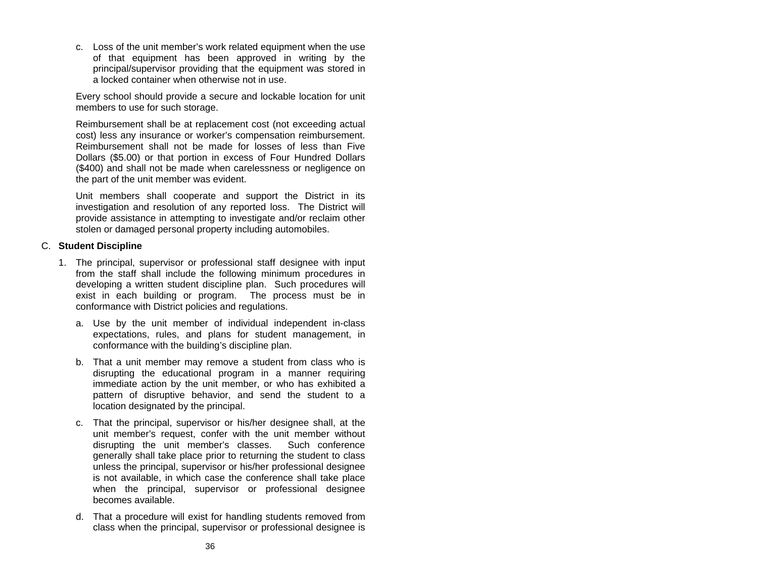c. Loss of the unit member's work related equipment when the use of that equipment has been approved in writing by the principal/supervisor providing that the equipment was stored in a locked container when otherwise not in use.

Every school should provide a secure and lockable location for unit members to use for such storage.

Reimbursement shall be at replacement cost (not exceeding actual cost) less any insurance or worker's compensation reimbursement. Reimbursement shall not be made for losses of less than Five Dollars (\$5.00) or that portion in excess of Four Hundred Dollars (\$400) and shall not be made when carelessness or negligence on the part of the unit member was evident.

Unit members shall cooperate and support the District in its investigation and resolution of any reported loss. The District will provide assistance in attempting to investigate and/or reclaim other stolen or damaged personal property including automobiles.

## C. **Student Discipline**

- 1. The principal, supervisor or professional staff designee with input from the staff shall include the following minimum procedures in developing a written student discipline plan. Such procedures will exist in each building or program. The process must be in conformance with District policies and regulations.
	- a. Use by the unit member of individual independent in-class expectations, rules, and plans for student management, in conformance with the building's discipline plan.
	- b. That a unit member may remove a student from class who is disrupting the educational program in a manner requiring immediate action by the unit member, or who has exhibited a pattern of disruptive behavior, and send the student to a location designated by the principal.
	- c. That the principal, supervisor or his/her designee shall, at the unit member's request, confer with the unit member without disrupting the unit member's classes. Such conference generally shall take place prior to returning the student to class unless the principal, supervisor or his/her professional designee is not available, in which case the conference shall take place when the principal, supervisor or professional designee becomes available.
	- d. That a procedure will exist for handling students removed from class when the principal, supervisor or professional designee is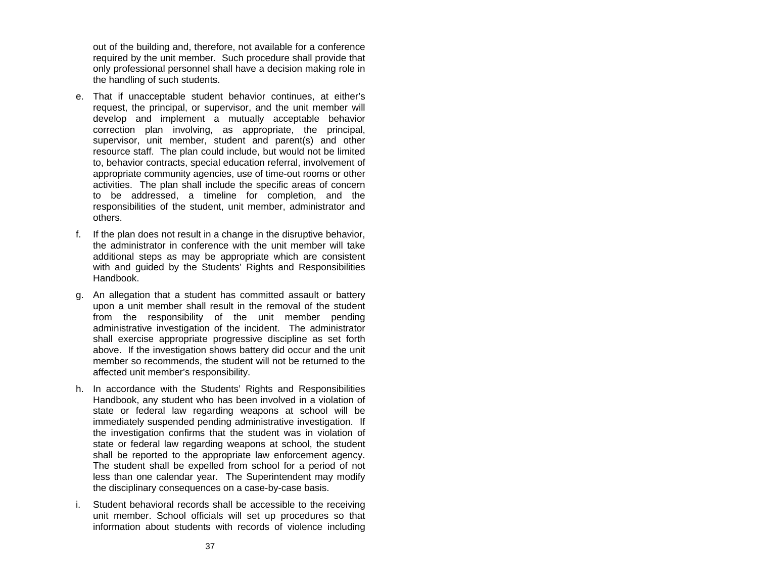out of the building and, therefore, not available for a conference required by the unit member. Such procedure shall provide that only professional personnel shall have a decision making role in the handling of such students.

- e. That if unacceptable student behavior continues, at either's request, the principal, or supervisor, and the unit member will develop and implement a mutually acceptable behavior correction plan involving, as appropriate, the principal, supervisor, unit member, student and parent(s) and other resource staff. The plan could include, but would not be limited to, behavior contracts, special education referral, involvement of appropriate community agencies, use of time-out rooms or other activities. The plan shall include the specific areas of concern to be addressed, a timeline for completion, and the responsibilities of the student, unit member, administrator and others.
- f. If the plan does not result in a change in the disruptive behavior, the administrator in conference with the unit member will take additional steps as may be appropriate which are consistent with and guided by the Students' Rights and Responsibilities Handbook.
- g. An allegation that a student has committed assault or battery upon a unit member shall result in the removal of the student from the responsibility of the unit member pending administrative investigation of the incident. The administrator shall exercise appropriate progressive discipline as set forth above. If the investigation shows battery did occur and the unit member so recommends, the student will not be returned to the affected unit member's responsibility.
- h. In accordance with the Students' Rights and Responsibilities Handbook, any student who has been involved in a violation of state or federal law regarding weapons at school will be immediately suspended pending administrative investigation. If the investigation confirms that the student was in violation of state or federal law regarding weapons at school, the student shall be reported to the appropriate law enforcement agency. The student shall be expelled from school for a period of not less than one calendar year. The Superintendent may modify the disciplinary consequences on a case-by-case basis.
- i. Student behavioral records shall be accessible to the receiving unit member. School officials will set up procedures so that information about students with records of violence including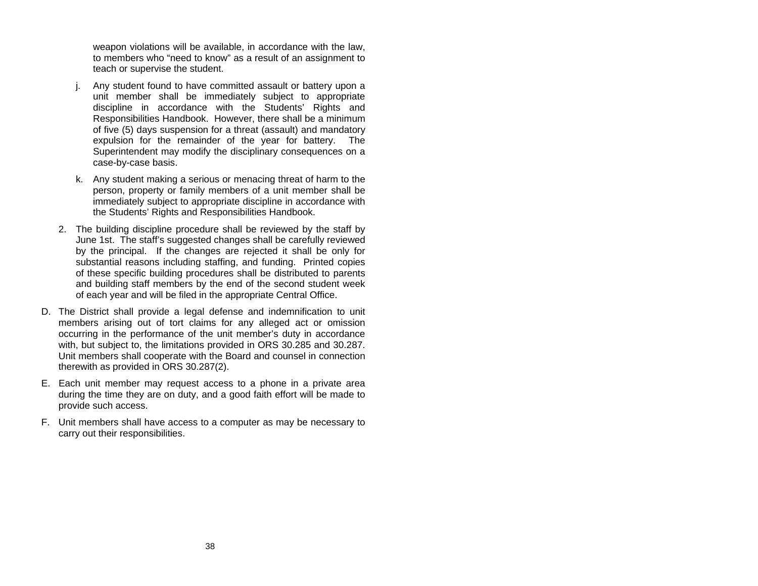weapon violations will be available, in accordance with the law, to members who "need to know" as a result of an assignment to teach or supervise the student.

- j. Any student found to have committed assault or battery upon a unit member shall be immediately subject to appropriate discipline in accordance with the Students' Rights and Responsibilities Handbook. However, there shall be a minimum of five (5) days suspension for a threat (assault) and mandatory expulsion for the remainder of the year for battery. The Superintendent may modify the disciplinary consequences on a case-by-case basis.
- k. Any student making a serious or menacing threat of harm to the person, property or family members of a unit member shall be immediately subject to appropriate discipline in accordance with the Students' Rights and Responsibilities Handbook.
- 2. The building discipline procedure shall be reviewed by the staff by June 1st. The staff's suggested changes shall be carefully reviewed by the principal. If the changes are rejected it shall be only for substantial reasons including staffing, and funding. Printed copies of these specific building procedures shall be distributed to parents and building staff members by the end of the second student week of each year and will be filed in the appropriate Central Office.
- D. The District shall provide a legal defense and indemnification to unit members arising out of tort claims for any alleged act or omission occurring in the performance of the unit member's duty in accordance with, but subject to, the limitations provided in ORS 30.285 and 30.287. Unit members shall cooperate with the Board and counsel in connection therewith as provided in ORS 30.287(2).
- E. Each unit member may request access to a phone in a private area during the time they are on duty, and a good faith effort will be made to provide such access.
- F. Unit members shall have access to a computer as may be necessary to carry out their responsibilities.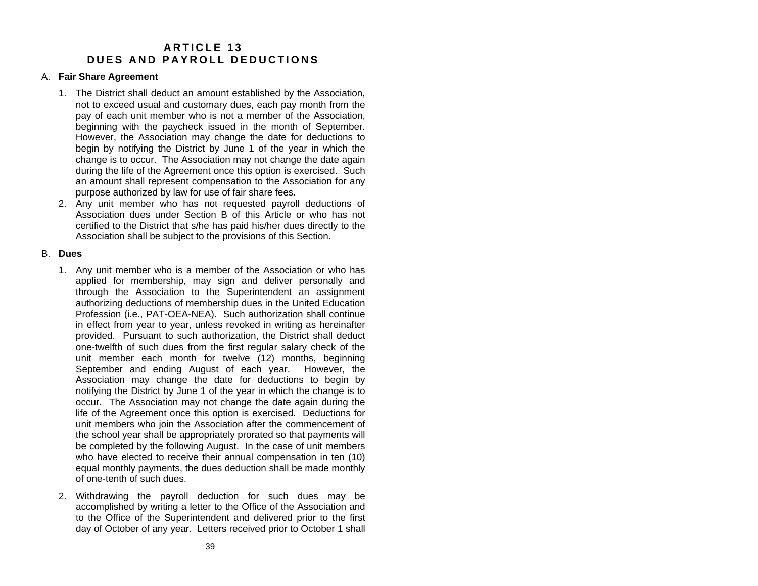# **A R T I C L E 13 D U ES A N D PAYRO L L DEDUC TION S**

### A. **Fair Share Agreement**

- 1. The District shall deduct an amount established by the Association, not to exceed usual and customary dues, each pay month from the pay of each unit member who is not a member of the Association, beginning with the paycheck issued in the month of September. However, the Association may change the date for deductions to begin by notifying the District by June 1 of the year in which the change is to occur. The Association may not change the date again during the life of the Agreement once this option is exercised. Such an amount shall represent compensation to the Association for any purpose authorized by law for use of fair share fees.
- 2. Any unit member who has not requested payroll deductions of Association dues under Section B of this Article or who has notcertified to the District that s/he has paid his/her dues directly to the Association shall be subject to the provisions of this Section.

## B. **Dues**

- 1. Any unit member who is a member of the Association or who has applied for membership, may sign and deliver personally and through the Association to the Superintendent an assignment authorizing deductions of membership dues in the United Education Profession (i.e., PAT-OEA-NEA). Such authorization shall continue in effect from year to year, unless revoked in writing as hereinafter provided. Pursuant to such authorization, the District shall deduct one-twelfth of such dues from the first regular salary check of the unit member each month for twelve (12) months, beginning September and ending August of each year. However, the Association may change the date for deductions to begin by notifying the District by June 1 of the year in which the change is to occur. The Association may not change the date again during the life of the Agreement once this option is exercised. Deductions for unit members who join the Association after the commencement of the school year shall be appropriately prorated so that payments will be completed by the following August. In the case of unit members who have elected to receive their annual compensation in ten (10) equal monthly payments, the dues deduction shall be made monthly of one-tenth of such dues.
- 2. Withdrawing the payroll deduction for such dues may be accomplished by writing a letter to the Office of the Association and to the Office of the Superintendent and delivered prior to the first day of October of any year. Letters received prior to October 1 shall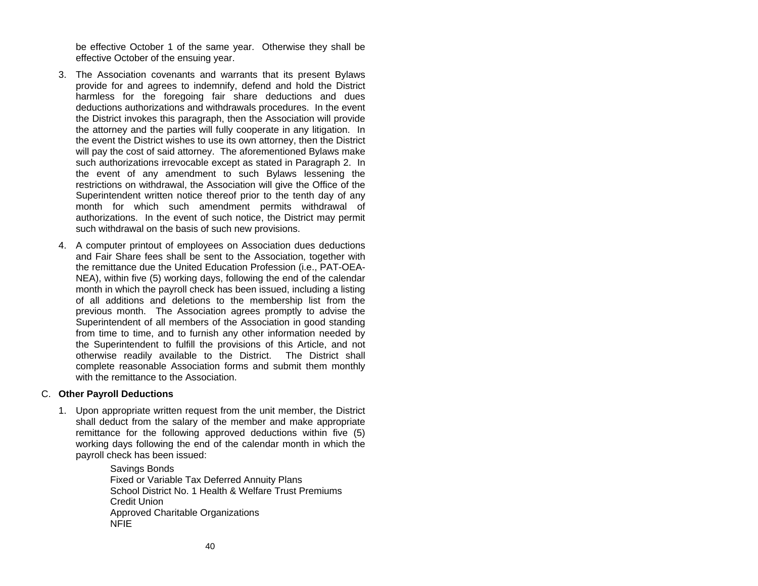be effective October 1 of the same year. Otherwise they shall be effective October of the ensuing year.

- 3. The Association covenants and warrants that its present Bylaws provide for and agrees to indemnify, defend and hold the District harmless for the foregoing fair share deductions and dues deductions authorizations and withdrawals procedures. In the event the District invokes this paragraph, then the Association will provide the attorney and the parties will fully cooperate in any litigation. In the event the District wishes to use its own attorney, then the District will pay the cost of said attorney. The aforementioned Bylaws make such authorizations irrevocable except as stated in Paragraph 2. In the event of any amendment to such Bylaws lessening the restrictions on withdrawal, the Association will give the Office of the Superintendent written notice thereof prior to the tenth day of any month for which such amendment permits withdrawal of authorizations. In the event of such notice, the District may permit such withdrawal on the basis of such new provisions.
- 4. A computer printout of employees on Association dues deductions and Fair Share fees shall be sent to the Association, together with the remittance due the United Education Profession (i.e., PAT-OEA-NEA), within five (5) working days, following the end of the calendar month in which the payroll check has been issued, including a listing of all additions and deletions to the membership list from the previous month. The Association agrees promptly to advise the Superintendent of all members of the Association in good standing from time to time, and to furnish any other information needed by the Superintendent to fulfill the provisions of this Article, and not otherwise readily available to the District. The District shall complete reasonable Association forms and submit them monthly with the remittance to the Association.

# C. **Other Payroll Deductions**

1. Upon appropriate written request from the unit member, the District shall deduct from the salary of the member and make appropriate remittance for the following approved deductions within five (5) working days following the end of the calendar month in which the payroll check has been issued:

> Savings Bonds Fixed or Variable Tax Deferred Annuity Plans School District No. 1 Health & Welfare Trust Premiums Credit Union Approved Charitable Organizations NFIE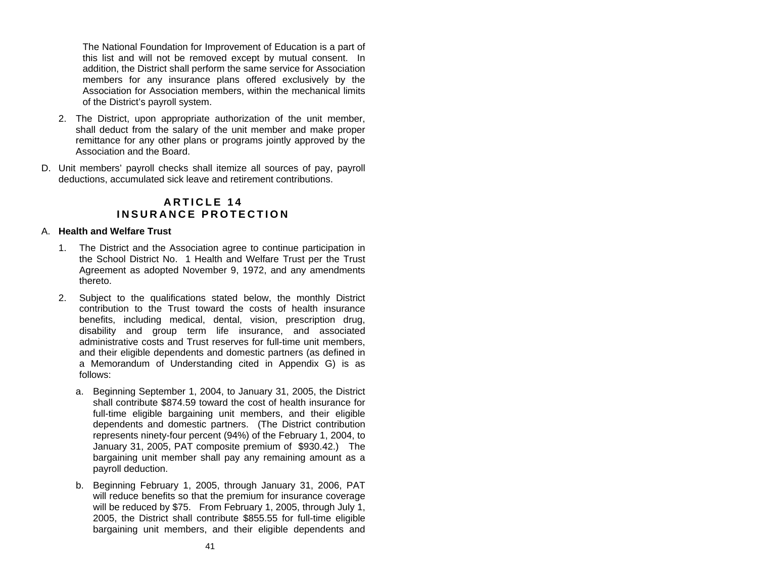The National Foundation for Improvement of Education is a part of this list and will not be removed except by mutual consent. In addition, the District shall perform the same service for Association members for any insurance plans offered exclusively by the Association for Association members, within the mechanical limits of the District's payroll system.

- 2. The District, upon appropriate authorization of the unit member, shall deduct from the salary of the unit member and make proper remittance for any other plans or programs jointly approved by the Association and the Board.
- D. Unit members' payroll checks shall itemize all sources of pay, payroll deductions, accumulated sick leave and retirement contributions.

# **A R T I C L E 14 INSURAN CE PRO T E C TION**

## A. **Health and Welfare Trust**

- 1. The District and the Association agree to continue participation in the School District No. 1 Health and Welfare Trust per the Trust Agreement as adopted November 9, 1972, and any amendments thereto.
- 2. Subject to the qualifications stated below, the monthly District contribution to the Trust toward the costs of health insurance benefits, including medical, dental, vision, prescription drug, disability and group term life insurance, and associated administrative costs and Trust reserves for full-time unit members, and their eligible dependents and domestic partners (as defined in a Memorandum of Understanding cited in Appendix G) is as follows:
	- a. Beginning September 1, 2004, to January 31, 2005, the District shall contribute \$874.59 toward the cost of health insurance for full-time eligible bargaining unit members, and their eligible dependents and domestic partners. (The District contribution represents ninety-four percent (94%) of the February 1, 2004, to January 31, 2005, PAT composite premium of \$930.42.) The bargaining unit member shall pay any remaining amount as <sup>a</sup> payroll deduction.
	- b. Beginning February 1, 2005, through January 31, 2006, PAT will reduce benefits so that the premium for insurance coverage will be reduced by \$75. From February 1, 2005, through July 1, 2005, the District shall contribute \$855.55 for full-time eligible bargaining unit members, and their eligible dependents and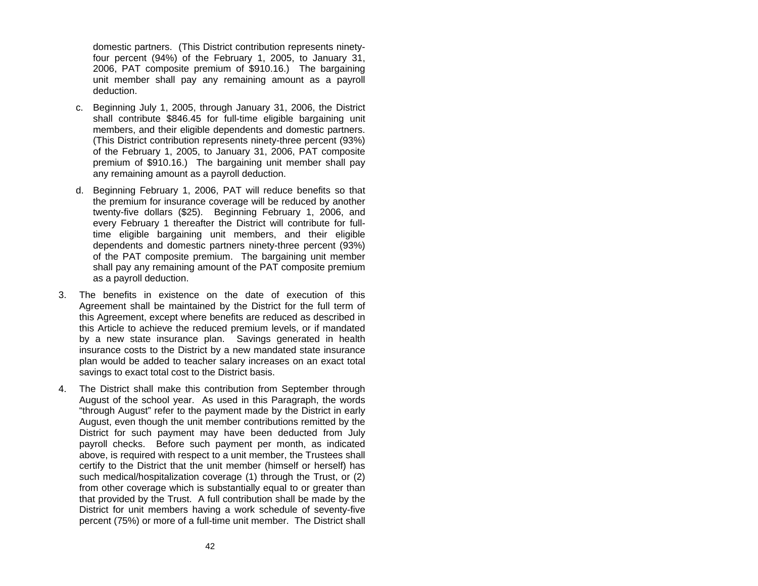domestic partners. (This District contribution represents ninetyfour percent (94%) of the February 1, 2005, to January 31, 2006, PAT composite premium of \$910.16.) The bargaining unit member shall pay any remaining amount as a payroll deduction.

- c. Beginning July 1, 2005, through January 31, 2006, the District shall contribute \$846.45 for full-time eligible bargaining unit members, and their eligible dependents and domestic partners. (This District contribution represents ninety-three percent (93%) of the February 1, 2005, to January 31, 2006, PAT composite premium of \$910.16.) The bargaining unit member shall pay any remaining amount as a payroll deduction.
- d. Beginning February 1, 2006, PAT will reduce benefits so that the premium for insurance coverage will be reduced by another twenty-five dollars (\$25). Beginning February 1, 2006, and every February 1 thereafter the District will contribute for fulltime eligible bargaining unit members, and their eligible dependents and domestic partners ninety-three percent (93%) of the PAT composite premium. The bargaining unit member shall pay any remaining amount of the PAT composite premium as a payroll deduction.
- 3. The benefits in existence on the date of execution of this Agreement shall be maintained by the District for the full term of this Agreement, except where benefits are reduced as described in this Article to achieve the reduced premium levels, or if mandated by a new state insurance plan. Savings generated in health insurance costs to the District by a new mandated state insurance plan would be added to teacher salary increases on an exact total savings to exact total cost to the District basis.
- 4. The District shall make this contribution from September through August of the school year. As used in this Paragraph, the words "through August" refer to the payment made by the District in early August, even though the unit member contributions remitted by the District for such payment may have been deducted from July payroll checks. Before such payment per month, as indicated above, is required with respect to a unit member, the Trustees shall certify to the District that the unit member (himself or herself) has such medical/hospitalization coverage (1) through the Trust, or (2) from other coverage which is substantially equal to or greater than that provided by the Trust. A full contribution shall be made by the District for unit members having a work schedule of seventy-five percent (75%) or more of a full-time unit member. The District shall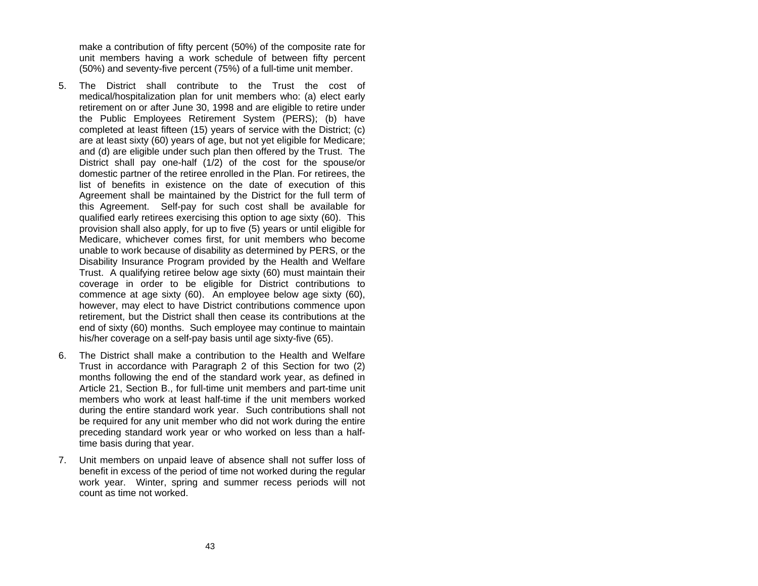make a contribution of fifty percent (50%) of the composite rate for unit members having a work schedule of between fifty percent (50%) and seventy-five percent (75%) of a full-time unit member.

- 5. The District shall contribute to the Trust the cost of medical/hospitalization plan for unit members who: (a) elect early retirement on or after June 30, 1998 and are eligible to retire under the Public Employees Retirement System (PERS); (b) have completed at least fifteen (15) years of service with the District; (c) are at least sixty (60) years of age, but not yet eligible for Medicare; and (d) are eligible under such plan then offered by the Trust. The District shall pay one-half (1/2) of the cost for the spouse/or domestic partner of the retiree enrolled in the Plan. For retirees, the list of benefits in existence on the date of execution of thisAgreement shall be maintained by the District for the full term of this Agreement. Self-pay for such cost shall be available for qualified early retirees exercising this option to age sixty (60). This provision shall also apply, for up to five (5) years or until eligible for Medicare, whichever comes first, for unit members who become unable to work because of disability as determined by PERS, or the Disability Insurance Program provided by the Health and Welfare Trust. A qualifying retiree below age sixty (60) must maintain their coverage in order to be eligible for District contributions to commence at age sixty (60). An employee below age sixty (60), however, may elect to have District contributions commence upon retirement, but the District shall then cease its contributions at the end of sixty (60) months. Such employee may continue to maintain his/her coverage on a self-pay basis until age sixty-five (65).
- 6. The District shall make a contribution to the Health and Welfare Trust in accordance with Paragraph 2 of this Section for two (2) months following the end of the standard work year, as defined in Article 21, Section B., for full-time unit members and part-time unit members who work at least half-time if the unit members workedduring the entire standard work year. Such contributions shall not be required for any unit member who did not work during the entire preceding standard work year or who worked on less than a halftime basis during that year.
- 7. Unit members on unpaid leave of absence shall not suffer loss of benefit in excess of the period of time not worked during the regular work year. Winter, spring and summer recess periods will not count as time not worked.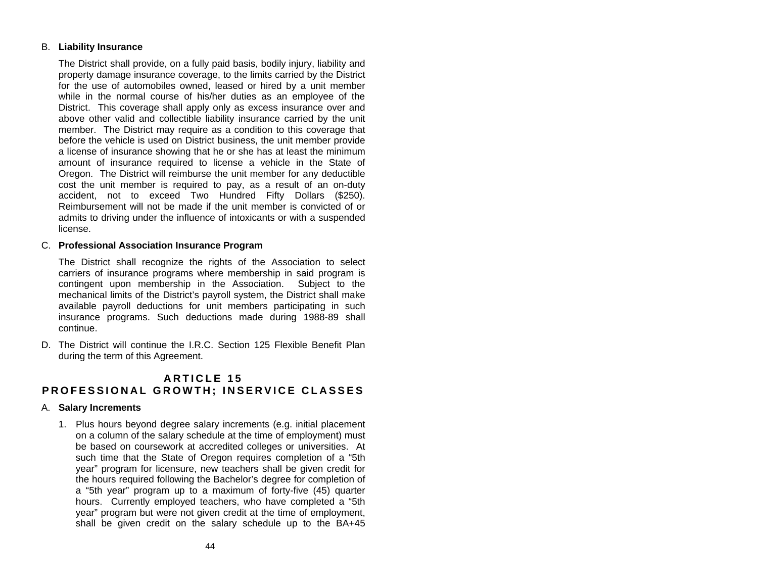# B. **Liability Insurance**

The District shall provide, on a fully paid basis, bodily injury, liability and property damage insurance coverage, to the limits carried by the District for the use of automobiles owned, leased or hired by a unit member while in the normal course of his/her duties as an employee of the District. This coverage shall apply only as excess insurance over and above other valid and collectible liability insurance carried by the unit member. The District may require as a condition to this coverage that before the vehicle is used on District business, the unit member provide a license of insurance showing that he or she has at least the minimum amount of insurance required to license a vehicle in the State of Oregon. The District will reimburse the unit member for any deductible cost the unit member is required to pay, as a result of an on-duty accident, not to exceed Two Hundred Fifty Dollars (\$250). Reimbursement will not be made if the unit member is convicted of or admits to driving under the influence of intoxicants or with a suspended license.

## C. **Professional Association Insurance Program**

The District shall recognize the rights of the Association to select carriers of insurance programs where membership in said program is contingent upon membership in the Association. Subject to the mechanical limits of the District's payroll system, the District shall make available payroll deductions for unit members participating in such insurance programs. Such deductions made during 1988-89 shall continue.

D. The District will continue the I.R.C. Section 125 Flexible Benefit Planduring the term of this Agreement.

# **A R T I C L E 15 P R OFESS ION A L GRO W T H ; INSER VICE CLAS S E S**

### A. **Salary Increments**

1. Plus hours beyond degree salary increments (e.g. initial placement on a column of the salary schedule at the time of employment) must be based on coursework at accredited colleges or universities. At such time that the State of Oregon requires completion of a "5th year" program for licensure, new teachers shall be given credit for the hours required following the Bachelor's degree for completion of <sup>a</sup>"5th year" program up to a maximum of forty-five (45) quarter hours. Currently employed teachers, who have completed a "5th year" program but were not given credit at the time of employment, shall be given credit on the salary schedule up to the BA+45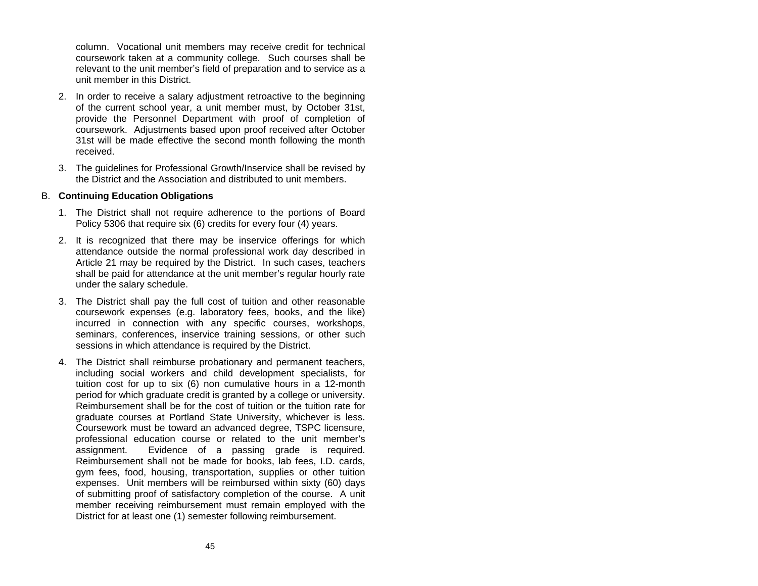column. Vocational unit members may receive credit for technical coursework taken at a community college. Such courses shall be relevant to the unit member's field of preparation and to service as <sup>a</sup> unit member in this District.

- 2. In order to receive a salary adjustment retroactive to the beginning of the current school year, a unit member must, by October 31st, provide the Personnel Department with proof of completion of coursework. Adjustments based upon proof received after October 31st will be made effective the second month following the month received.
- 3. The guidelines for Professional Growth/Inservice shall be revised by the District and the Association and distributed to unit members.

### B. **Continuing Education Obligations**

- 1. The District shall not require adherence to the portions of Board Policy 5306 that require six (6) credits for every four (4) years.
- 2. It is recognized that there may be inservice offerings for which attendance outside the normal professional work day described in Article 21 may be required by the District. In such cases, teachers shall be paid for attendance at the unit member's regular hourly rate under the salary schedule.
- 3. The District shall pay the full cost of tuition and other reasonable coursework expenses (e.g. laboratory fees, books, and the like) incurred in connection with any specific courses, workshops, seminars, conferences, inservice training sessions, or other such sessions in which attendance is required by the District.
- 4. The District shall reimburse probationary and permanent teachers, including social workers and child development specialists, for tuition cost for up to six (6) non cumulative hours in a 12-month period for which graduate credit is granted by a college or university. Reimbursement shall be for the cost of tuition or the tuition rate for graduate courses at Portland State University, whichever is less. Coursework must be toward an advanced degree, TSPC licensure, professional education course or related to the unit member's assignment. Evidence of a passing grade is required. Reimbursement shall not be made for books, lab fees, I.D. cards, gym fees, food, housing, transportation, supplies or other tuition expenses. Unit members will be reimbursed within sixty (60) days of submitting proof of satisfactory completion of the course. A unit member receiving reimbursement must remain employed with the District for at least one (1) semester following reimbursement.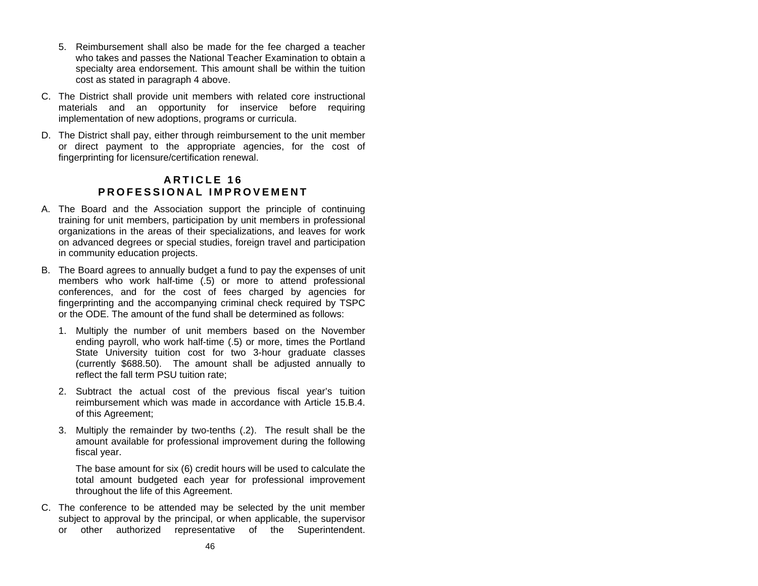- 5. Reimbursement shall also be made for the fee charged a teacher who takes and passes the National Teacher Examination to obtain a specialty area endorsement. This amount shall be within the tuition cost as stated in paragraph 4 above.
- C. The District shall provide unit members with related core instructional materials and an opportunity for inservice before requiring implementation of new adoptions, programs or curricula.
- D. The District shall pay, either through reimbursement to the unit member or direct payment to the appropriate agencies, for the cost of fingerprinting for licensure/certification renewal.

# **A R T I C L E 16 P R OFESS ION A L IMPRO VEM E N T**

- A. The Board and the Association support the principle of continuing training for unit members, participation by unit members in professional organizations in the areas of their specializations, and leaves for work on advanced degrees or special studies, foreign travel and participation in community education projects.
- B. The Board agrees to annually budget a fund to pay the expenses of unit members who work half-time (.5) or more to attend professional conferences, and for the cost of fees charged by agencies for fingerprinting and the accompanying criminal check required by TSPC or the ODE. The amount of the fund shall be determined as follows:
	- 1. Multiply the number of unit members based on the November ending payroll, who work half-time (.5) or more, times the Portland State University tuition cost for two 3-hour graduate classes (currently \$688.50). The amount shall be adjusted annually to reflect the fall term PSU tuition rate;
	- 2. Subtract the actual cost of the previous fiscal year's tuition reimbursement which was made in accordance with Article 15.B.4. of this Agreement;
	- 3. Multiply the remainder by two-tenths (.2). The result shall be the amount available for professional improvement during the following fiscal year.

The base amount for six (6) credit hours will be used to calculate the total amount budgeted each year for professional improvement throughout the life of this Agreement.

C. The conference to be attended may be selected by the unit member subject to approval by the principal, or when applicable, the supervisor or other authorized representative of the Superintendent.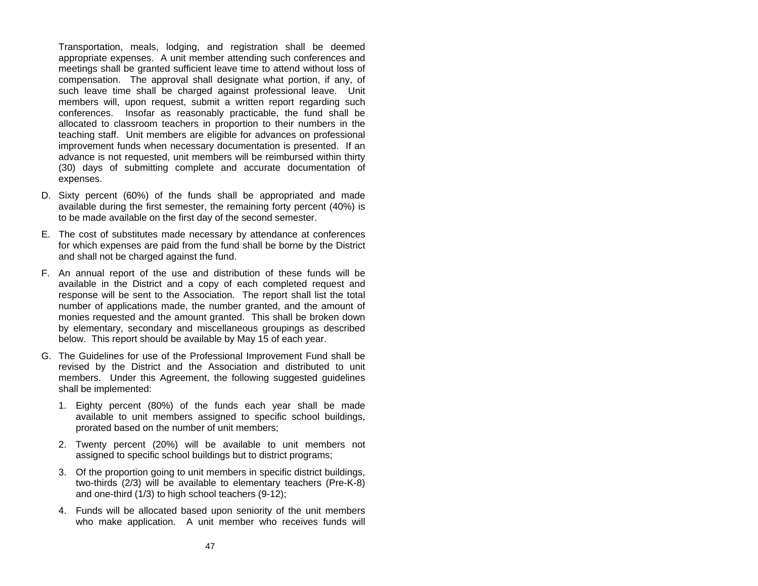Transportation, meals, lodging, and registration shall be deemed appropriate expenses. A unit member attending such conferences and meetings shall be granted sufficient leave time to attend without loss of compensation. The approval shall designate what portion, if any, of such leave time shall be charged against professional leave. Unit members will, upon request, submit a written report regarding such conferences. Insofar as reasonably practicable, the fund shall be allocated to classroom teachers in proportion to their numbers in the teaching staff. Unit members are eligible for advances on professional improvement funds when necessary documentation is presented. If an advance is not requested, unit members will be reimbursed within thirty (30) days of submitting complete and accurate documentation of expenses.

- D. Sixty percent (60%) of the funds shall be appropriated and made available during the first semester, the remaining forty percent (40%) is to be made available on the first day of the second semester.
- E. The cost of substitutes made necessary by attendance at conferences for which expenses are paid from the fund shall be borne by the District and shall not be charged against the fund.
- F. An annual report of the use and distribution of these funds will be available in the District and a copy of each completed request and response will be sent to the Association. The report shall list the total number of applications made, the number granted, and the amount of monies requested and the amount granted. This shall be broken down by elementary, secondary and miscellaneous groupings as described below. This report should be available by May 15 of each year.
- G. The Guidelines for use of the Professional Improvement Fund shall be revised by the District and the Association and distributed to unit members. Under this Agreement, the following suggested guidelines shall be implemented:
	- 1. Eighty percent (80%) of the funds each year shall be made available to unit members assigned to specific school buildings, prorated based on the number of unit members;
	- 2. Twenty percent (20%) will be available to unit members not assigned to specific school buildings but to district programs;
	- 3. Of the proportion going to unit members in specific district buildings, two-thirds (2/3) will be available to elementary teachers (Pre-K-8) and one-third (1/3) to high school teachers (9-12);
	- 4. Funds will be allocated based upon seniority of the unit members who make application. A unit member who receives funds will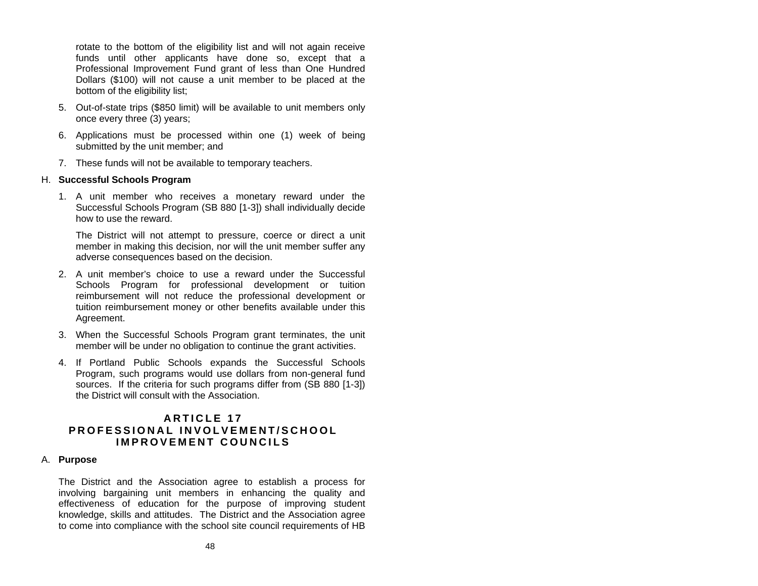rotate to the bottom of the eligibility list and will not again receive funds until other applicants have done so, e xcept that a Professional Improvement Fun d grant of less than One Hundred Dollars (\$100) will not cause a unit member to be placed at the bottom of the eligibility list:

- 5. Out-of-state trips (\$850 limit) will be available to unit members only once every three (3) years;
- 6. Applications must be processed within one (1) week of b ein g submitted by the unit member; and
- 7. These funds will not be av ailable to temporary teachers.

# H. **Successful Schools Program**

1. A unit member who receives a monetary reward under the Successful Schools Program (SB 880 [1-3]) shall individually deci d e how to use the reward.

The District will not attempt to pressure, coerce or direct a unit member in making this decision, nor will the unit member suffer any adverse consequences b ased on the decision.

- 2. A unit member's choice to use a reward under the Successful Schools Progra m for professional development or tuition reimbursement will not reduce the professional development or tuition reimbursement money or other benefits avail able under thisAgreement.
- 3. When the Successful Schools Program grant terminates, the unit member will be under no obligation to continue the grant activities.
- 4. If Portland Public Scho ols expands the Successful Schools Program, such programs would use d ollars from non-general fund sources. If the criteria for such progra ms differ from (SB 880 [1-3]) the District will consult with the Association.

# **A R T I C L E 17 PR OFESS ION A L INVO LVEM E N T/S CHOO LIMPRO VEM E N T CO UNC ILS**

### A. **Purpose**

The District and the Association agree to establish a process for involving bargaining unit members in enhancing the quality and effectiveness of education for the purpose of improving student knowledge, skills and attitudes. The District and the Association agre eto come into compliance with the school site council requirements of HB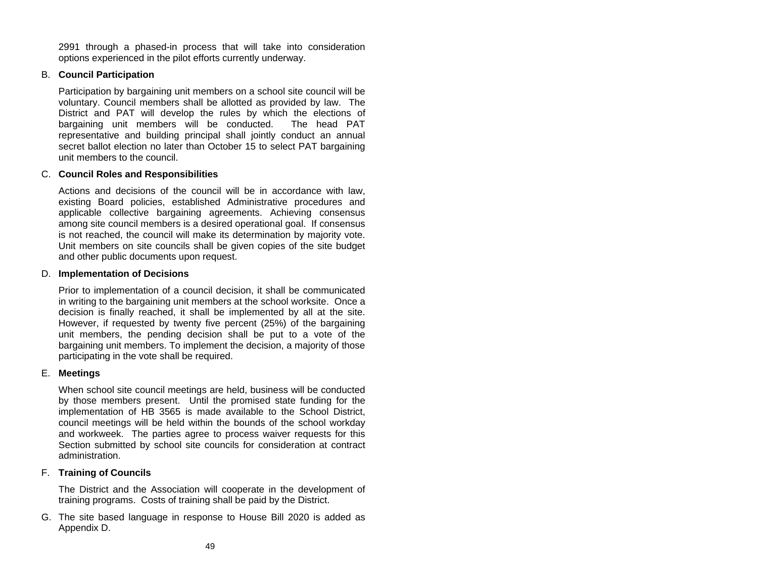2991 through a phased-in process that will take into consideration options experienced in the pilot efforts currently underway.

# B. **Council Participation**

Participation by bargaining unit members on a school site council will be voluntary. Council members shall be allotted as provided by law. The District and PAT will develop the rules by which the elections of bargaining unit members will be conducted. The head PAT representative and building principal shall jointly conduct an annual secret ballot election no later than October 15 to select PAT bargaining unit members to the council.

# C. **Council Roles and Responsibilities**

Actions and decisions of the council will be in accordance with law, existing Board policies, established Administrative procedures and applicable collective bargaining agreements. Achieving consensus among site council members is a desired operational goal. If consensus is not reached, the council will make its determination by majority vote. Unit members on site councils shall be given copies of the site budget and other public documents upon request.

# D. **Implementation of Decisions**

Prior to implementation of a council decision, it shall be communicated in writing to the bargaining unit members at the school worksite. Once a decision is finally reached, it shall be implemented by all at the site. However, if requested by twenty five percent (25%) of the bargaining unit members, the pending decision shall be put to a vote of the bargaining unit members. To implement the decision, a majority of those participating in the vote shall be required.

# E. **Meetings**

When school site council meetings are held, business will be conducted by those members present. Until the promised state funding for the implementation of HB 3565 is made available to the School District, council meetings will be held within the bounds of the school workday and workweek. The parties agree to process waiver requests for this Section submitted by school site councils for consideration at contract administration.

# F. **Training of Councils**

The District and the Association will cooperate in the development of training programs. Costs of training shall be paid by the District.

G. The site based language in response to House Bill 2020 is added as Appendix D.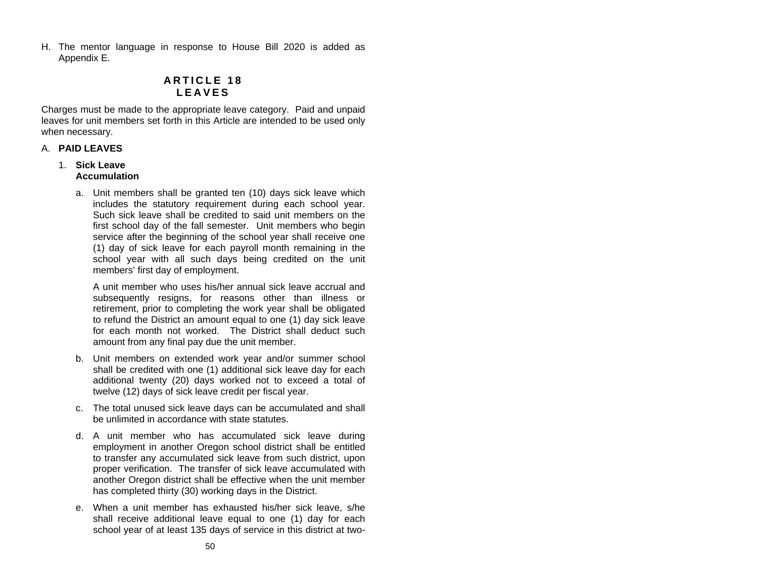H. The mentor language in response to House Bill 2020 is added as Appendix E.

# **A R T I C L E 18 LEAVES**

Charges must be made to the appropriate leave category. Paid and unpaid leaves for unit members set forth in this Article are intended to be used only when necessary.

## A. **PAID LEAVES**

### 1. **Sick Leave Accumulation**

a. Unit members shall be granted ten (10) days sick leave which includes the statutory requirement during each school year. Such sick leave shall be credited to said unit members on thefirst school day of the fall semester. Unit members who begin service after the beginning of the school year shall receive one (1) day of sick leave for each payroll month remaining in the school year with all such days being credited on the unit members' first day of employment.

A unit member who uses his/her annual sick leave accrual andsubsequently resigns, for reasons other than illness or retirement, prior to completing the work year shall be obligated to refund the District an amount equal to one (1) day sick leave for each month not worked. The District shall deduct such amount from any final pay due the unit member.

- b. Unit members on extended work year and/or summer school shall be credited with one (1) additional sick leave day for each additional twenty (20) days worked not to exceed a total of twelve (12) days of sick leave credit per fiscal year.
- c. The total unused sick leave days can be accumulated and shall be unlimited in accordance with state statutes.
- d. A unit member who has accumulated sick leave during employment in another Oregon school district shall be entitled to transfer any accumulated sick leave from such district, upon proper verification. The transfer of sick leave accumulated with another Oregon district shall be effective when the unit member has completed thirty (30) working days in the District.
- e. When a unit member has exhausted his/her sick leave, s/he shall receive additional leave equal to one (1) day for each school year of at least 135 days of service in this district at two-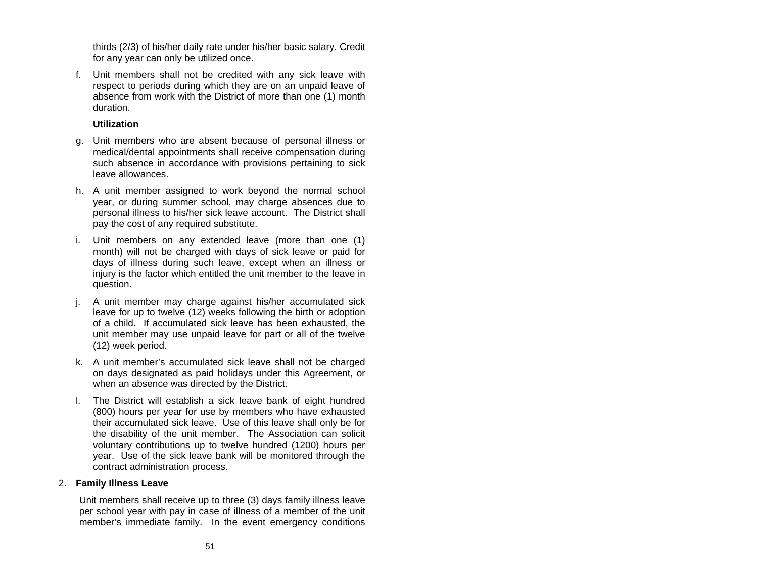thirds (2/3) of his/her daily rate under his/her basic salary. Credit for any year can only be utilized once.

f. Unit members shall not be credited with any sick leave with respect to periods during which they are on an unpaid leave of absence from work with the District of more than one (1) month duration.

## **Utilization**

- g. Unit members who are absent because of personal illness or medical/dental appointments shall receive compensation during such absence in accordance with provisions pertaining to sick leave allowances.
- h. A unit member assigned to work beyond the normal school year, or during summer school, may charge absences due to personal illness to his/her sick leave account. The District shall pay the cost of any required substitute.
- i. Unit members on any extended leave (more than one (1) month) will not be charged with days of sick leave or paid for days of illness during such leave, except when an illness or injury is the factor which entitled the unit member to the leave in question.
- j. A unit member may charge against his/her accumulated sick leave for up to twelve (12) weeks following the birth or adoption of a child. If accumulated sick leave has been exhausted, the unit member may use unpaid leave for part or all of the twelve (12) week period.
- k. A unit member's accumulated sick leave shall not be charged on days designated as paid holidays under this Agreement, or when an absence was directed by the District.
- l. The District will establish a sick leave bank of eight hundred (800) hours per year for use by members who have exhausted their accumulated sick leave. Use of this leave shall only be for the disability of the unit member. The Association can solicit voluntary contributions up to twelve hundred (1200) hours per year. Use of the sick leave bank will be monitored through the contract administration process.

### 2. **Family Illness Leave**

Unit members shall receive up to three (3) days family illness leave per school year with pay in case of illness of a member of the unit member's immediate family. In the event emergency conditions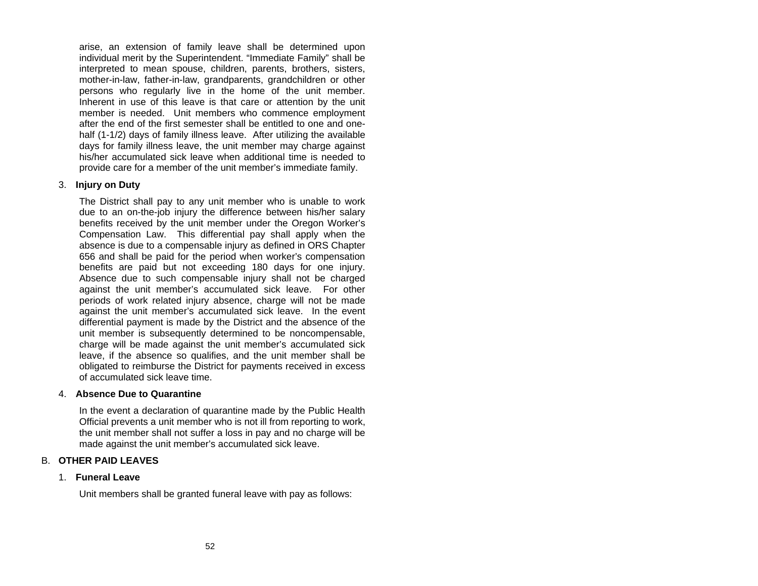arise, an extension of family leave shall be determined upon individual merit by the Superintendent. "Immediate Family" shall be interpreted to mean spouse, children, parents, brothers, sisters, mother-in-law, father-in-law, grandparents, grandchildren or other persons who regularly live in the home of the unit member. Inherent in use of this leave is that care or attention by the unit member is needed. Unit members who commence employment after the end of the first semester shall be entitled to one and onehalf (1-1/2) days of family illness leave. After utilizing the available days for family illness leave, the unit member may charge against his/her accumulated sick leave when additional time is needed toprovide care for a member of the unit member's immediate family.

### 3. **Injury on Duty**

The District shall pay to any unit member who is unable to work due to an on-the-job injury the difference between his/her salary benefits received by the unit member under the Oregon Worker's Compensation Law. This differential pay shall apply when the absence is due to a compensable injury as defined in ORS Chapter 656 and shall be paid for the period when worker's compensation benefits are paid but not exceeding 180 days for one injury. Absence due to such compensable injury shall not be charged against the unit member's accumulated sick leave. For other periods of work related injury absence, charge will not be made against the unit member's accumulated sick leave. In the event differential payment is made by the District and the absence of the unit member is subsequently determined to be noncompensable, charge will be made against the unit member's accumulated sick leave, if the absence so qualifies, and the unit member shall be obligated to reimburse the District for payments received in excess of accumulated sick leave time.

### 4. **Absence Due to Quarantine**

In the event a declaration of quarantine made by the Public Health Official prevents a unit member who is not ill from reporting to work, the unit member shall not suffer a loss in pay and no charge will be made against the unit member's accumulated sick leave.

### B. **OTHER PAID LEAVES**

#### 1. **Funeral Leave**

Unit members shall be granted funeral leave with pay as follows: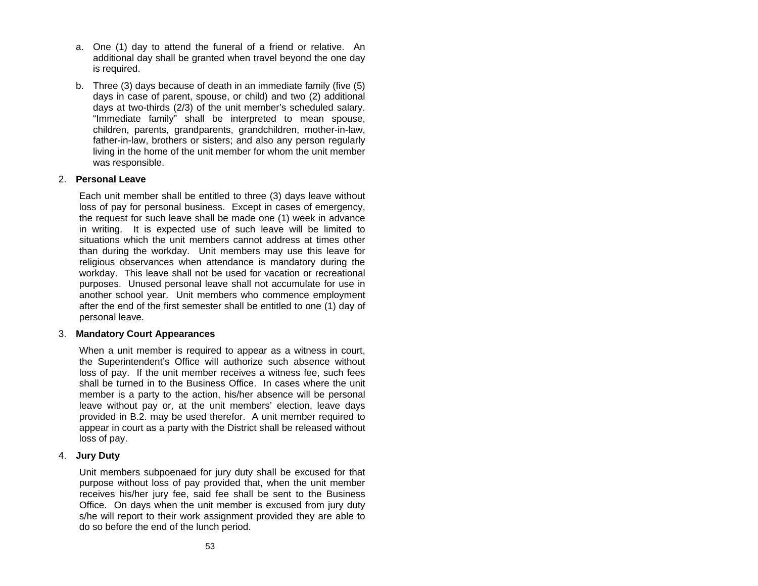- a. One (1) day to attend the funeral of a friend or relative. An additional day shall be granted when travel beyond the one day is required.
- b. Three (3) days because of death in an immediate family (five (5) days in case of parent, spouse, or child) and two (2) additional days at two-thirds (2/3) of the unit member's scheduled salary. "Immediate family" shall be interpreted to mean spouse, children, parents, grandparents, grandchildren, mother-in-law, father-in-law, brothers or sisters; and also any person regularly living in the home of the unit member for whom the unit member was responsible.

### 2. **Personal Leave**

Each unit member shall be entitled to three (3) days leave without loss of pay for personal business. Except in cases of emergency, the request for such leave shall be made one (1) week in advance in writing. It is expected use of such leave will be limited to situations which the unit members cannot address at times other than during the workday. Unit members may use this leave for religious observances when attendance is mandatory during the workday. This leave shall not be used for vacation or recreational purposes. Unused personal leave shall not accumulate for use in another school year. Unit members who commence employment after the end of the first semester shall be entitled to one (1) day of personal leave.

### 3. **Mandatory Court Appearances**

When a unit member is required to appear as a witness in court, the Superintendent's Office will authorize such absence without loss of pay. If the unit member receives a witness fee, such fees shall be turned in to the Business Office. In cases where the unit member is a party to the action, his/her absence will be personal leave without pay or, at the unit members' election, leave days provided in B.2. may be used therefor. A unit member required to appear in court as a party with the District shall be released without loss of pay.

#### 4. **Jury Duty**

Unit members subpoenaed for jury duty shall be excused for that purpose without loss of pay provided that, when the unit member receives his/her jury fee, said fee shall be sent to the Business Office. On days when the unit member is excused from jury duty s/he will report to their work assignment provided they are able to do so before the end of the lunch period.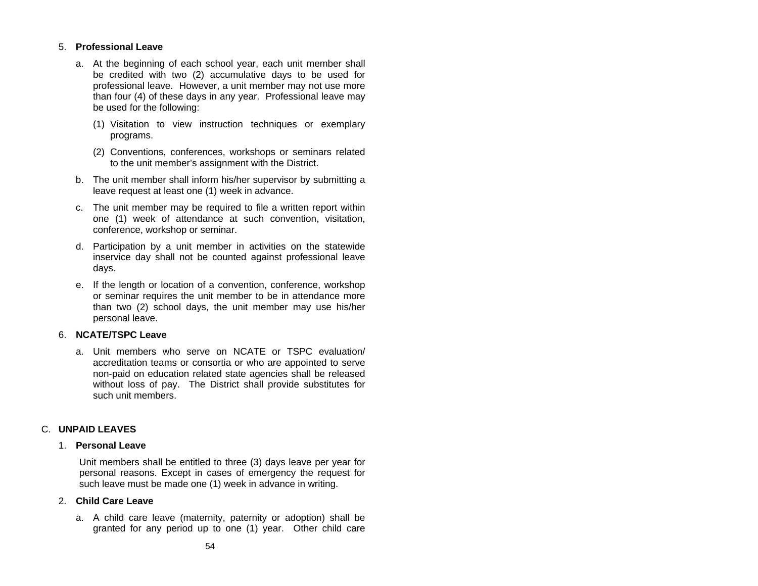# 5. **Professional Leave**

- a. At the beginning of each school year, each unit member shall be credited with two (2) accumulative days to be used for professional leave. However, a unit member may not use more than four (4) of these days in any year. Professional leave may be used for the following:
	- (1) Visitation to view instruction techniques or exemplary programs.
	- (2) Conventions, conferences, workshops or seminars related to the unit member's assignment with the District.
- b. The unit member shall inform his/her supervisor by submitting a leave request at least one (1) week in advance.
- c. The unit member may be required to file a written report within one (1) week of attendance at such convention, visitation, conference, workshop or seminar.
- d. Participation by a unit member in activities on the statewide inservice day shall not be counted against professional leave days.
- e. If the length or location of a convention, conference, workshop or seminar requires the unit member to be in attendance more than two (2) school days, the unit member may use his/her personal leave.

# 6. **NCATE/TSPC Leave**

a. Unit members who serve on NCATE or TSPC evaluation/ accreditation teams or consortia or who are appointed to serve non-paid on education related state agencies shall be released without loss of pay. The District shall provide substitutes for such unit members.

# C. **UNPAID LEAVES**

# 1. **Personal Leave**

Unit members shall be entitled to three (3) days leave per year for personal reasons. Except in cases of emergency the request for such leave must be made one (1) week in advance in writing.

# 2. **Child Care Leave**

a. A child care leave (maternity, paternity or adoption) shall be granted for any period up to one (1) year. Other child care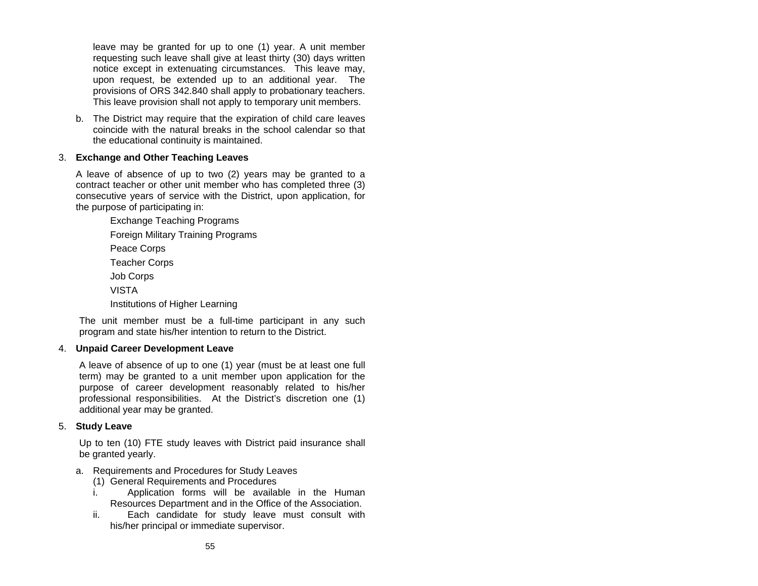leave may be granted for up to one (1) year. A unit member requesting such leave shall give at least thirty (30) days written notice except in extenuating circumstances. This leave may, upon request, be extended up to an additional year. The provisions of ORS 342.840 shall apply to probationary teachers. This leave provision shall not apply to temporary unit members.

b. The District may require that the expiration of child care leaves coincide with the natural breaks in the school calendar so that the educational continuity is maintained.

# 3. **Exchange and Other Teaching Leaves**

A leave of absence of up to two (2) years may be granted to <sup>a</sup> contract teacher or other unit member who has completed three (3) consecutive years of service with the District, upon application, for the purpose of participating in:

> Exchange Teaching Programs Foreign Military Training Programs Peace Corps Teacher Corps Job Corps VISTA Institutions of Higher Learning

The unit member must be a full-time participant in any such program and state his/her intention to return to the District.

### 4. **Unpaid Career Development Leave**

A leave of absence of up to one (1) year (must be at least one full term) may be granted to a unit member upon application for the purpose of career development reasonably related to his/her professional responsibilities. At the District's discretion one (1) additional year may be granted.

### 5. **Study Leave**

Up to ten (10) FTE study leaves with District paid insurance shall be granted yearly.

### a. Requirements and Procedures for Study Leaves

- (1) General Requirements and Procedures
- i. Application forms will be available in the Human Resources Department and in the Office of the Association.
- ii. Each candidate for study leave must consult with his/her principal or immediate supervisor.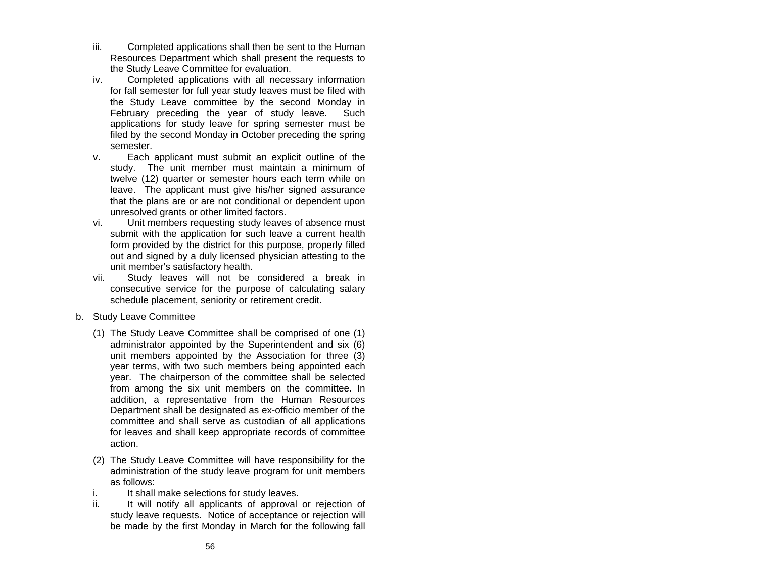- iii. Completed applications shall then be sent to the Human Resources Department which shall present the requests to the Study Leave Committee for evaluation.
- iv. Completed applications with all necessary information for fall semester for full year study leaves must be filed with the Study Leave committee by the second Monday in February preceding the year of study leave. Such applications for study leave for spring semester must be filed by the second Monday in October preceding the spring semester.
- v. Each applicant must submit an explicit outline of the study. The unit member must maintain a minimum of twelve (12) quarter or semester hours each term while on leave. The applicant must give his/her signed assurance that the plans are or are not conditional or dependent upon unresolved grants or other limited factors.
- vi. Unit members requesting study leaves of absence must submit with the application for such leave a current health form provided by the district for this purpose, properly filled out and signed by a duly licensed physician attesting to the unit member's satisfactory health.
- vii. Study leaves will not be considered a break in consecutive service for the purpose of calculating salary schedule placement, seniority or retirement credit.
- b. Study Leave Committee
	- (1) The Study Leave Committee shall be comprised of one (1) administrator appointed by the Superintendent and six (6) unit members appointed by the Association for three (3) year terms, with two such members being appointed each year. The chairperson of the committee shall be selected from among the six unit members on the committee. In addition, a representative from the Human Resources Department shall be designated as ex-officio member of the committee and shall serve as custodian of all applications for leaves and shall keep appropriate records of committee action.
	- (2) The Study Leave Committee will have responsibility for the administration of the study leave program for unit members as follows:
	- i. It shall make selections for study leaves.
	- ii. It will notify all applicants of approval or rejection of study leave requests. Notice of acceptance or rejection will be made by the first Monday in March for the following fall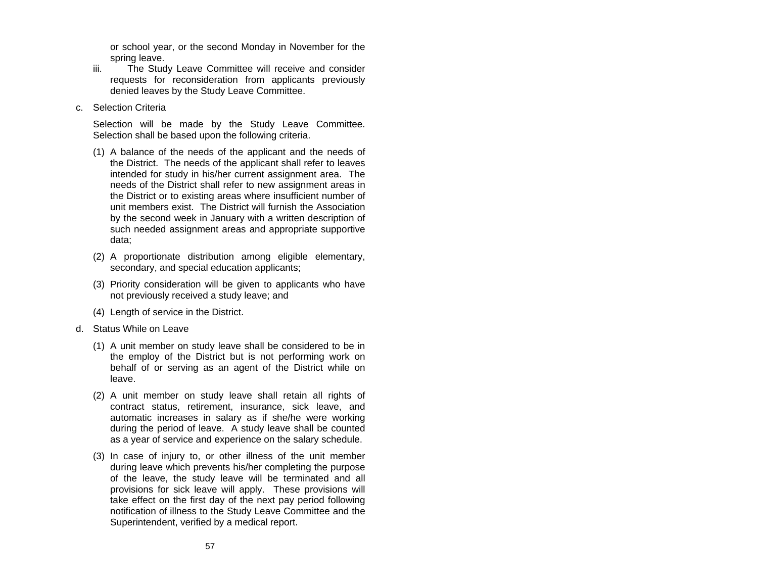or school year, or the second Monday in November for the spring leave.

- iii. The Study Leave Committee will receive and consider requests for reconsideration from applicants previously denied leaves by the Study Leave Committee.
- c. Selection Criteria

Selection will be made by the Study Leave Committee. Selection shall be based upon the following criteria.

- (1) A balance of the needs of the applicant and the needs of the District. The needs of the applicant shall refer to leaves intended for study in his/her current assignment area. The needs of the District shall refer to new assignment areas in the District or to existing areas where insufficient number of unit members exist. The District will furnish the Association by the second week in January with a written description of such needed assignment areas and appropriate supportive data;
- (2) A proportionate distribution among eligible elementary, secondary, and special education applicants;
- (3) Priority consideration will be given to applicants who have not previously received a study leave; and
- (4) Length of service in the District.
- d. Status While on Leave
	- (1) A unit member on study leave shall be considered to be in the employ of the District but is not performing work on behalf of or serving as an agent of the District while on leave.
	- (2) A unit member on study leave shall retain all rights of contract status, retirement, insurance, sick leave, and automatic increases in salary as if she/he were working during the period of leave. A study leave shall be counted as a year of service and experience on the salary schedule.
	- (3) In case of injury to, or other illness of the unit member during leave which prevents his/her completing the purpose of the leave, the study leave will be terminated and all provisions for sick leave will apply. These provisions will take effect on the first day of the next pay period following notification of illness to the Study Leave Committee and the Superintendent, verified by a medical report.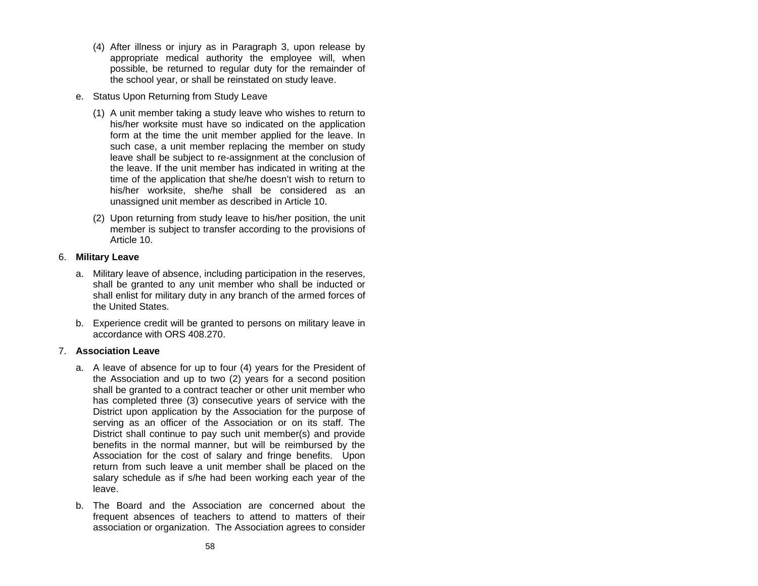- (4) After illness or injury as in Paragraph 3, upon release by appropriate medical authority the employee will, when possible, be returned to regular duty for the remainder of the school year, or shall be reinstated on study leave.
- e. Status Upon Returning from Study Leave
	- (1) A unit member taking a study leave who wishes to return to his/her worksite must have so indicated on the application form at the time the unit member applied for the leave. In such case, a unit member replacing the member on study leave shall be subject to re-assignment at the conclusion of the leave. If the unit member has indicated in writing at the time of the application that she/he doesn't wish to return to his/her worksite, she/he shall be considered as an unassigned unit member as described in Article 10.
	- (2) Upon returning from study leave to his/her position, the unit member is subject to transfer according to the provisions of Article 10.

## 6. **Military Leave**

- a. Military leave of absence, including participation in the reserves, shall be granted to any unit member who shall be inducted or shall enlist for military duty in any branch of the armed forces of the United States.
- b. Experience credit will be granted to persons on military leave in accordance with ORS 408.270.

# 7. **Association Leave**

- a. A leave of absence for up to four (4) years for the President of the Association and up to two (2) years for a second position shall be granted to a contract teacher or other unit member who has completed three (3) consecutive years of service with the District upon application by the Association for the purpose of serving as an officer of the Association or on its staff. The District shall continue to pay such unit member(s) and provide benefits in the normal manner, but will be reimbursed by the Association for the cost of salary and fringe benefits. Upon return from such leave a unit member shall be placed on the salary schedule as if s/he had been working each year of the leave.
- b. The Board and the Association are concerned about thefrequent absences of teachers to attend to matters of their association or organization. The Association agrees to consider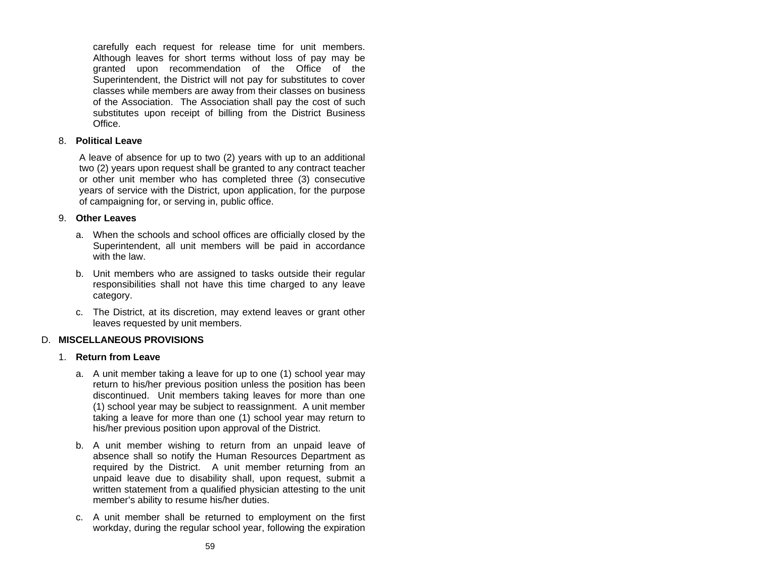carefully each request for release time for unit members. Although leaves for short terms without loss of pay may be granted upon recommendation of the Office of the Superintendent, the District will not pay for substitutes to cover classes while members are away from their classes on business of the Association. The Association shall pay the cost of such substitutes upon receipt of billing from the District Business **Office** 

### 8. **Political Leave**

A leave of absence for up to two (2) years with up to an additional two (2) years upon request shall be granted to any contract teacher or other unit member who has completed three (3) consecutive years of service with the District, upon application, for the purpose of campaigning for, or serving in, public office.

## 9. **Other Leaves**

- a. When the schools and school offices are officially closed by the Superintendent, all unit members will be paid in accordance with the law.
- b. Unit members who are assigned to tasks outside their regular responsibilities shall not have this time charged to any leave category.
- c. The District, at its discretion, may extend leaves or grant other leaves requested by unit members.

# D. **MISCELLANEOUS PROVISIONS**

# 1. **Return from Leave**

- a. A unit member taking a leave for up to one (1) school year may return to his/her previous position unless the position has been discontinued. Unit members taking leaves for more than one (1) school year may be subject to reassignment. A unit member taking a leave for more than one (1) school year may return to his/her previous position upon approval of the District.
- b. A unit member wishing to return from an unpaid leave of absence shall so notify the Human Resources Department as required by the District. A unit member returning from an unpaid leave due to disability shall, upon request, submit a written statement from a qualified physician attesting to the unit member's ability to resume his/her duties.
- c. A unit member shall be returned to employment on the first workday, during the regular school year, following the expiration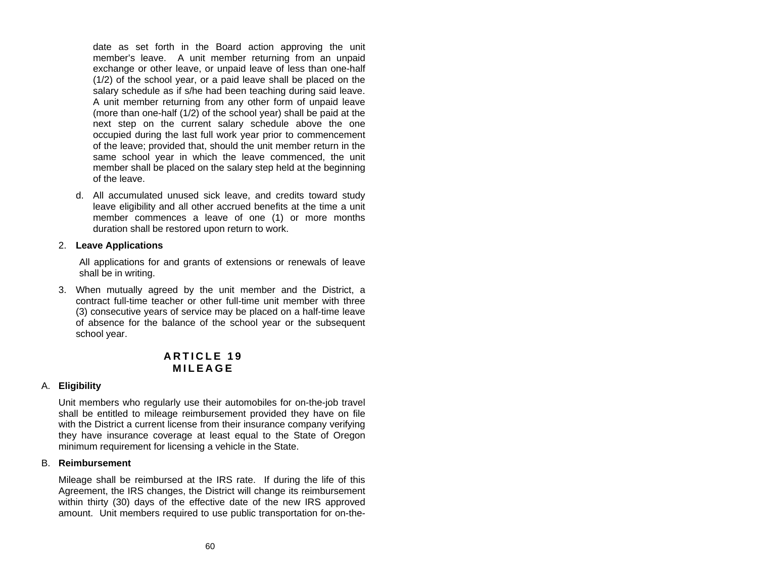date as set forth in the Board action approving the unit member's leave. A unit member returning from an unpaid exchange or other leave, or unpaid leave of less than one-half (1/2) of the school year, or a paid leave shall be placed on the salary schedule as if s/he had been teaching during said leave. A unit member returning from any other form of unpaid leave (more than one-half (1/2) of the school year) shall be paid at the next step on the current salary schedule above the one occupied during the last full work year prior to commencement of the leave; provided that, should the unit member return in the same school year in which the leave commenced, the unit member shall be placed on the salary step held at the beginning of the leave.

d. All accumulated unused sick leave, and credits toward study leave eligibility and all other accrued benefits at the time a unit member commences a leave of one (1) or more months duration shall be restored upon return to work.

## 2. **Leave Applications**

All applications for and grants of extensions or renewals of leave shall be in writing.

3. When mutually agreed by the unit member and the District, a contract full-time teacher or other full-time unit member with three (3) consecutive years of service may be placed on a half-time leave of absence for the balance of the school year or the subsequent school year.

# **A R T I C L E 19 M I L E A G E**

# A. **Eligibility**

Unit members who regularly use their automobiles for on-the-job travel shall be entitled to mileage reimbursement provided they have on file with the District a current license from their insurance company verifying they have insurance coverage at least equal to the State of Oregon minimum requirement for licensing a vehicle in the State.

### B. **Reimbursement**

Mileage shall be reimbursed at the IRS rate. If during the life of this Agreement, the IRS changes, the District will change its reimbursement within thirty (30) days of the effective date of the new IRS approved amount. Unit members required to use public transportation for on-the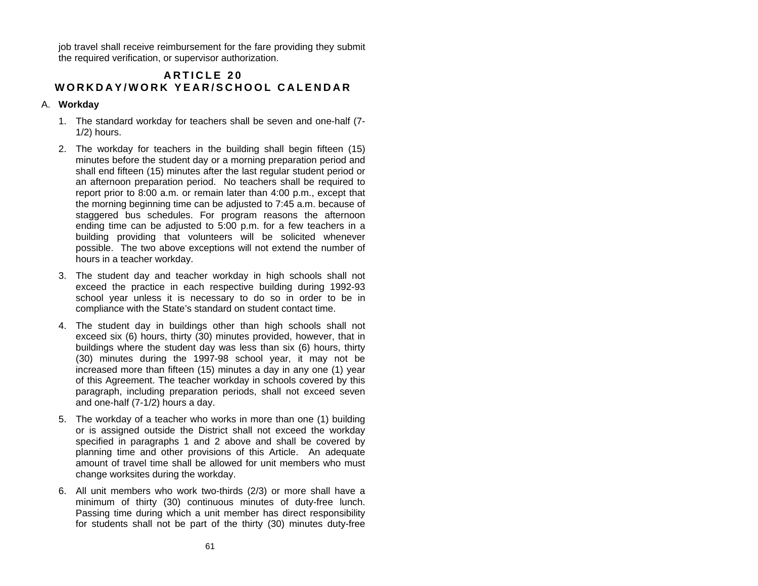job travel shall receive reimbursement for the fare providing they submit the required verification, or supervisor authorization.

# **A R T I C L E 20 WORK D A Y/WORK YEAR /SCHOO L C A LEND A R**

# A. **Workday**

- 1. The standard workday for teachers shall be seven and one-half (7- 1/2) hours.
- 2. The workday for teachers in the building shall begin fifteen (15) minutes before the student day or a morning preparation period and shall end fifteen (15) minutes after the last regular student period or an afternoon preparation period. No teachers shall be required to report prior to 8:00 a.m. or remain later than 4:00 p.m., except that the morning beginning time can be adjusted to 7:45 a.m. because of staggered bus schedules. For program reasons the afternoon ending time can be adjusted to 5:00 p.m. for a few teachers in <sup>a</sup> building providing that volunteers will be solicited whenever possible. The two above exceptions will not extend the number of hours in a teacher workday.
- 3. The student day and teacher workday in high schools shall not exceed the practice in each respective building during 1992-93 school year unless it is necessary to do so in order to be in compliance with the State's standard on student contact time.
- 4. The student day in buildings other than high schools shall not exceed six (6) hours, thirty (30) minutes provided, however, that in buildings where the student day was less than six (6) hours, thirty (30) minutes during the 1997-98 school year, it may not be increased more than fifteen (15) minutes a day in any one (1) year of this Agreement. The teacher workday in schools covered by this paragraph, including preparation periods, shall not exceed seven and one-half (7-1/2) hours a day.
- 5. The workday of a teacher who works in more than one (1) building or is assigned outside the District shall not exceed the workday specified in paragraphs 1 and 2 above and shall be covered by planning time and other provisions of this Article. An adequate amount of travel time shall be allowed for unit members who must change worksites during the workday.
- 6. All unit members who work two-thirds (2/3) or more shall have a minimum of thirty (30) continuous minutes of duty-free lunch. Passing time during which a unit member has direct responsibility for students shall not be part of the thirty (30) minutes duty-free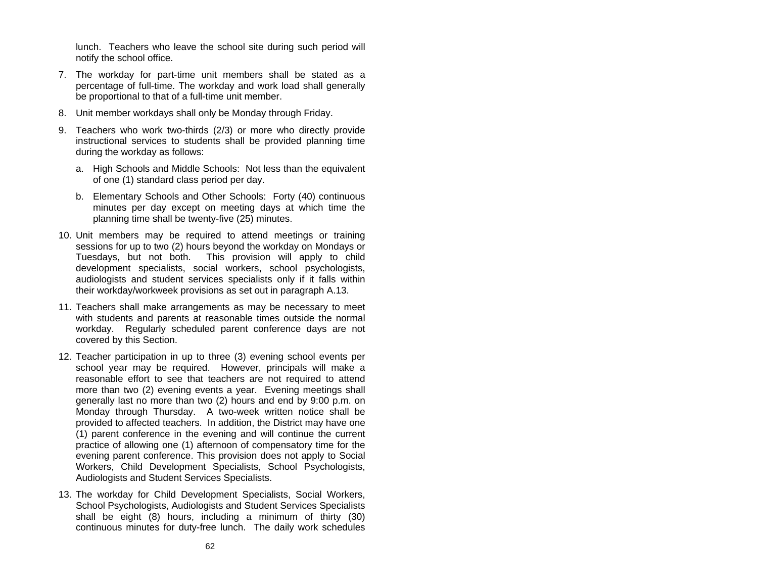lunch. Teachers who leave the school site during such period will notify the school office.

- 7. The workday for part-time unit members shall be stated as a percentage of full-time. The workday and work load shall generally be proportional to that of a full-time unit member.
- 8. Unit member workdays shall only be Monday through Friday.
- 9. Teachers who work two-thirds (2/3) or more who directly provide instructional services to students shall be provided planning time during the workday as follows:
	- a. High Schools and Middle Schools: Not less than the equivalent of one (1) standard class period per day.
	- b. Elementary Schools and Other Schools: Forty (40) continuous minutes per day except on meeting days at which time the planning time shall be twenty-five (25) minutes.
- 10. Unit members may be required to attend meetings or training sessions for up to two (2) hours beyond the workday on Mondays or Tuesdays, but not both. This provision will apply to child development specialists, social workers, school psychologists, audiologists and student services specialists only if it falls within their workday/workweek provisions as set out in paragraph A.13.
- 11. Teachers shall make arrangements as may be necessary to meet with students and parents at reasonable times outside the normal workday. Regularly scheduled parent conference days are not covered by this Section.
- 12. Teacher participation in up to three (3) evening school events per school year may be required. However, principals will make a reasonable effort to see that teachers are not required to attend more than two (2) evening events a year. Evening meetings shall generally last no more than two (2) hours and end by 9:00 p.m. on Monday through Thursday. A two-week written notice shall be provided to affected teachers. In addition, the District may have one (1) parent conference in the evening and will continue the current practice of allowing one (1) afternoon of compensatory time for the evening parent conference. This provision does not apply to Social Workers, Child Development Specialists, School Psychologists, Audiologists and Student Services Specialists.
- 13. The workday for Child Development Specialists, Social Workers, School Psychologists, Audiologists and Student Services Specialists shall be eight (8) hours, including a minimum of thirty (30) continuous minutes for duty-free lunch. The daily work schedules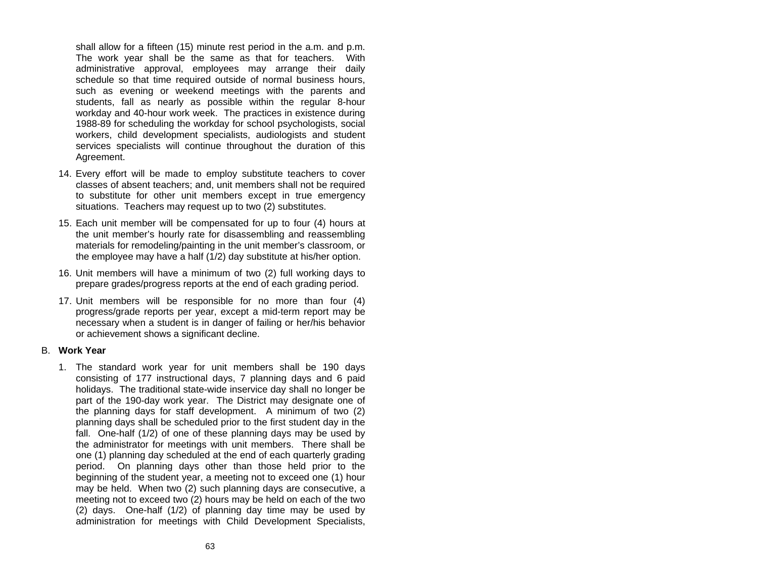shall allow for a fifteen (15) minute rest period in the a.m. and p.m. The work year shall be the same as that for teachers. With administrative approval, employees may arrange their daily schedule so that time required outside of normal business hours, such as evening or weekend meetings with the parents and students, fall as nearly as possible within the regular 8-hour workday and 40-hour work week. The practices in existence during 1988-89 for scheduling the workday for school psychologists, social workers, child development specialists, audiologists and student services specialists will continue throughout the duration of this Agreement.

- 14. Every effort will be made to employ substitute teachers to cover classes of absent teachers; and, unit members shall not be required to substitute for other unit members except in true emergency situations. Teachers may request up to two (2) substitutes.
- 15. Each unit member will be compensated for up to four (4) hours at the unit member's hourly rate for disassembling and reassembling materials for remodeling/painting in the unit member's classroom, or the employee may have a half (1/2) day substitute at his/her option.
- 16. Unit members will have a minimum of two (2) full working days to prepare grades/progress reports at the end of each grading period.
- 17. Unit members will be responsible for no more than four (4) progress/grade reports per year, except a mid-term report may be necessary when a student is in danger of failing or her/his behavior or achievement shows a significant decline.

### B. **Work Year**

1. The standard work year for unit members shall be 190 days consisting of 177 instructional days, 7 planning days and 6 paid holidays. The traditional state-wide inservice day shall no longer be part of the 190-day work year. The District may designate one of the planning days for staff development. A minimum of two (2) planning days shall be scheduled prior to the first student day in the fall. One-half (1/2) of one of these planning days may be used by the administrator for meetings with unit members. There shall be one (1) planning day scheduled at the end of each quarterly grading period. On planning days other than those held prior to the beginning of the student year, a meeting not to exceed one (1) hour may be held. When two (2) such planning days are consecutive, a meeting not to exceed two (2) hours may be held on each of the two (2) days. One-half (1/2) of planning day time may be used by administration for meetings with Child Development Specialists,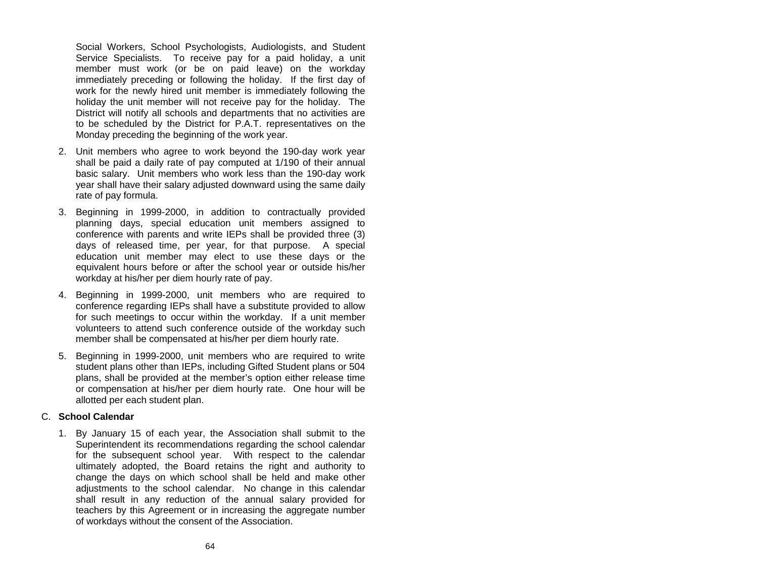Social Workers, School Psychologists, Audiologists, and Student Service Specialists. To receive pay for a paid holiday, a unit member must work (or be on paid leave) on the workday immediately preceding or following the holiday. If the first day of work for the newly hired unit member is immediately following the holiday the unit member will not receive pay for the holiday. The District will notify all schools and departments that no activities are to be scheduled by the District for P.A.T. representatives on the Monday preceding the beginning of the work year.

- 2. Unit members who agree to work beyond the 190-day work year shall be paid a daily rate of pay computed at 1/190 of their annual basic salary. Unit members who work less than the 190-day work year shall have their salary adjusted downward using the same daily rate of pay formula.
- 3. Beginning in 1999-2000, in addition to contractually provided planning days, special education unit members assigned to conference with parents and write IEPs shall be provided three (3) days of released time, per year, for that purpose. A special education unit member may elect to use these days or the equivalent hours before or after the school year or outside his/her workday at his/her per diem hourly rate of pay.
- 4. Beginning in 1999-2000, unit members who are required to conference regarding IEPs shall have a substitute provided to allow for such meetings to occur within the workday. If a unit member volunteers to attend such conference outside of the workday such member shall be compensated at his/her per diem hourly rate.
- 5. Beginning in 1999-2000, unit members who are required to write student plans other than IEPs, including Gifted Student plans or 504 plans, shall be provided at the member's option either release time or compensation at his/her per diem hourly rate. One hour will be allotted per each student plan.

### C. **School Calendar**

1. By January 15 of each year, the Association shall submit to the Superintendent its recommendations regarding the school calendar for the subsequent school year. With respect to the calendar ultimately adopted, the Board retains the right and authority to change the days on which school shall be held and make other adjustments to the school calendar. No change in this calendar shall result in any reduction of the annual salary provided for teachers by this Agreement or in increasing the aggregate number of workdays without the consent of the Association.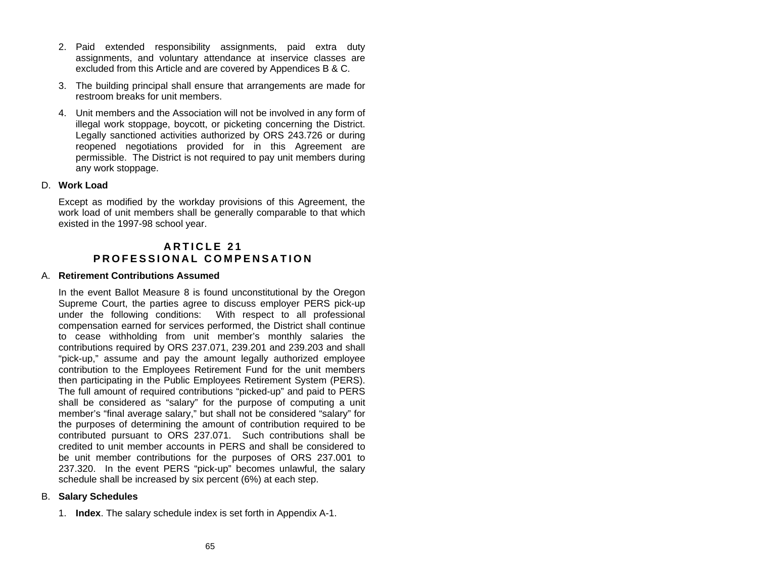- 2. Paid extended responsibility assignments, paid extra duty assignments, and voluntary attendance at inservice classes are excluded from this Article and are covered by Appendices B & C.
- 3. The building principal shall ensure that arrangements are made for restroom breaks for unit members.
- 4. Unit members and the Association will not be involved in any form of illegal work stoppage, boycott, or picketing concerning the District. Legally sanctioned activities authorized by ORS 243.726 or during reopened negotiations provided for in this Agreement are permissible. The District is not required to pay unit members during any work stoppage.

### D. **Work Load**

Except as modified by the workday provisions of this Agreement, the work load of unit members shall be generally comparable to that which existed in the 1997-98 school year.

# **A R T I C L E 21 P R OFESS ION A L COM PENS A TION**

### A. **Retirement Contributions Assumed**

In the event Ballot Measure 8 is found unconstitutional by the Oregon Supreme Court, the parties agree to discuss employer PERS pick-up under the following conditions: With respect to all professional compensation earned for services performed, the District shall continue to cease withholding from unit member's monthly salaries the contributions required by ORS 237.071, 239.201 and 239.203 and shall "pick-up," assume and pay the amount legally authorized employee contribution to the Employees Retirement Fund for the unit members then participating in the Public Employees Retirement System (PERS). The full amount of required contributions "picked-up" and paid to PERS shall be considered as "salary" for the purpose of computing a unit member's "final average salary," but shall not be considered "salary" for the purposes of determining the amount of contribution required to be contributed pursuant to ORS 237.071. Such contributions shall be credited to unit member accounts in PERS and shall be considered tobe unit member contributions for the purposes of ORS 237.001 to 237.320. In the event PERS "pick-up" becomes unlawful, the salary schedule shall be increased by six percent (6%) at each step.

### B. **Salary Schedules**

1. **Index**. The salary schedule index is set forth in Appendix A-1.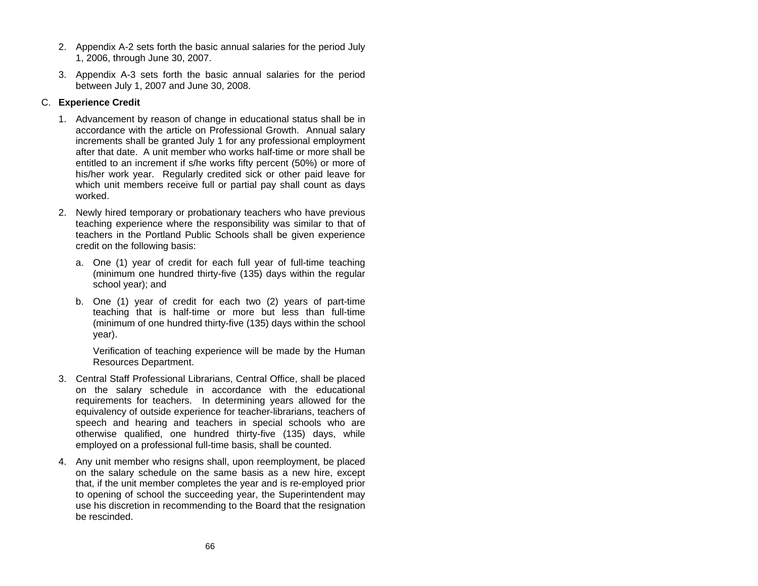- 2. Appendix A-2 sets forth the basic annual salaries for the period July 1, 2006, through June 30, 2007.
- 3. Appendix A-3 sets forth the basic annual salaries for the period between July 1, 2007 and June 30, 2008.

# C. **Experience Credit**

- 1. Advancement by reason of change in educational status shall be in accordance with the article on Professional Growth. Annual salary increments shall be granted July 1 for any professional employment after that date. A unit member who works half-time or more shall be entitled to an increment if s/he works fifty percent (50%) or more of his/her work year. Regularly credited sick or other paid leave for which unit members receive full or partial pay shall count as days worked.
- 2. Newly hired temporary or probationary teachers who have previous teaching experience where the responsibility was similar to that of teachers in the Portland Public Schools shall be given experience credit on the following basis:
	- a. One (1) year of credit for each full year of full-time teaching (minimum one hundred thirty-five (135) days within the regular school year); and
	- b. One (1) year of credit for each two (2) years of part-time teaching that is half-time or more but less than full-time (minimum of one hundred thirty-five (135) days within the school year).

Verification of teaching experience will be made by the Human Resources Department.

- 3. Central Staff Professional Librarians, Central Office, shall be placed on the salary schedule in accordance with the educational requirements for teachers. In determining years allowed for the equivalency of outside experience for teacher-librarians, teachers of speech and hearing and teachers in special schools who are otherwise qualified, one hundred thirty-five (135) days, while employed on a professional full-time basis, shall be counted.
- 4. Any unit member who resigns shall, upon reemployment, be placed on the salary schedule on the same basis as a new hire, except that, if the unit member completes the year and is re-employed prior to opening of school the succeeding year, the Superintendent may use his discretion in recommending to the Board that the resignation be rescinded.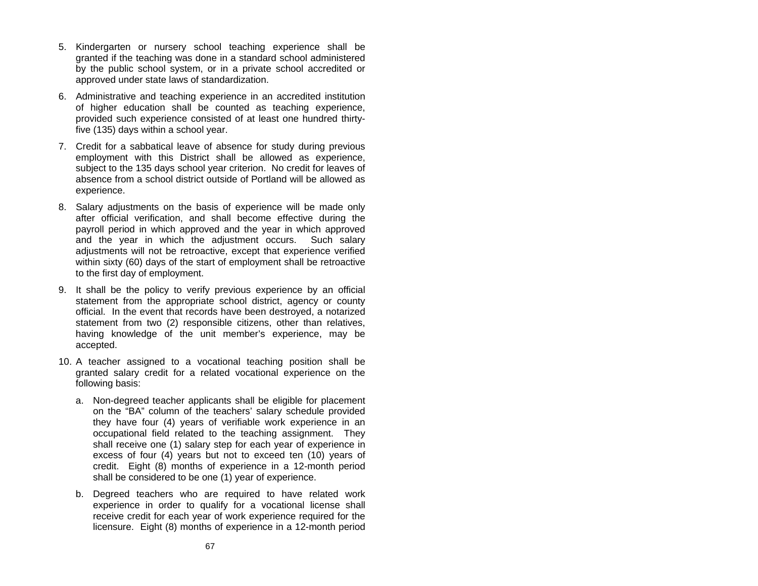- 5. Kindergarten or nursery school teaching experience shall be granted if the teaching was done in a standard school administered by the public school system, or in a private school accredited or approved under state laws of standardization.
- 6. Administrative and teaching experience in an accredited institution of higher education shall be counted as teaching experience, provided such experience consisted of at least one hundred thirtyfive (135) days within a school year.
- 7. Credit for a sabbatical leave of absence for study during previous employment with this District shall be allowed as experience, subject to the 135 days school year criterion. No credit for leaves of absence from a school district outside of Portland will be allowed asexperience.
- 8. Salary adjustments on the basis of experience will be made only after official verification, and shall become effective during the payroll period in which approved and the year in which approved and the year in which the adjustment occurs. Such salary adjustments will not be retroactive, except that experience verified within sixty (60) days of the start of employment shall be retroactive to the first day of employment.
- 9. It shall be the policy to verify previous experience by an official statement from the appropriate school district, agency or county official. In the event that records have been destroyed, a notarized statement from two (2) responsible citizens, other than relatives, having knowledge of the unit member's experience, may be accepted.
- 10. A teacher assigned to a vocational teaching position shall be granted salary credit for a related vocational experience on the following basis:
	- a. Non-degreed teacher applicants shall be eligible for placement on the "BA" column of the teachers' salary schedule provided they have four (4) years of verifiable work experience in an occupational field related to the teaching assignment. They shall receive one (1) salary step for each year of experience in excess of four (4) years but not to exceed ten (10) years of credit. Eight (8) months of experience in a 12-month period shall be considered to be one (1) year of experience.
	- b. Degreed teachers who are required to have related work experience in order to qualify for a vocational license shall receive credit for each year of work experience required for the licensure. Eight (8) months of experience in a 12-month period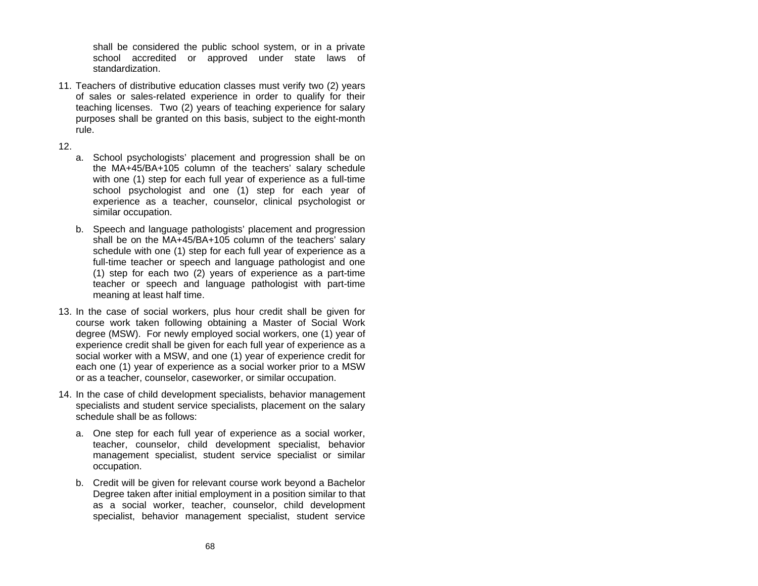shall be considered the public school system, or in a private school accredited or approved under state laws of standardization.

- 11. Teachers of distributive education classes must verify two (2) years of sales or sales-related experience in order to qualify for their teaching licenses. Two (2) years of teaching experience for salary purposes shall be granted on this basis, subject to the eight-month rule.
- 12.
- a. School psychologists' placement and progression shall be on the MA+45/BA+105 column of the teachers' salary schedule with one (1) step for each full year of experience as a full-time school psychologist and one (1) step for each year of experience as a teacher, counselor, clinical psychologist or similar occupation.
- b. Speech and language pathologists' placement and progression shall be on the MA+45/BA+105 column of the teachers' salary schedule with one (1) step for each full year of experience as a full-time teacher or speech and language pathologist and one (1) step for each two (2) years of experience as a part-time teacher or speech and language pathologist with part-time meaning at least half time.
- 13. In the case of social workers, plus hour credit shall be given for course work taken following obtaining a Master of Social Work degree (MSW). For newly employed social workers, one (1) year of experience credit shall be given for each full year of experience as a social worker with a MSW, and one (1) year of experience credit for each one (1) year of experience as <sup>a</sup> social worker prior to a MSW or as a teacher, counselor, caseworker, or similar occupation.
- 14. In the case of child development specialists, behavior management specialists and student service specialists, placement on the salary schedule shall be as follows:
	- a. One step for each full year of experience as a social worker, teacher, counselor, child development specialist, behavior management specialist, student service specialist or similar occupation.
	- b. Credit will be given for relevant course work beyond a Bachelor Degree taken after initial employment in a position similar to that as a social worker, teacher, counselor, child development specialist, behavior management specialist, student service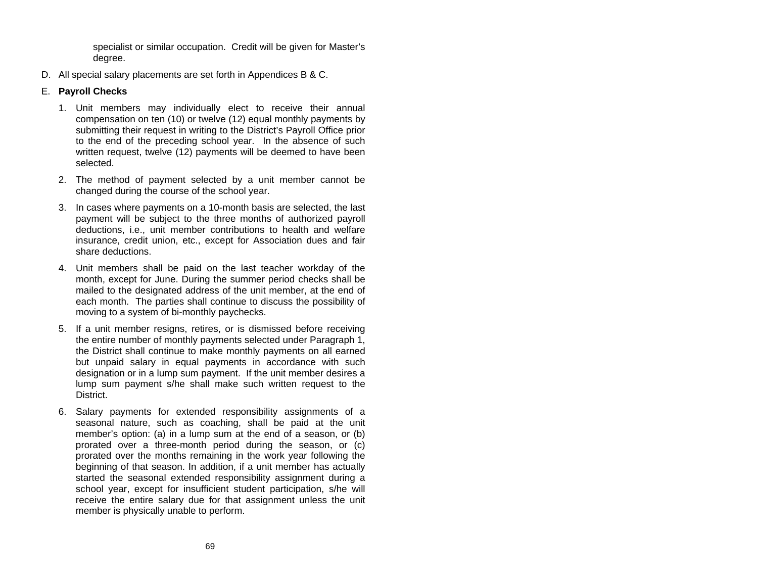specialist or similar occupation. Credit will be given for Master's degree.

D. All special salary placements are set forth in Appendices B & C.

# E. **Payroll Checks**

- 1. Unit members may individually elect to receive their annual compensation on ten (10) or twelve (12) equal monthly payments by submitting their request in writing to the District's Payroll Office prior to the end of the preceding school year. In the absence of such written request, twelve (12) payments will be deemed to have been selected.
- 2. The method of payment selected by a unit member cannot be changed during the course of the school year.
- 3. In cases where payments on a 10-month basis are selected, the last payment will be subject to the three months of authorized payroll deductions, i.e., unit member contributions to health and welfare insurance, credit union, etc., except for Association dues and fair share deductions.
- 4. Unit members shall be paid on the last teacher workday of the month, except for June. During the summer period checks shall be mailed to the designated address of the unit member, at the end of each month. The parties shall continue to discuss the possibility of moving to a system of bi-monthly paychecks.
- 5. If a unit member resigns, retires, or is dismissed before receiving the entire number of monthly payments selected under Paragraph 1, the District shall continue to make monthly payments on all earned but unpaid salary in equal payments in accordance with such designation or in a lump sum payment. If the unit member desires a lump sum payment s/he shall make such written request to the District.
- 6. Salary payments for extended responsibility assignments of a seasonal nature, such as coaching, shall be paid at the unit member's option: (a) in a lump sum at the end of a season, or (b) prorated over a three-month period during the season, or (c) prorated over the months remaining in the work year following the beginning of that season. In addition, if a unit member has actually started the seasonal extended responsibility assignment during a school year, except for insufficient student participation, s/he will receive the entire salary due for that assignment unless the unit member is physically unable to perform.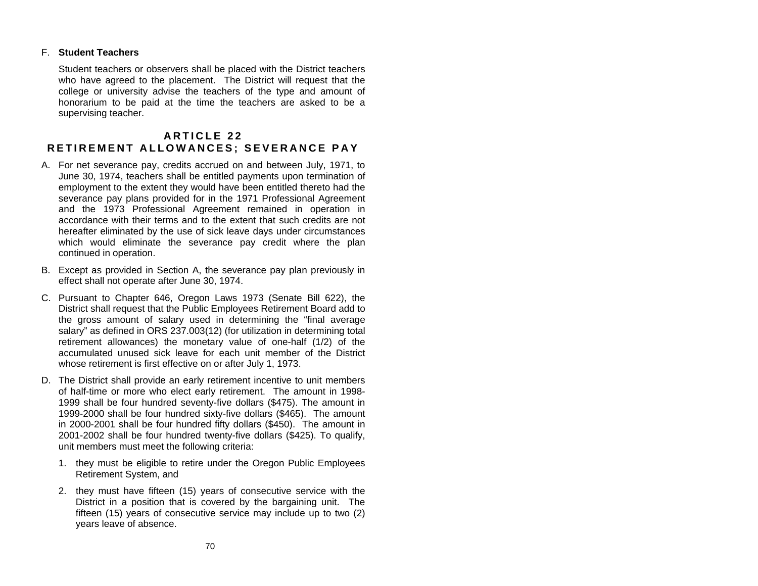### F. **Student Teachers**

Student teachers or observers shall be placed with the District teachers who have agreed to the placement. The District will request that the college or university advise the teachers of the type and amount of honorarium to be paid at the time the teachers are asked to be a supervising teacher.

## **A R T I C L E 22 R E TIR E MENT ALLO W A N C E S ; SEV ERA NCE PAY**

- A. For net severance pay, credits accrued on and between July, 1971, to June 30, 1974, teachers shall be entitled payments upon termination of employment to the extent they would have been entitled thereto had the severance pay plans provided for in the 1971 Professional Agreement and the 1973 Professional Agreement remained in operation in accordance with their terms and to the extent that such credits are not hereafter eliminated by the use of sick leave days under circumstances which would eliminate the severance pay credit where the plan continued in operation.
- B. Except as provided in Section A, the severance pay plan previously in effect shall not operate after June 30, 1974.
- C. Pursuant to Chapter 646, Oregon Laws 1973 (Senate Bill 622), the District shall request that the Public Employees Retirement Board add to the gross amount of salary used in determining the "final average salary" as defined in ORS 237.003(12) (for utilization in determining total retirement allowances) the monetary value of one-half (1/2) of the accumulated unused sick leave for each unit member of the District whose retirement is first effective on or after July 1, 1973.
- D. The District shall provide an early retirement incentive to unit members of half-time or more who elect early retirement. The amount in 1998- 1999 shall be four hundred seventy-five dollars (\$475). The amount in 1999-2000 shall be four hundred sixty-five dollars (\$465). The amount in 2000-2001 shall be four hundred fifty dollars (\$450). The amount in 2001-2002 shall be four hundred twenty-five dollars (\$425). To qualify, unit members must meet the following criteria:
	- 1. they must be eligible to retire under the Oregon Public Employees Retirement System, and
	- 2. they must have fifteen (15) years of consecutive service with the District in a position that is covered by the bargaining unit. The fifteen (15) years of consecutive service may include up to two (2) years leave of absence.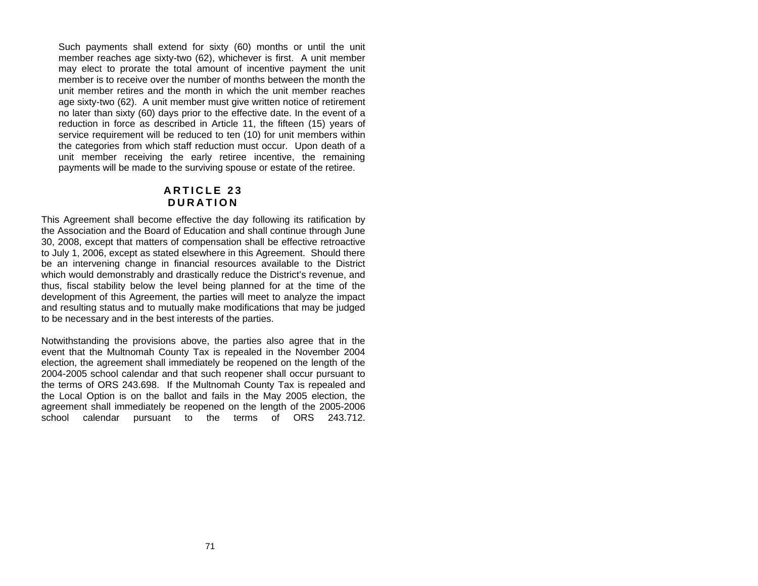Such payments shall extend for sixty (60) months or until the unit member reaches age sixty-two (62), whichever is first. A unit member may elect to prorate the total amount of incentive payment the unit member is to receive over the number of months between the month the unit member retires and the month in which the unit member reaches age sixty-two (62). A unit member must give written notice of retirement no later than sixty (60) days prior to the effective date. In the event of a reduction in force as described in Article 11, the fifteen (15) years of service requirement will be reduced to ten (10) for unit members within the categories from which staff reduction must occur. Upon death of a unit member receiving the early retiree incentive, the remaining payments will be made to the surviving spouse or estate of the retiree.

## **A R T I C L E 23 D URA TION**

This Agreement shall become effective the day following its ratification by the Association and the Board of Education and shall continue through June 30, 2008, except that matters of compensation shall be effective retroactive to July 1, 2006, except as stated elsewhere in this Agreement. Should there be an intervening change in financial resources available to the District which would demonstrably and drastically reduce the District's revenue, and thus, fiscal stability below the level being planned for at the time of the development of this Agreement, the parties will meet to analyze the impact and resulting status and to mutually make modifications that may be judged to be necessary and in the best interests of the parties.

Notwithstanding the provisions above, the parties also agree that in the event that the Multnomah County Tax is repealed in the November 2004 election, the agreement shall immediately be reopened on the length of the 2004-2005 school calendar and that such reopener shall occur pursuant to the terms of ORS 243.698. If the Multnomah County Tax is repealed and the Local Option is on the ballot and fails in the May 2005 election, the agreement shall immediately be reopened on the length of the 2005-2006 school calendar pursuant to the terms of ORS 243.712.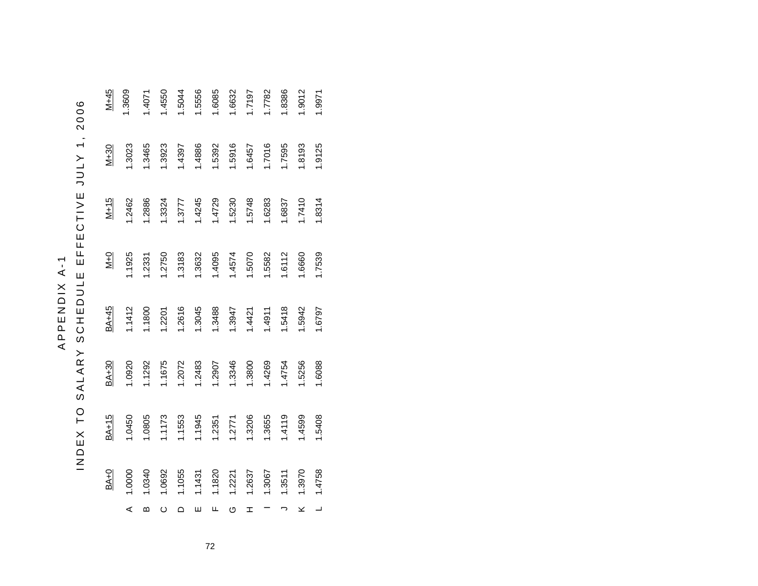|        | ς                             |
|--------|-------------------------------|
|        | ۲                             |
|        |                               |
|        |                               |
|        |                               |
|        |                               |
|        | ロロロロコンロ                       |
|        |                               |
|        |                               |
|        |                               |
|        |                               |
|        |                               |
|        |                               |
|        | u                             |
| ٠      | Ц                             |
|        |                               |
|        |                               |
|        |                               |
|        |                               |
|        | <br> <br> <br> <br> <br> <br> |
|        |                               |
|        |                               |
| APPEND |                               |
|        | $\mathbf{I}$                  |
|        | ۵                             |
|        | Ż                             |
|        | $\overline{\phantom{a}}$      |
|        | $\mathbf o$                   |
|        |                               |
|        | C                             |
|        |                               |
|        | $\rightarrow$                 |
|        | u                             |
|        |                               |

| ی<br>١                   |
|--------------------------|
|                          |
|                          |
| ¢                        |
|                          |
|                          |
|                          |
| $\mathbf$<br>1           |
|                          |
|                          |
|                          |
|                          |
| $\overline{ }$           |
|                          |
|                          |
|                          |
| $\overline{\phantom{1}}$ |
|                          |
| J                        |
|                          |
|                          |
| )                        |
|                          |
|                          |
|                          |
|                          |
|                          |
| ц<br>1                   |
|                          |
|                          |
|                          |
|                          |
|                          |
| ŀ                        |
|                          |
|                          |
|                          |
|                          |
| E C T                    |
|                          |
|                          |
| ū                        |
|                          |
|                          |
| և<br>և                   |
|                          |
| Ш                        |
|                          |
|                          |
|                          |
| Ш                        |
|                          |
| $\overline{\phantom{0}}$ |
|                          |
|                          |
| J                        |
| CHEDL                    |
|                          |
|                          |
|                          |
|                          |
|                          |
|                          |
|                          |
|                          |
|                          |
|                          |
|                          |
| უ<br>რ                   |
| ĺ                        |
|                          |
|                          |
|                          |
|                          |
|                          |
|                          |
| ı                        |
|                          |
| 1                        |
|                          |
|                          |
| ┙                        |
|                          |
| ś<br>l                   |
|                          |
| $\overline{a}$           |
|                          |
|                          |
|                          |
|                          |
| C<br>)                   |
|                          |
| Ë                        |
|                          |
|                          |
|                          |
|                          |
|                          |
|                          |
|                          |
| ∐<br>∩                   |
|                          |
|                          |
|                          |
|                          |
|                          |
|                          |
| $\overline{z}$           |

|         | $BA+0$ | BA+15  | BA+30  | BA+45  | $\frac{1}{2}$ | $M + 15$ | $M+30$ | $M + 45$ |
|---------|--------|--------|--------|--------|---------------|----------|--------|----------|
| ⋖       | 1.0000 | 1.0450 | 1.0920 | 1.1412 | 1.1925        | 1.2462   | 1.3023 | 1.3609   |
| മ       | 1.0340 | 1.0805 | 1.1292 | 1.1800 | 1.2331        | 1.2886   | 1.3465 | 1.4071   |
| $\circ$ | 1.0692 | 1.1173 | 1.1675 | 1.2201 | 1.2750        | 1.3324   | 1.3923 | 1.4550   |
| ≏       | 1.1055 | 1.1553 | 1.2072 | 1.2616 | 1.3183        | 1.3777   | 1.4397 | 1.5044   |
| ш       | 1.1431 | 1.1945 | 1.2483 | 1.3045 | 1.3632        | 1.4245   | 1.4886 | 1.5556   |
| щ       | 1.1820 | 1.2351 | 1.2907 | 1.3488 | 1.4095        | 1.4729   | 1.5392 | 1.6085   |
| ပ       | 1.2221 | 1.2771 | 1.3346 | 1.3947 | 1.4574        | 1.5230   | 1.5916 | 1.6632   |
| I       | 1.2637 | 1.3206 | 1.3800 | 1.4421 | 1.5070        | 1.5748   | 1.6457 | 1.7197   |
|         | 1.3067 | 1.3655 | 1.4269 | 1.4911 | 1.5582        | 1.6283   | 1.7016 | 1.7782   |
|         | 1.3511 | 1.4119 | 1.4754 | 1.5418 | 1.6112        | 1.6837   | 1.7595 | 1.8386   |
| ⊻       | 1.3970 | 1.4599 | 1.5256 | 1.5942 | 1.6660        | 1.7410   | 1.8193 | 1.9012   |
|         | 1.4758 | 1.5408 | 1.6088 | 1.6797 | 1.7539        | 1.8314   | 1.9125 | 1.9971   |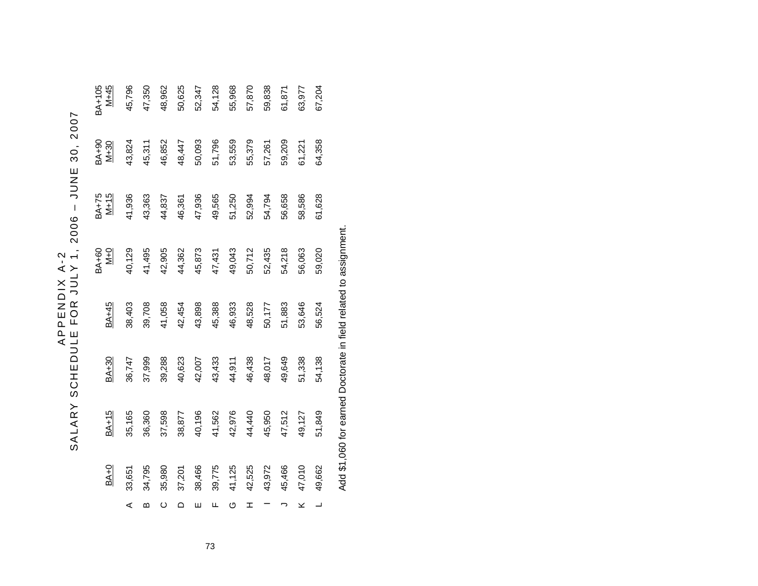| 1<br>C<br>$\overline{A}$<br><b>NDIX</b><br>APPE | r<br>$\mathbf$<br>)<br>$\epsilon$<br>)<br>$\mathsf{C}$<br>30.<br>W<br>M<br>!<br>ı<br><b>POOG</b><br>)<br>)<br>$\frac{1}{1}$<br>$\overline{\mathbf{I}}$<br>)<br><b>FOR</b><br><b>DULE</b> |
|-------------------------------------------------|------------------------------------------------------------------------------------------------------------------------------------------------------------------------------------------|
|                                                 | SCHE.                                                                                                                                                                                    |
|                                                 | SALAR                                                                                                                                                                                    |

| 67,204<br>61,871<br>63,977 | 64,358<br>59,209<br>61,221 | 61,628<br>56,658<br>58,586 | 54,218<br>59,020<br>56,063              | 53,646<br>51,883<br>56,524 | 49,649<br>54,138<br>51,338 | 51,849<br>47,512<br>49,127 | 45,466<br>47,010<br>49,662 | ×<br>$\overline{\phantom{a}}$ |
|----------------------------|----------------------------|----------------------------|-----------------------------------------|----------------------------|----------------------------|----------------------------|----------------------------|-------------------------------|
| 59,838                     | 57,261                     | 54,794                     | 52,435                                  | 50,177                     | 48,017                     | 45,950                     | 43,972                     |                               |
| 57,870                     | 55,379                     | 52,994                     | 50,712                                  | 48,528                     | 46,438                     | 44,440                     | 42,525                     | I                             |
| 55,968                     | 53,559                     | 51,250                     | 49,043                                  | 46,933                     | 44,911                     | 42,976                     | 41,125                     | ပ                             |
| 54,128                     | 51,796                     | 49,565                     | 47,431                                  | 45,388                     | 43,433                     | 41,562                     | 39,775                     | щ                             |
| 52,347                     | 50,093                     | 47,936                     | 45,873                                  | 43,898                     | 42,007                     | 40,196                     | 38,466                     | ш                             |
| 50,625                     | 48,447                     | 46,361                     | 44,362                                  | 42,454                     | 40,623                     | 38,877                     | 37,201                     | $\Omega$                      |
| 48,962                     | 46,852                     | 44,837                     | 42,905                                  | 41,058                     | 39,288                     | 37,598                     | 35,980                     | $\circ$                       |
| 47,350                     | 45,311                     | 43,363                     | 41,495                                  | 39,708                     | 37,999                     | 36,360                     | 34,795                     | ∞                             |
| 45,796                     | 43,824                     | 41,936                     | 40,129                                  | 38,403                     | 36,747                     | 35,165                     | 33,651                     | ⋖                             |
| $M + 45$<br>$3A+105$       | BA+90<br>M+30              | BA+75<br>M+15              | <b>BA+60</b><br>$\overline{\mathsf{M}}$ | BA+45                      | BA+30                      | <b>BA+15</b>               | $BA+0$                     |                               |
|                            |                            |                            |                                         |                            |                            |                            |                            |                               |

Add \$1,060 for earned Doctorate in field related to assignment. Add \$1,060 for earned Doctorate in field related to assignment.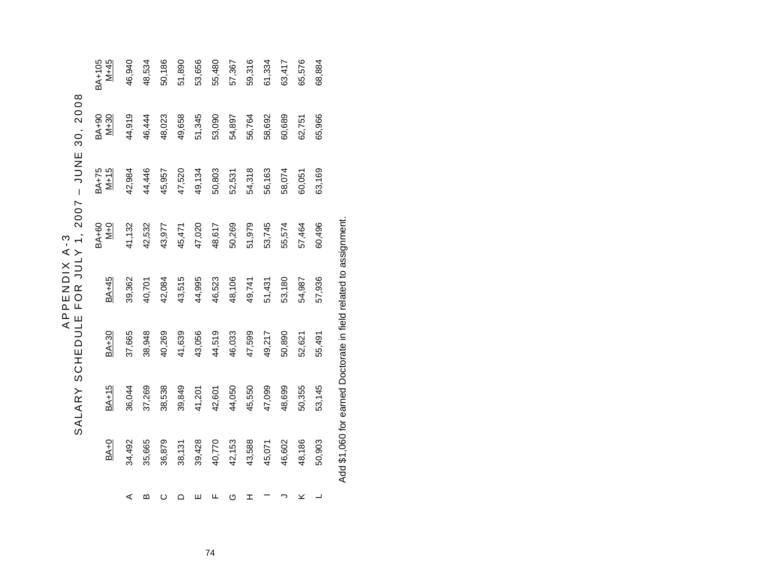|                            | 008<br>$\mathbf{\Omega}$<br>$\frac{6}{3}$<br>ロスコ                                                                   |
|----------------------------|--------------------------------------------------------------------------------------------------------------------|
| í,<br>⋖<br><b>APPENDIX</b> | I<br>Ŋ<br>$\bar{ }$<br>2007<br>$\overline{\phantom{0}}$<br>$\ge$<br>J<br>J<br><b>FOR</b><br>ш<br>SCHEDULL<br>SALAR |

| 3A+105<br>M+45                | 46,940 | 48,534 | 50,186 | 51,890 | 53,656 | 55,480 | 57,367 | 59,316 | 61,334 | 63,417 | 65,576 | 68,884 |
|-------------------------------|--------|--------|--------|--------|--------|--------|--------|--------|--------|--------|--------|--------|
| BA+90<br>M+30                 | 44,919 | 46,444 | 48,023 | 49,658 | 51,345 | 53,090 | 54,897 | 56,764 | 58,692 | 60,689 | 62,751 | 65,966 |
| BA+75<br>M+15                 | 42,984 | 44,446 | 45,957 | 47,520 | 49,134 | 50,803 | 52,531 | 54,318 | 56,163 | 58,074 | 60,051 | 63,169 |
| <b>BA+60</b><br>$\frac{1}{2}$ | 41,132 | 42,532 | 43,977 | 45,471 | 47,020 | 48,617 | 50,269 | 51,979 | 53,745 | 55,574 | 57,464 | 60,496 |
| BA+45                         | 39,362 | 40,701 | 42,084 | 43,515 | 44,995 | 46,523 | 48,106 | 49,741 | 51,431 | 53,180 | 54,987 | 57,936 |
| <b>BA+30</b>                  | 37,665 | 38,948 | 40,269 | 41,639 | 43,056 | 44,519 | 46,033 | 47,599 | 49,217 | 50,890 | 52,621 | 55,491 |
| <b>BA+15</b>                  | 36,044 | 37,269 | 38,538 | 39,849 | 41,201 | 42,601 | 44,050 | 45,550 | 47,099 | 48,699 | 50,355 | 53,145 |
| $BA+0$                        | 34,492 | 35,665 | 36,879 | 38,131 | 39,428 | 40,770 | 42,153 | 43,588 | 45,071 | 46,602 | 48,186 | 50,903 |
|                               | ⋖      | മ      | ပ      | ≏      | Ш      | щ      | O      | I      |        |        | ⊻      |        |

Add \$1,060 for earned Doctorate in field related to assignment. Add \$1,060 for earned Doctorate in field related to assignment.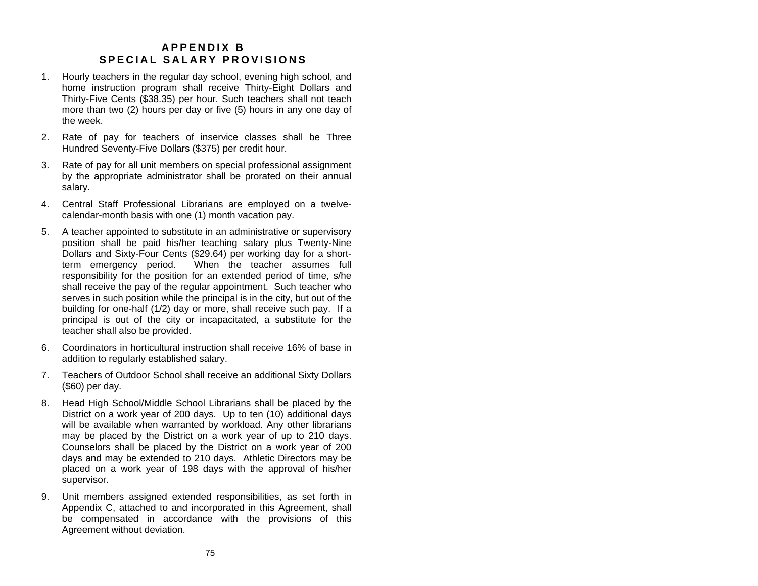## **A PPE NDIX B S PEC IAL SA LAR Y PROV ISIO NS**

- 1. Hourly teachers in the regular day school, evening high school, and home instruction program shall receive Thirty-Eight Dollars and Thirty-Five Cents (\$38.35) per hour. Such teachers shall not teach more than two (2) hours per day or five (5) hours in any one day of the week.
- 2. Rate of pay for teachers of inservice classes shall be Three Hundred Seventy-Five Dollars (\$375) per credit hour.
- 3. Rate of pay for all unit members on special professional assignment by the appropriate administrator shall be prorated on their annual salary.
- 4. Central Staff Professional Librarians are employed on a twelvecalendar-month basis with one (1) month vacation pay.
- 5. A teacher appointed to substitute in an administrative or supervisory position shall be paid his/her teaching salary plus Twenty-Nine Dollars and Sixty-Four Cents (\$29.64) per working day for a shortterm emergency period. When the teacher assumes full responsibility for the position for an extended period of time, s/he shall receive the pay of the regular appointment. Such teacher who serves in such position while the principal is in the city, but out of the building for one-half (1/2) day or more, shall receive such pay. If a principal is out of the city or incapacitated, a substitute for the teacher shall also be provided.
- 6. Coordinators in horticultural instruction shall receive 16% of base inaddition to regularly established salary.
- 7. Teachers of Outdoor School shall receive an additional Sixty Dollars (\$60) per day.
- 8. Head High School/Middle School Librarians shall be placed by the District on a work year of 200 days. Up to ten (10) additional days will be available when warranted by workload. Any other librarians may be placed by the District on a work year of up to 210 days. Counselors shall be placed by the District on a work year of 200 days and may be extended to 210 days. Athletic Directors may be placed on a work year of 198 days with the approval of his/her supervisor.
- 9. Unit members assigned extended responsibilities, as set forth in Appendix C, attached to and incorporated in this Agreement, shall be compensated in accordance with the provisions of this Agreement without deviation.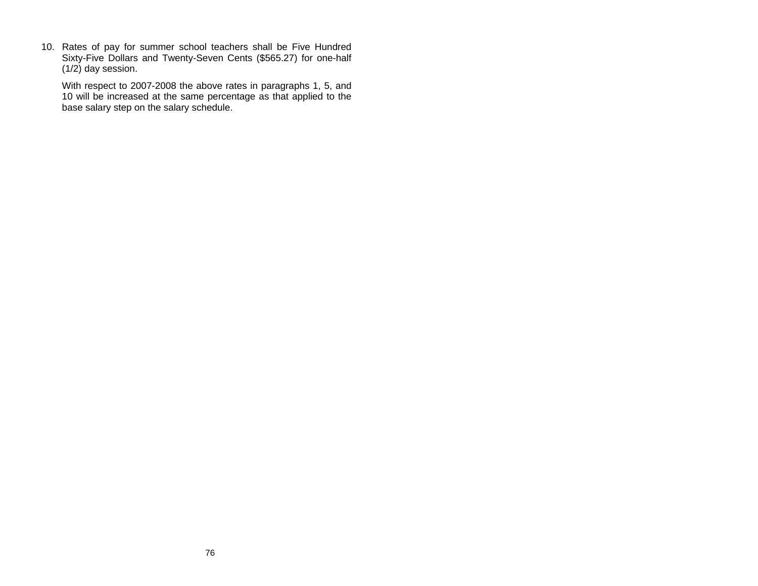10. Rates of pay for summer school teachers shall be Five Hundred Sixty-Five Dollars and Twenty-Seven Cents (\$565.27) for one-half (1/2) day session.

With respect to 2007-2008 the above rates in paragraphs 1, 5, and 10 will be increased at the same percentage as that applied to the base salary step on the salary schedule.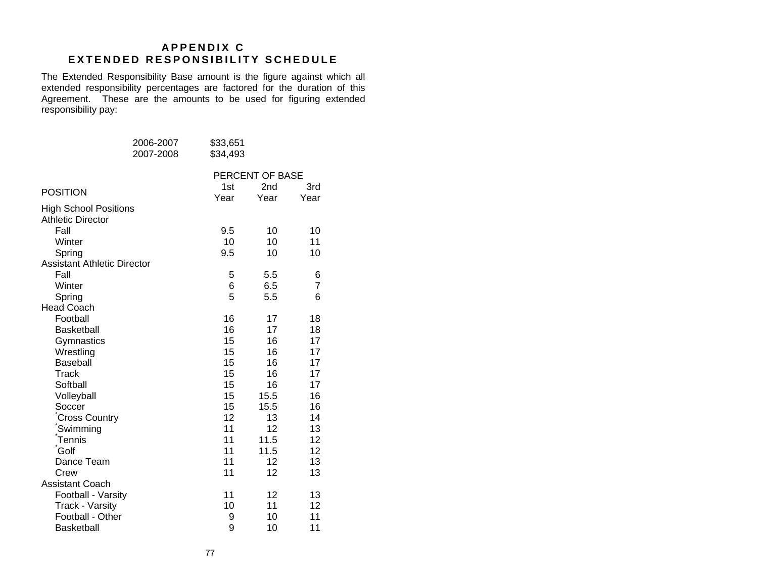## **A PPE NDIX C E X TENDE D RESPO N S I B ILITY SCH E D U LE**

The Extended Responsibility Base amount is the figure against which all extended responsibility percentages are factored for the duration of this Agreement. These are the amounts to be used for figuring extended responsibility pay:

|                                    | 2006-2007 | \$33,651 |                 |                 |
|------------------------------------|-----------|----------|-----------------|-----------------|
|                                    | 2007-2008 | \$34,493 |                 |                 |
|                                    |           |          | PERCENT OF BASE |                 |
|                                    |           | 1st      | 2 <sub>nd</sub> | 3rd             |
| <b>POSITION</b>                    |           | Year     | Year            | Year            |
| <b>High School Positions</b>       |           |          |                 |                 |
| <b>Athletic Director</b>           |           |          |                 |                 |
| Fall                               |           | 9.5      | 10              | 10              |
| Winter                             |           | 10       | 10              | 11              |
| Spring                             |           | 9.5      | 10              | 10              |
| <b>Assistant Athletic Director</b> |           |          |                 |                 |
| Fall                               |           | 5        | 5.5             | 6               |
| Winter                             |           | 6        | 6.5             | $\overline{7}$  |
| Spring                             |           | 5        | 5.5             | 6               |
| <b>Head Coach</b>                  |           |          |                 |                 |
| Football                           |           | 16       | 17              | 18              |
| <b>Basketball</b>                  |           | 16       | 17              | 18              |
| Gymnastics                         |           | 15       | 16              | 17              |
| Wrestling                          |           | 15       | 16              | 17              |
| <b>Baseball</b>                    |           | 15       | 16              | 17              |
| Track                              |           | 15       | 16              | 17              |
| Softball                           |           | 15       | 16              | 17              |
| Volleyball                         |           | 15       | 15.5            | 16              |
| Soccer                             |           | 15       | 15.5            | 16              |
| <b>Cross Country</b>               |           | 12       | 13              | 14              |
| Swimming                           |           | 11       | 12              | 13              |
| <b>Tennis</b>                      |           | 11       | 11.5            | 12              |
| Golf                               |           | 11       | 11.5            | 12              |
| Dance Team                         |           | 11       | 12              | 13              |
| Crew                               |           | 11       | 12              | 13              |
| <b>Assistant Coach</b>             |           |          |                 |                 |
| Football - Varsity                 |           | 11       | 12              | 13              |
| <b>Track - Varsity</b>             |           | 10       | 11              | 12 <sup>2</sup> |
| Football - Other                   |           | 9        | 10              | 11              |
| <b>Basketball</b>                  |           | 9        | 10              | 11              |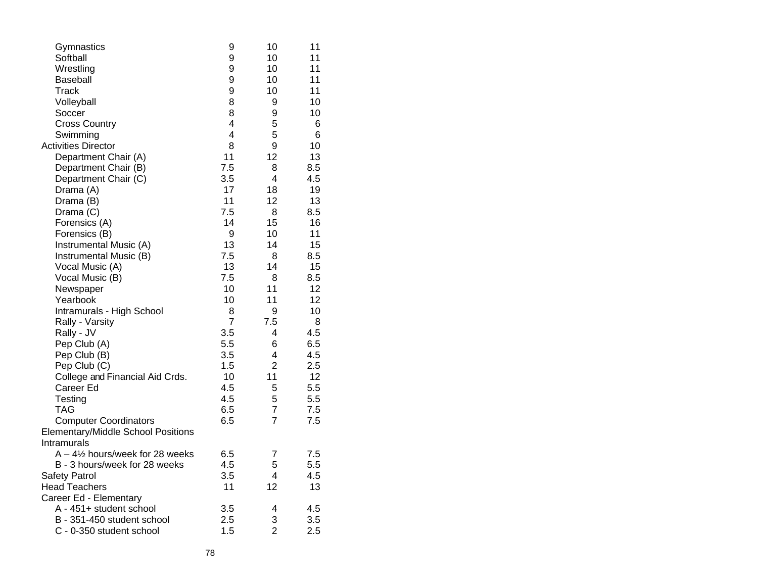| Gymnastics                                 | 9                       | 10             | 11  |
|--------------------------------------------|-------------------------|----------------|-----|
| Softball                                   | 9                       | 10             | 11  |
| Wrestling                                  | 9                       | 10             | 11  |
| <b>Baseball</b>                            | 9                       | 10             | 11  |
| Track                                      | 9                       | 10             | 11  |
| Volleyball                                 | 8                       | 9              | 10  |
| Soccer                                     | 8                       | 9              | 10  |
| <b>Cross Country</b>                       | $\overline{\mathbf{4}}$ | 5              | 6   |
| Swimming                                   | 4                       | 5              | 6   |
| <b>Activities Director</b>                 | 8                       | 9              | 10  |
| Department Chair (A)                       | 11                      | 12             | 13  |
| Department Chair (B)                       | 7.5                     | 8              | 8.5 |
| Department Chair (C)                       | 3.5                     | 4              | 4.5 |
| Drama (A)                                  | 17                      | 18             | 19  |
| Drama (B)                                  | 11                      | 12             | 13  |
| Drama (C)                                  | 7.5                     | 8              | 8.5 |
| Forensics (A)                              | 14                      | 15             | 16  |
| Forensics (B)                              | 9                       | 10             | 11  |
| Instrumental Music (A)                     | 13                      | 14             | 15  |
| Instrumental Music (B)                     | 7.5                     | 8              | 8.5 |
| Vocal Music (A)                            | 13                      | 14             | 15  |
| Vocal Music (B)                            | 7.5                     | 8              | 8.5 |
| Newspaper                                  | 10                      | 11             | 12  |
| Yearbook                                   | 10                      | 11             | 12  |
| Intramurals - High School                  | 8                       | 9              | 10  |
| Rally - Varsity                            | 7                       | 7.5            | 8   |
| Rally - JV                                 | 3.5                     | 4              | 4.5 |
| Pep Club (A)                               | 5.5                     | 6              | 6.5 |
| Pep Club (B)                               | 3.5                     | 4              | 4.5 |
| Pep Club (C)                               | 1.5                     | $\overline{2}$ | 2.5 |
| College and Financial Aid Crds.            | 10                      | 11             | 12  |
| Career Ed                                  | 4.5                     | 5              | 5.5 |
| Testing                                    | 4.5                     | 5              | 5.5 |
| TAG                                        | 6.5                     | $\overline{7}$ | 7.5 |
| <b>Computer Coordinators</b>               | 6.5                     | 7              | 7.5 |
| <b>Elementary/Middle School Positions</b>  |                         |                |     |
| Intramurals                                |                         |                |     |
| $A - 4\frac{1}{2}$ hours/week for 28 weeks | 6.5                     | 7              | 7.5 |
| B - 3 hours/week for 28 weeks              | 4.5                     | 5              | 5.5 |
| <b>Safety Patrol</b>                       | 3.5                     | 4              | 4.5 |
| <b>Head Teachers</b>                       | 11                      | 12             | 13  |
| Career Ed - Elementary                     |                         |                |     |
| A - 451+ student school                    | 3.5                     | 4              | 4.5 |
| B - 351-450 student school                 | 2.5                     | 3              | 3.5 |
| C - 0-350 student school                   | 1.5                     | $\overline{2}$ | 2.5 |
|                                            |                         |                |     |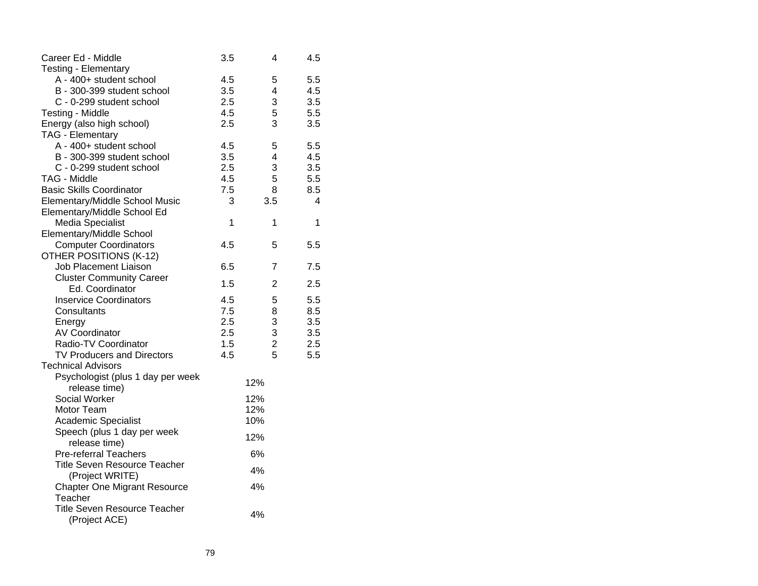| Career Ed - Middle                  | 3.5 | 4              | 4.5 |
|-------------------------------------|-----|----------------|-----|
| <b>Testing - Elementary</b>         |     |                |     |
| A - 400+ student school             | 4.5 | 5              | 5.5 |
| B - 300-399 student school          | 3.5 | 4              | 4.5 |
| C - 0-299 student school            | 2.5 | 3              | 3.5 |
| Testing - Middle                    | 4.5 | 5              | 5.5 |
| Energy (also high school)           | 2.5 | 3              | 3.5 |
| <b>TAG - Elementary</b>             |     |                |     |
| A - 400+ student school             | 4.5 | 5              | 5.5 |
| B - 300-399 student school          | 3.5 | 4              | 4.5 |
| C - 0-299 student school            | 2.5 | 3              | 3.5 |
| TAG - Middle                        | 4.5 | 5              | 5.5 |
| <b>Basic Skills Coordinator</b>     | 7.5 | 8              | 8.5 |
| Elementary/Middle School Music      | 3   | 3.5            | 4   |
| Elementary/Middle School Ed         |     |                |     |
| <b>Media Specialist</b>             | 1   | 1              | 1   |
| Elementary/Middle School            |     |                |     |
| <b>Computer Coordinators</b>        | 4.5 | 5              | 5.5 |
| OTHER POSITIONS (K-12)              |     |                |     |
| <b>Job Placement Liaison</b>        | 6.5 | 7              | 7.5 |
| <b>Cluster Community Career</b>     |     |                |     |
| Ed. Coordinator                     | 1.5 | $\overline{2}$ | 2.5 |
| <b>Inservice Coordinators</b>       | 4.5 | 5              | 5.5 |
| Consultants                         | 7.5 | 8              | 8.5 |
| Energy                              | 2.5 | 3              | 3.5 |
| <b>AV Coordinator</b>               | 2.5 | 3              | 3.5 |
| Radio-TV Coordinator                | 1.5 | $\overline{2}$ | 2.5 |
| <b>TV Producers and Directors</b>   | 4.5 | 5              | 5.5 |
| <b>Technical Advisors</b>           |     |                |     |
| Psychologist (plus 1 day per week   |     |                |     |
| release time)                       |     | 12%            |     |
| Social Worker                       |     | 12%            |     |
| Motor Team                          |     | 12%            |     |
| <b>Academic Specialist</b>          |     | 10%            |     |
| Speech (plus 1 day per week         |     |                |     |
| release time)                       |     | 12%            |     |
| <b>Pre-referral Teachers</b>        |     | 6%             |     |
| <b>Title Seven Resource Teacher</b> |     |                |     |
| (Project WRITE)                     |     | 4%             |     |
| <b>Chapter One Migrant Resource</b> |     | 4%             |     |
| Teacher                             |     |                |     |
| <b>Title Seven Resource Teacher</b> |     |                |     |
| (Project ACE)                       |     | 4%             |     |
|                                     |     |                |     |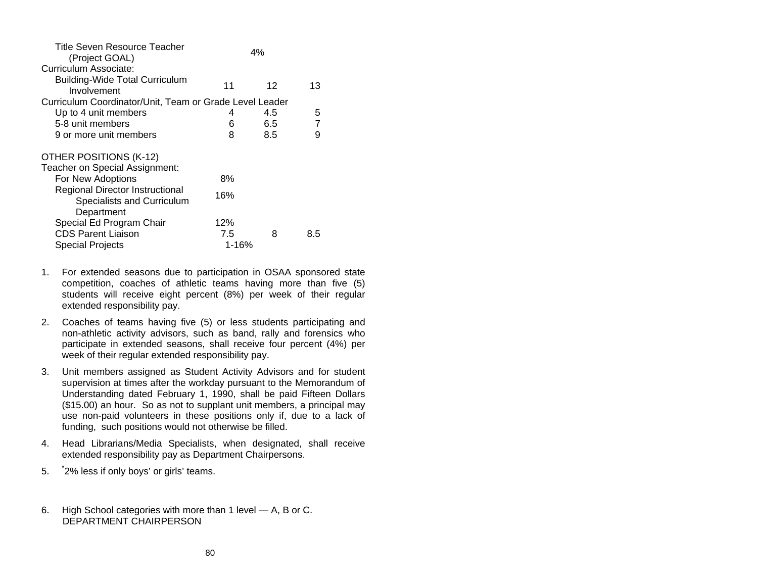| Title Seven Resource Teacher<br>(Project GOAL)                |           | 4%  |                |
|---------------------------------------------------------------|-----------|-----|----------------|
| Curriculum Associate:                                         |           |     |                |
| <b>Building-Wide Total Curriculum</b><br>Involvement          | 11        | 12  | 13             |
| Curriculum Coordinator/Unit, Team or Grade Level Leader       |           |     |                |
| Up to 4 unit members                                          | 4         | 4.5 | 5              |
| 5-8 unit members                                              | 6         | 6.5 | $\overline{7}$ |
| 9 or more unit members                                        | 8         | 8.5 | 9              |
| OTHER POSITIONS (K-12)                                        |           |     |                |
| Teacher on Special Assignment:                                |           |     |                |
| For New Adoptions                                             | 8%        |     |                |
| Regional Director Instructional<br>Specialists and Curriculum | 16%       |     |                |
| Department                                                    |           |     |                |
| Special Ed Program Chair                                      | 12%       |     |                |
| <b>CDS Parent Liaison</b>                                     | 7.5       | 8   | 8.5            |
| <b>Special Projects</b>                                       | $1 - 16%$ |     |                |

- 1. For extended seasons due to participation in OSAA sponsored state competition, coaches of athletic teams having more than five (5) students will receive eight percent (8%) per week of their regular extended responsibility pay.
- 2. Coaches of teams having five (5) or less students participating and non-athletic activity advisors, such as band, rally and forensics who participate in extended seasons, shall receive four percent (4%) per week of their regular extended responsibility pay.
- 3. Unit members assigned as Student Activity Advisors and for student supervision at times after the workday pursuant to the Memorandum of Understanding dated February 1, 1990, shall be paid Fifteen Dollars (\$15.00) an hour. So as not to supplant unit members, a principal may use non-paid volunteers in these positions only if, due to a lack of funding, such positions would not otherwise be filled.
- 4. Head Librarians/Media Specialists, when designated, shall receive extended responsibility pay as Department Chairpersons.
- 5. \* 2% less if only boys' or girls' teams.
- 6. High School categories with more than 1 level A, B or C. DEPARTMENT CHAIRPERSON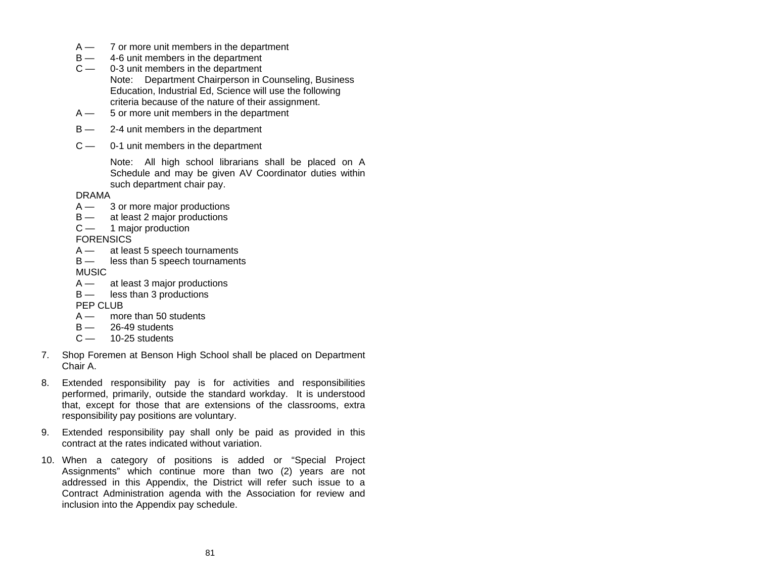- A 7 or more unit members in the department
- B 4-6 unit members in the department
- $C -$  0-3 unit members in the department Note: Department Chairperson in Counseling, Business Education, Industrial Ed, Science will use the following criteria because of the nature of their assignment.
- A 5 or more unit members in the department
- $B 2-4$  unit members in the department
- $c -$ 0-1 unit members in the department

Note: All high school librarians shall be placed on A Schedule and may be given AV Coordinator duties within such department chair pay.

DRAMA

- A 3 or more major productions
- B at least 2 major productions
- $C -$ 1 major production

**FORENSICS** 

- A at least 5 speech tournaments
- B less than 5 speech tournaments

**MUSIC** 

- $A \rightarrow \text{at least 3 major productions}$ <br> $B \rightarrow \text{less than 3 productions}$
- less than 3 productions

PEP CLUB

- A more than 50 students
- $B 26 49$  students
- $C$  10-25 students
- 7. Shop Foremen at Benson High School shall be placed on Department Chair A.
- 8. Extended responsibility pay is for activities and responsibilities performed, primarily, outside the standard workday. It is understood that, except for those that are extensions of the classrooms, extra responsibility pay positions are voluntary.
- 9. Extended responsibility pay shall only be paid as provided in this contract at the rates indicated without variation.
- 10. When a category of positions is added or "Special Project Assignments" which continue more than two (2) years are not addressed in this Appendix, the District will refer such issue to a Contract Administration agenda with the Association for review and inclusion into the Appendix pay schedule.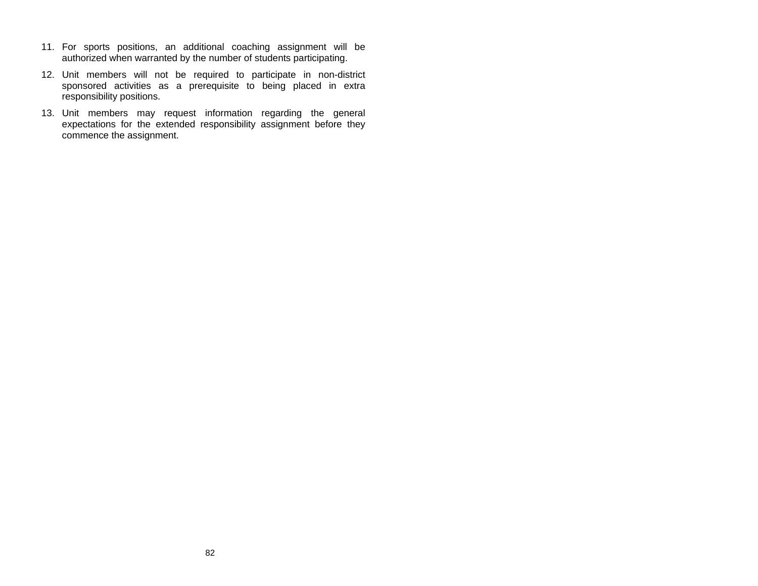- 11. For sports positions, an additional coaching assignment will be authorized when warranted by the number of students participating.
- 12. Unit members will not be required to participate in non-district sponsored activities as a prerequisite to being placed in extra responsibility positions.
- 13. Unit members may request information regarding the general expectations for the extended responsibility assignment before they commence the assignment.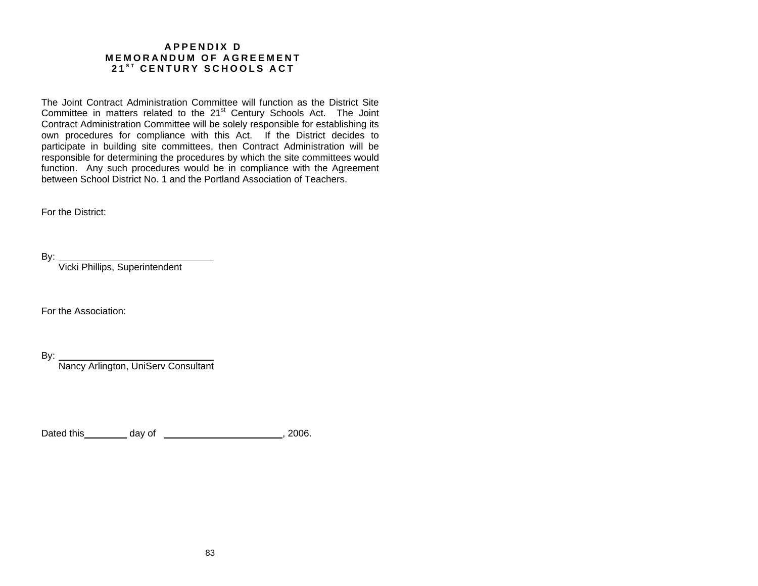### **APPENDIX D MEMORANDUM OF AGREEMENT 2 1 <sup>S</sup> <sup>T</sup> CENTURY SC HOOLS A C T**

The Joint Contract Administration Committee will function as the District SiteCommittee in matters related to the 21<sup>st</sup> Century Schools Act. The Joint Contract Administration Committee will be solely responsible for establishing its own procedures for compliance with this Act. If the District decides to participate in building site committees, then Contract Administration will be responsible for determining the procedures by which the site committees would function. Any such procedures would be in compliance with the Agreement between School District No. 1 and the Portland Association of Teachers.

For the District:

By:

Vicki Phillips, Superintendent

For the Association:

By:

Nancy Arlington, UniServ Consultant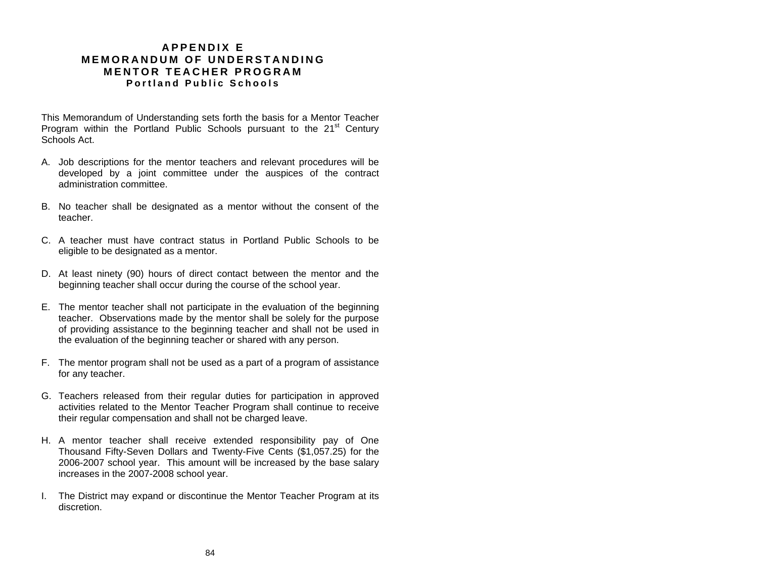## **A P P E NDIX E MEMO R A NDUM O F UNDERSTAND ING MENTO R TEAC HER PROGR A MPortlan d Public Schools**

This Memorandum of Understanding sets forth the basis for a Mentor Teacher Program within the Portland Public Schools pursuant to the  $21<sup>st</sup>$  Century Schools Act.

- A. Job descriptions for the mentor teachers and relevant procedures will be developed by a joint committee under the auspices of the contract administration committee.
- B. No teacher shall be designated as a mentor without the consent of the teacher.
- C. A teacher must have contract status in Portland Public Schools to be eligible to be designated as a mentor.
- D. At least ninety (90) hours of direct contact between the mentor and the beginning teacher shall occur during the course of the school year.
- E. The mentor teacher shall not participate in the evaluation of the beginning teacher. Observations made by the mentor shall be solely for the purpose of providing assistance to the beginning teacher and shall not be used in the evaluation of the beginning teacher or shared with any person.
- F. The mentor program shall not be used as a part of a program of assistance for any teacher.
- G. Teachers released from their regular duties for participation in approved activities related to the Mentor Teacher Program shall continue to receive their regular compensation and shall not be charged leave.
- H. A mentor teacher shall receive extended responsibility pay of One Thousand Fifty-Seven Dollars and Twenty-Five Cents (\$1,057.25) for the 2006-2007 school year. This amount will be increased by the base salary increases in the 2007-2008 school year.
- I. The District may expand or discontinue the Mentor Teacher Program at its discretion.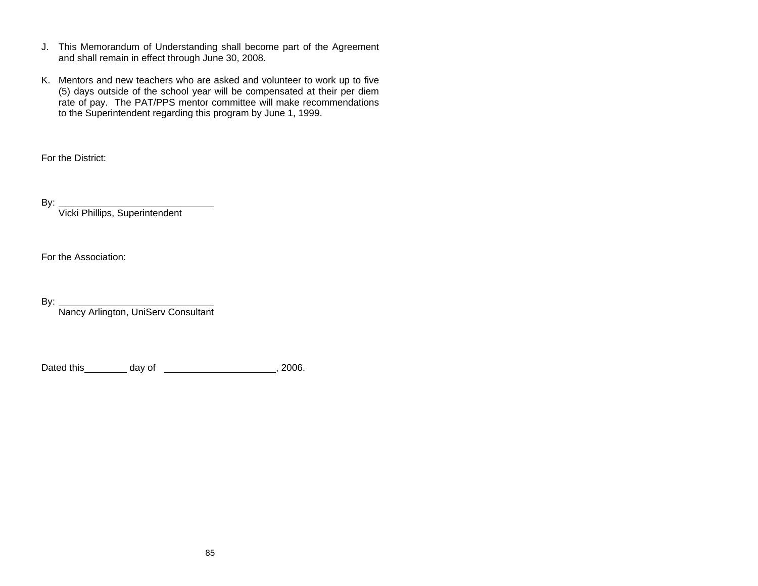- J. This Memorandum of Understanding shall become part of the Agreement and shall remain in effect through June 30, 2008.
- K. Mentors and new teachers who are asked and volunteer to work up to five (5) days outside of the school year will be compensated at their per diem rate of pay. The PAT/PPS mentor committee will make recommendations to the Superintendent regarding this program by June 1, 1999.

For the District:

By:

Vicki Phillips, Superintendent

For the Association:

By:

Nancy Arlington, UniServ Consultant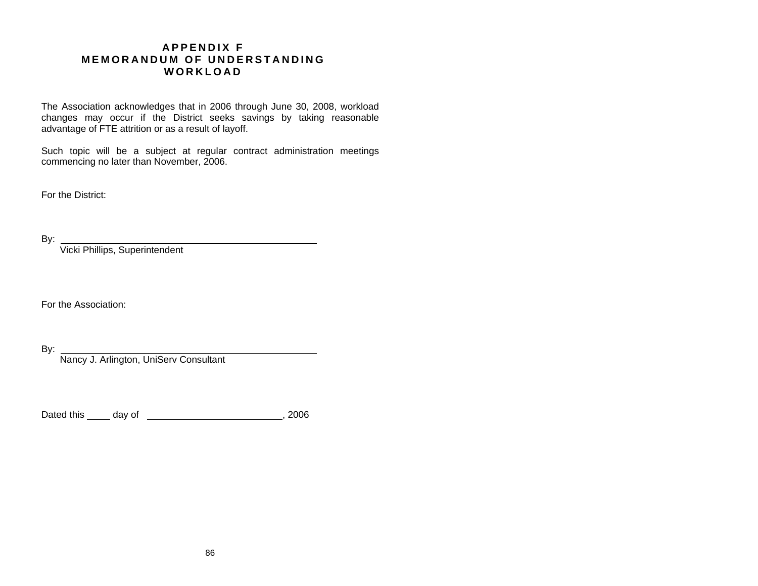## **A PPE NDIX F MEMO R A NDUM O F UNDERSTAND ING WOR K L O AD**

The Association acknowledges that in 2006 through June 30, 2008, workload changes may occur if the District seeks savings by taking reasonable advantage of FTE attrition or as a result of layoff.

Such topic will be a subject at regular contract administration meetings commencing no later than November, 2006.

For the District:

By:

Vicki Phillips, Superintendent

For the Association:

By:

Nancy J. Arlington, UniServ Consultant

Dated this day of , 2006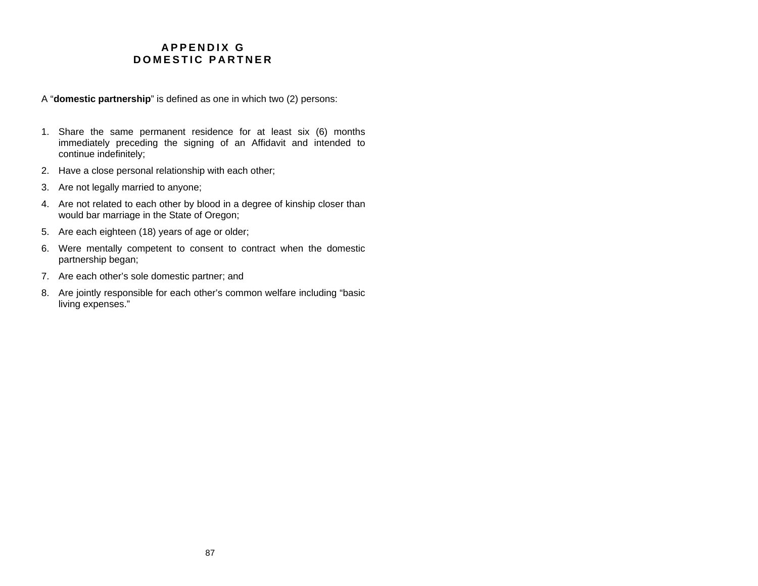## **A PPE NDIX GDOM E STIC PA RTN E R**

- A "**domestic partnership**" is defined as one in which two (2) persons:
- 1. Share the same permanent residence for at least six (6) months immediately preceding the signing of an Affidavit and intended to continue indefinitely;
- 2. Have a close personal relationship with each other;
- 3. Are not legally married to anyone;
- 4. Are not related to each other by blood in a degree of kinship closer than would bar marriage in the State of Oregon;
- 5. Are each eighteen (18) years of age or older;
- 6. Were mentally competent to consent to contract when the domestic partnership began;
- 7. Are each other's sole domestic partner; and
- 8. Are jointly responsible for each other's common welfare including "basic living expenses."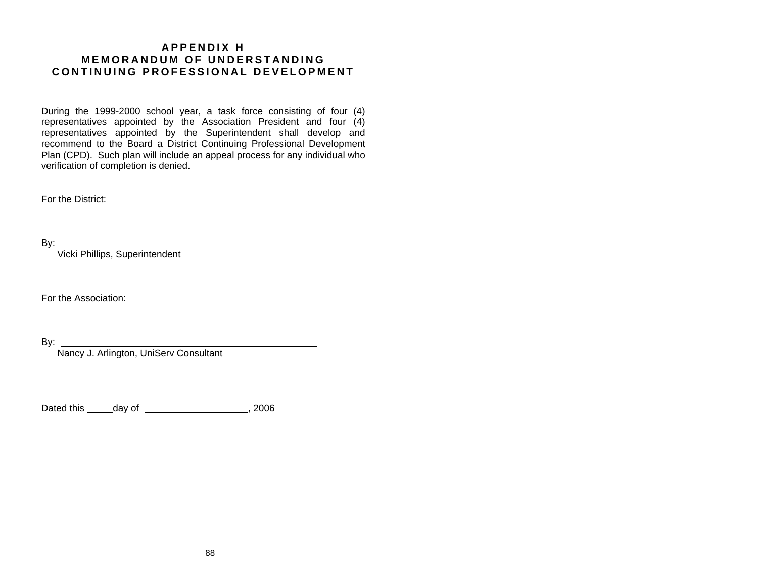## **A PPE NDIX H MEMO R A NDUM O F UNDERSTAND ING C O NTINU I N G PRO F ESSION AL DEVELOPMENT**

During the 1999-2000 school year, a task force consisting of four (4) representatives appointed by the Association President and four (4) representatives appointed by the Superintendent shall develop and recommend to the Board a District Continuing Professional Development Plan (CPD). Such plan will include an appeal process for any individual who verification of completion is denied.

For the District:

By:

Vicki Phillips, Superintendent

For the Association:

By:

Nancy J. Arlington, UniServ Consultant

Dated this \_\_\_\_\_day of \_\_\_\_\_\_\_\_\_\_\_\_\_\_\_\_\_\_\_\_, 2006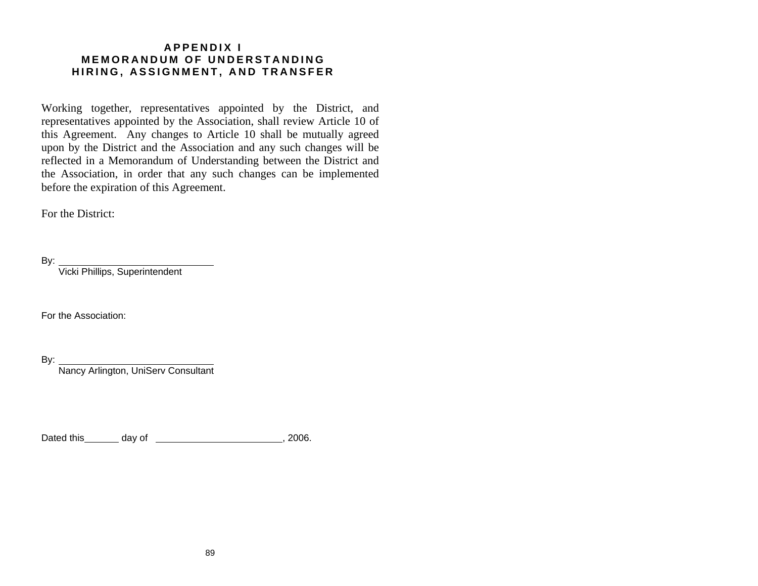## **A PPE NDIX I MEMO R A NDUM O F UNDERSTAND ING H I R I N G , A S SIGNMENT, AN D T R A N SFER**

Working together, representatives appointed by the District, and representatives appointed by the Association, shall review Article 10 of this Agreement. Any changes to Article 10 shall be mutually agreed upon by the District and the Association and any such changes will be reflected in a Memorandum of Understanding between the District and the Association, in order that any such changes can be implemented before the expiration of this Agreement.

For the District:

By: Vicki Phillips, Superintendent

For the Association:

By:

Nancy Arlington, UniServ Consultant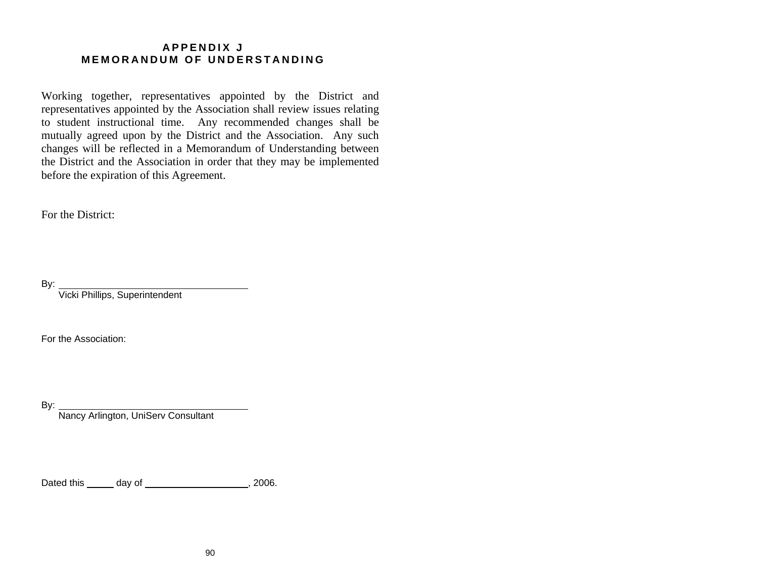## **A PPE NDIX J MEMO R A NDUM O F UNDERSTAND ING**

Working together, representatives appointed by the District and representatives appointed by the Association shall review issues relating to student instructional time. Any recommended changes shall be mutually agreed upon by the District and the Association. Any such changes will be reflected in a Memorandum of Understanding between the District and the Association in order that they may be implemented before the expiration of this Agreement.

For the District:

By: Vicki Phillips, Superintendent

For the Association:

By:

Nancy Arlington, UniServ Consultant

Dated this \_\_\_\_\_\_ day of \_\_\_\_\_\_\_\_\_\_\_\_\_\_\_\_\_\_\_\_\_\_\_\_, 2006.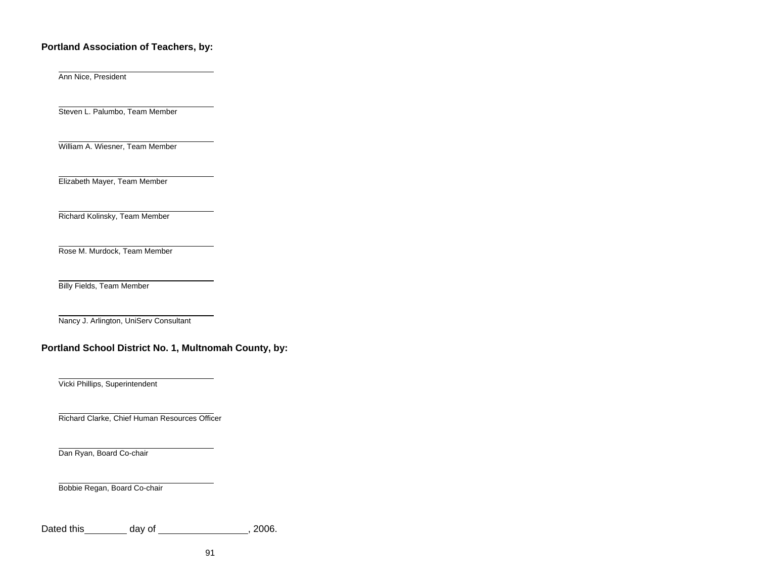### **Portland Association of Teachers, by:**

Ann Nice, President

Steven L. Palumbo, Team Member

William A. Wiesner, Team Member

Elizabeth Mayer, Team Member

Richard Kolinsky, Team Member

Rose M. Murdock, Team Member

Billy Fields, Team Member

Nancy J. Arlington, UniServ Consultant

## **Portland School District No. 1, Multnomah County, by:**

Vicki Phillips, Superintendent

Richard Clarke, Chief Human Resources Officer

Dan Ryan, Board Co-chair

Bobbie Regan, Board Co-chair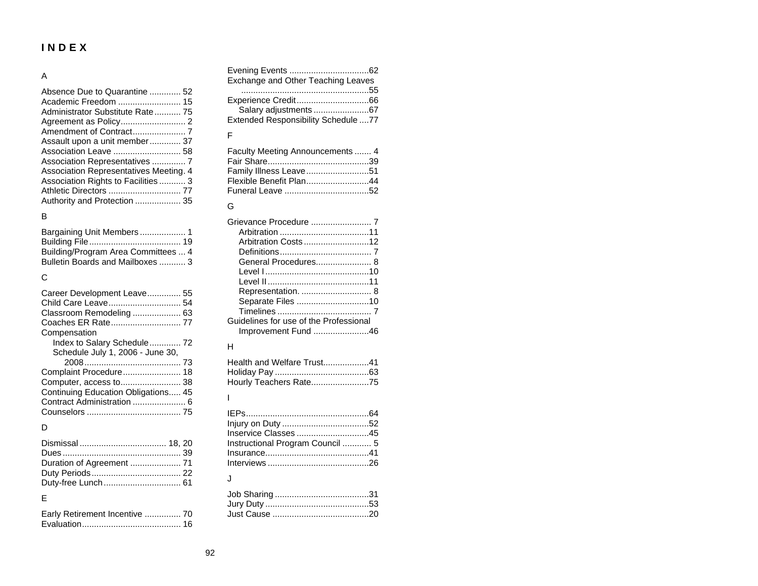# **INDEX**

#### A

| Absence Due to Quarantine  52          |
|----------------------------------------|
| Academic Freedom  15                   |
| Administrator Substitute Rate 75       |
|                                        |
|                                        |
| Assault upon a unit member 37          |
|                                        |
| Association Representatives  7         |
| Association Representatives Meeting. 4 |
| Association Rights to Facilities  3    |
| Athletic Directors  77                 |
| Authority and Protection  35           |

#### B

| Building/Program Area Committees  4 |  |
|-------------------------------------|--|
| Bulletin Boards and Mailboxes  3    |  |

#### C

| Career Development Leave 55         |  |
|-------------------------------------|--|
| Child Care Leave 54                 |  |
| Classroom Remodeling  63            |  |
|                                     |  |
| Compensation                        |  |
| Index to Salary Schedule 72         |  |
| Schedule July 1, 2006 - June 30,    |  |
|                                     |  |
| Complaint Procedure 18              |  |
| Computer, access to 38              |  |
| Continuing Education Obligations 45 |  |
| Contract Administration  6          |  |
|                                     |  |
|                                     |  |

#### D

| Duration of Agreement  71 |
|---------------------------|
|                           |
|                           |
|                           |

#### E

| Early Retirement Incentive  70 |  |
|--------------------------------|--|
|                                |  |

| Exchange and Other Teaching Leaves  |  |
|-------------------------------------|--|
|                                     |  |
|                                     |  |
| Salary adjustments 67               |  |
| Extended Responsibility Schedule 77 |  |

#### F

| Faculty Meeting Announcements  4 |  |
|----------------------------------|--|
|                                  |  |
| Family Illness Leave51           |  |
| Flexible Benefit Plan44          |  |
|                                  |  |

#### G

| Arbitration Costs 12                   |  |
|----------------------------------------|--|
|                                        |  |
|                                        |  |
|                                        |  |
|                                        |  |
| Representation.  8                     |  |
| Separate Files 10                      |  |
|                                        |  |
| Guidelines for use of the Professional |  |
| Improvement Fund 46                    |  |

#### H

| Health and Welfare Trust41 |  |
|----------------------------|--|
|                            |  |
| Hourly Teachers Rate75     |  |

#### I

| Instructional Program Council  5 |  |
|----------------------------------|--|
|                                  |  |
|                                  |  |

#### J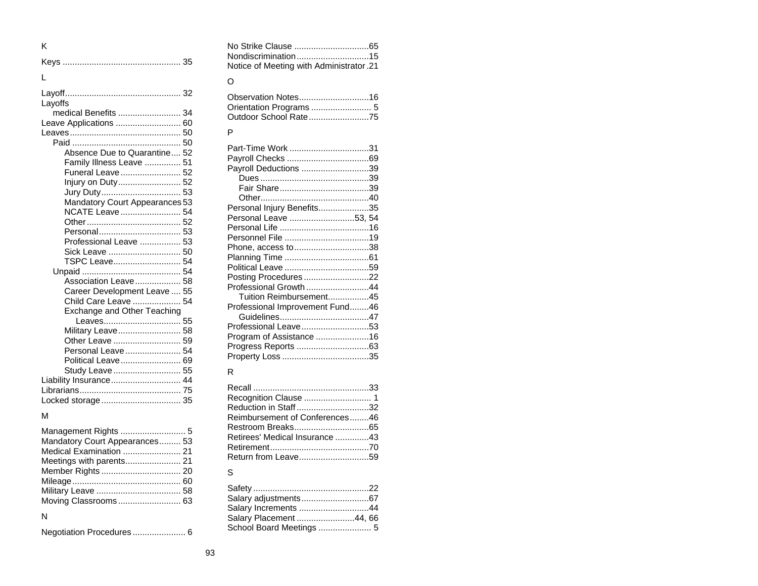| ĸ                                         |  |
|-------------------------------------------|--|
|                                           |  |
| L                                         |  |
|                                           |  |
| Layoffs<br>medical Benefits  34           |  |
| Leave Applications  60                    |  |
|                                           |  |
|                                           |  |
| Absence Due to Quarantine 52              |  |
| Family Illness Leave  51                  |  |
| Funeral Leave  52                         |  |
| Injury on Duty 52                         |  |
| Jury Duty 53                              |  |
| Mandatory Court Appearances 53            |  |
| NCATE Leave  54                           |  |
|                                           |  |
|                                           |  |
| Professional Leave  53                    |  |
| Sick Leave  50                            |  |
| TSPC Leave 54                             |  |
|                                           |  |
| Association Leave 58                      |  |
| Career Development Leave  55              |  |
| Child Care Leave  54                      |  |
| Exchange and Other Teaching               |  |
| Leaves 55                                 |  |
| Military Leave 58                         |  |
| Other Leave  59                           |  |
| Personal Leave 54                         |  |
| Political Leave 69                        |  |
| Study Leave  55<br>Liability Insurance 44 |  |
|                                           |  |
| Locked storage 35                         |  |
|                                           |  |
| м                                         |  |
|                                           |  |

| Mandatory Court Appearances 53 |  |
|--------------------------------|--|
| Medical Examination  21        |  |
| Meetings with parents 21       |  |
|                                |  |
|                                |  |
|                                |  |
|                                |  |
|                                |  |

#### N

|--|--|--|

| No Strike Clause 65                      |  |
|------------------------------------------|--|
| Nondiscrimination15                      |  |
| 12. Notice of Meeting with Administrator |  |

#### O

| Outdoor School Rate75 |  |
|-----------------------|--|

#### P

| Part-Time Work 31               |  |
|---------------------------------|--|
|                                 |  |
| Payroll Deductions 39           |  |
|                                 |  |
|                                 |  |
|                                 |  |
|                                 |  |
| Personal Injury Benefits35      |  |
| Personal Leave 53, 54           |  |
|                                 |  |
| Personnel File 19               |  |
| Phone, access to38              |  |
|                                 |  |
|                                 |  |
| Posting Procedures22            |  |
| Professional Growth 44          |  |
| Tuition Reimbursement45         |  |
| Professional Improvement Fund46 |  |
|                                 |  |
| Professional Leave53            |  |
| Program of Assistance 16        |  |
|                                 |  |
|                                 |  |
|                                 |  |

### R

| Reduction in Staff32           |  |
|--------------------------------|--|
| Reimbursement of Conferences46 |  |
|                                |  |
| Retirees' Medical Insurance 43 |  |
|                                |  |
|                                |  |

#### S

| Salary Increments 44     |  |
|--------------------------|--|
| Salary Placement 44, 66  |  |
| School Board Meetings  5 |  |